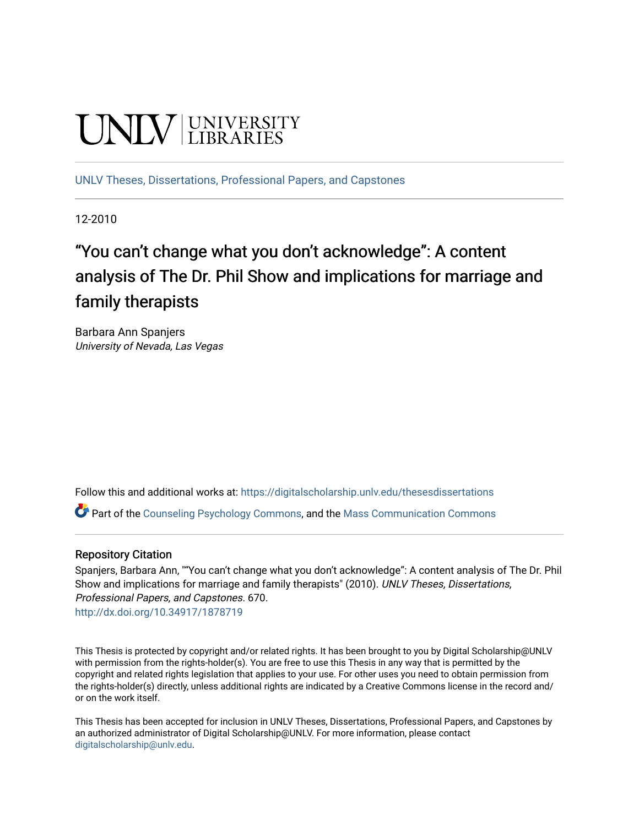# **UNIVERSITY**

[UNLV Theses, Dissertations, Professional Papers, and Capstones](https://digitalscholarship.unlv.edu/thesesdissertations)

12-2010

# "You can't change what you don't acknowledge": A content analysis of The Dr. Phil Show and implications for marriage and family therapists

Barbara Ann Spanjers University of Nevada, Las Vegas

Follow this and additional works at: [https://digitalscholarship.unlv.edu/thesesdissertations](https://digitalscholarship.unlv.edu/thesesdissertations?utm_source=digitalscholarship.unlv.edu%2Fthesesdissertations%2F670&utm_medium=PDF&utm_campaign=PDFCoverPages)

Part of the [Counseling Psychology Commons](http://network.bepress.com/hgg/discipline/1044?utm_source=digitalscholarship.unlv.edu%2Fthesesdissertations%2F670&utm_medium=PDF&utm_campaign=PDFCoverPages), and the [Mass Communication Commons](http://network.bepress.com/hgg/discipline/334?utm_source=digitalscholarship.unlv.edu%2Fthesesdissertations%2F670&utm_medium=PDF&utm_campaign=PDFCoverPages)

#### Repository Citation

Spanjers, Barbara Ann, ""You can't change what you don't acknowledge": A content analysis of The Dr. Phil Show and implications for marriage and family therapists" (2010). UNLV Theses, Dissertations, Professional Papers, and Capstones. 670. <http://dx.doi.org/10.34917/1878719>

This Thesis is protected by copyright and/or related rights. It has been brought to you by Digital Scholarship@UNLV with permission from the rights-holder(s). You are free to use this Thesis in any way that is permitted by the copyright and related rights legislation that applies to your use. For other uses you need to obtain permission from the rights-holder(s) directly, unless additional rights are indicated by a Creative Commons license in the record and/ or on the work itself.

This Thesis has been accepted for inclusion in UNLV Theses, Dissertations, Professional Papers, and Capstones by an authorized administrator of Digital Scholarship@UNLV. For more information, please contact [digitalscholarship@unlv.edu](mailto:digitalscholarship@unlv.edu).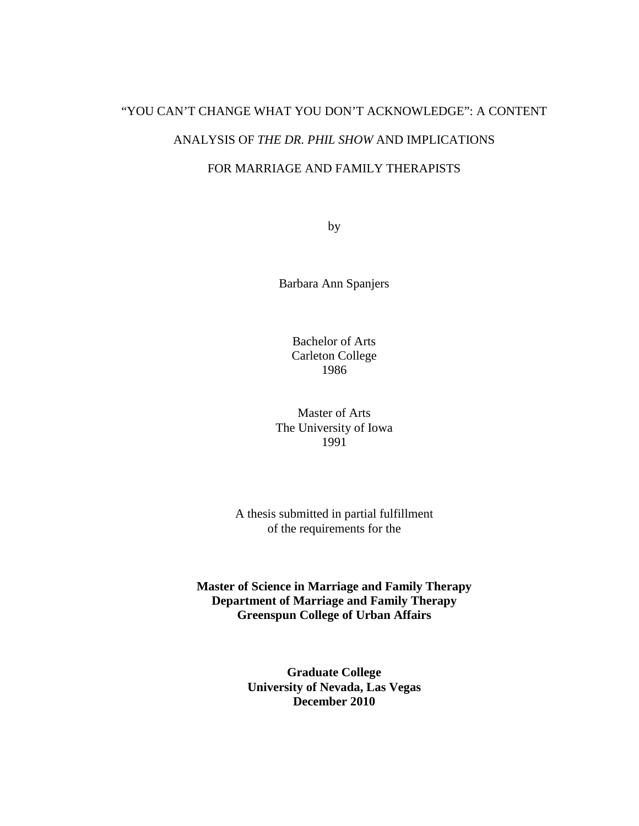# "YOU CAN'T CHANGE WHAT YOU DON'T ACKNOWLEDGE": A CONTENT ANALYSIS OF *THE DR. PHIL SHOW* AND IMPLICATIONS

## FOR MARRIAGE AND FAMILY THERAPISTS

by

Barbara Ann Spanjers

Bachelor of Arts Carleton College 1986

Master of Arts The University of Iowa 1991

A thesis submitted in partial fulfillment of the requirements for the

**Master of Science in Marriage and Family Therapy Department of Marriage and Family Therapy Greenspun College of Urban Affairs** 

> **Graduate College University of Nevada, Las Vegas December 2010**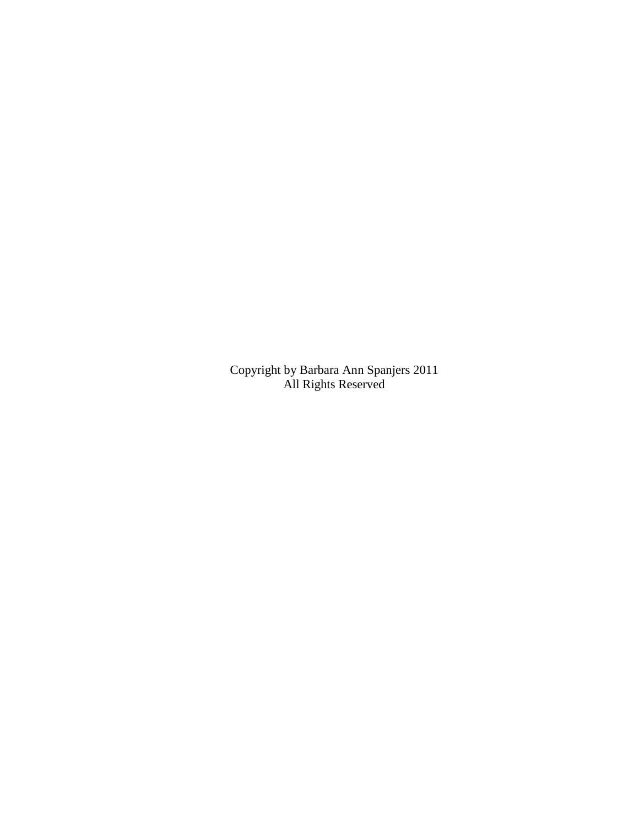Copyright by Barbara Ann Spanjers 2011 All Rights Reserved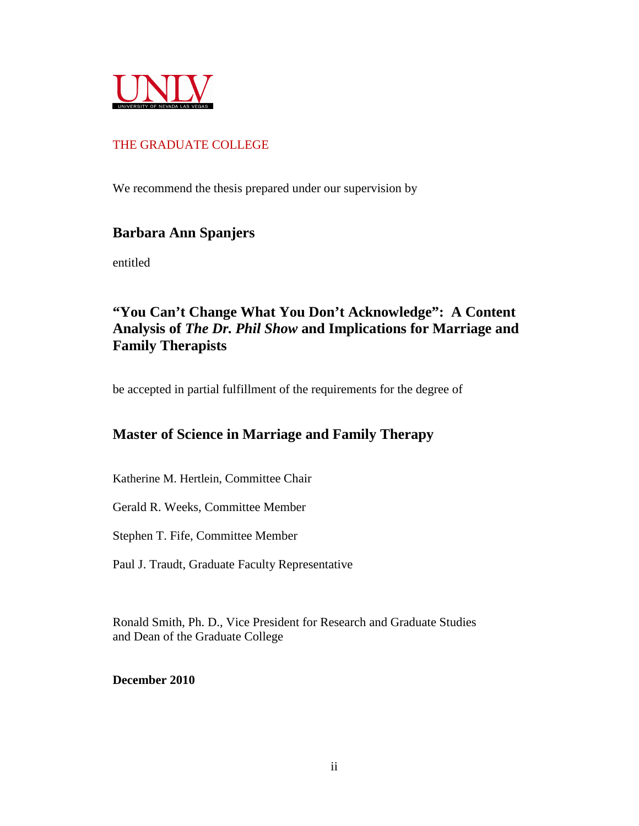

### THE GRADUATE COLLEGE

We recommend the thesis prepared under our supervision by

# **Barbara Ann Spanjers**

entitled

# **"You Can't Change What You Don't Acknowledge": A Content Analysis of** *The Dr. Phil Show* **and Implications for Marriage and Family Therapists**

be accepted in partial fulfillment of the requirements for the degree of

# **Master of Science in Marriage and Family Therapy**

Katherine M. Hertlein, Committee Chair

Gerald R. Weeks, Committee Member

Stephen T. Fife, Committee Member

Paul J. Traudt, Graduate Faculty Representative

Ronald Smith, Ph. D., Vice President for Research and Graduate Studies and Dean of the Graduate College

**December 2010**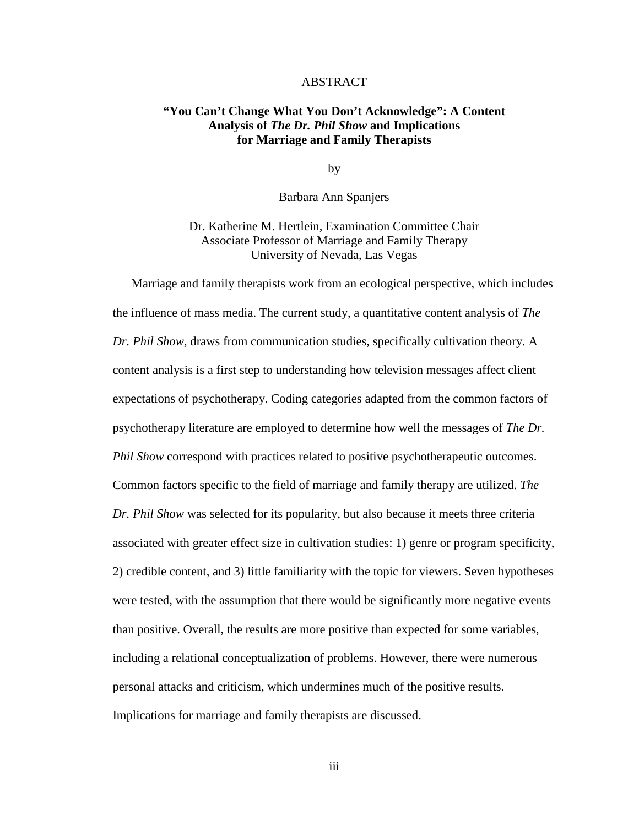#### ABSTRACT

#### **"You Can't Change What You Don't Acknowledge": A Content Analysis of** *The Dr. Phil Show* **and Implications for Marriage and Family Therapists**

by

Barbara Ann Spanjers

Dr. Katherine M. Hertlein, Examination Committee Chair Associate Professor of Marriage and Family Therapy University of Nevada, Las Vegas

Marriage and family therapists work from an ecological perspective, which includes the influence of mass media. The current study, a quantitative content analysis of *The Dr. Phil Show,* draws from communication studies, specifically cultivation theory. A content analysis is a first step to understanding how television messages affect client expectations of psychotherapy. Coding categories adapted from the common factors of psychotherapy literature are employed to determine how well the messages of *The Dr. Phil Show* correspond with practices related to positive psychotherapeutic outcomes. Common factors specific to the field of marriage and family therapy are utilized. *The Dr. Phil Show* was selected for its popularity, but also because it meets three criteria associated with greater effect size in cultivation studies: 1) genre or program specificity, 2) credible content, and 3) little familiarity with the topic for viewers. Seven hypotheses were tested, with the assumption that there would be significantly more negative events than positive. Overall, the results are more positive than expected for some variables, including a relational conceptualization of problems. However, there were numerous personal attacks and criticism, which undermines much of the positive results. Implications for marriage and family therapists are discussed.

iii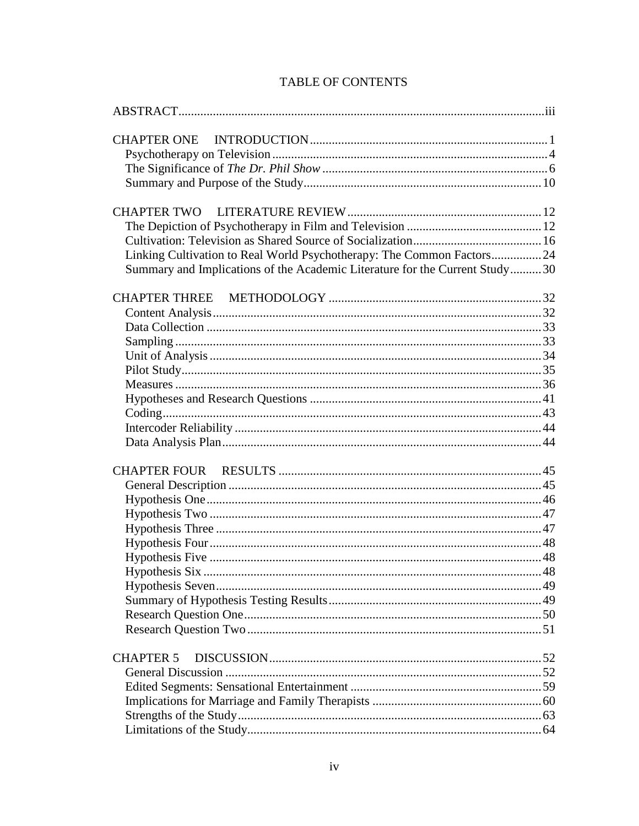| Linking Cultivation to Real World Psychotherapy: The Common Factors24       |  |
|-----------------------------------------------------------------------------|--|
| Summary and Implications of the Academic Literature for the Current Study30 |  |
|                                                                             |  |
|                                                                             |  |
|                                                                             |  |
|                                                                             |  |
|                                                                             |  |
|                                                                             |  |
|                                                                             |  |
|                                                                             |  |
|                                                                             |  |
|                                                                             |  |
|                                                                             |  |
|                                                                             |  |
|                                                                             |  |
|                                                                             |  |
|                                                                             |  |
|                                                                             |  |
|                                                                             |  |
|                                                                             |  |
|                                                                             |  |
|                                                                             |  |
|                                                                             |  |
|                                                                             |  |
|                                                                             |  |
|                                                                             |  |
| <b>CHAPTER 5</b>                                                            |  |
|                                                                             |  |
|                                                                             |  |
|                                                                             |  |
|                                                                             |  |
|                                                                             |  |
|                                                                             |  |

## **TABLE OF CONTENTS**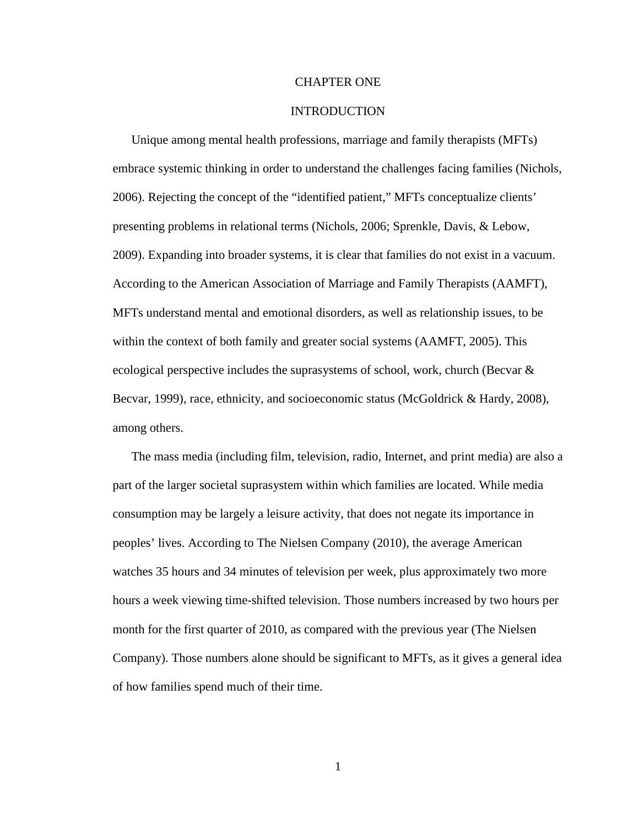#### CHAPTER ONE

#### INTRODUCTION

Unique among mental health professions, marriage and family therapists (MFTs) embrace systemic thinking in order to understand the challenges facing families (Nichols, 2006). Rejecting the concept of the "identified patient," MFTs conceptualize clients' presenting problems in relational terms (Nichols, 2006; Sprenkle, Davis, & Lebow, 2009). Expanding into broader systems, it is clear that families do not exist in a vacuum. According to the American Association of Marriage and Family Therapists (AAMFT), MFTs understand mental and emotional disorders, as well as relationship issues, to be within the context of both family and greater social systems (AAMFT, 2005). This ecological perspective includes the suprasystems of school, work, church (Becvar & Becvar, 1999), race, ethnicity, and socioeconomic status (McGoldrick & Hardy, 2008), among others.

The mass media (including film, television, radio, Internet, and print media) are also a part of the larger societal suprasystem within which families are located. While media consumption may be largely a leisure activity, that does not negate its importance in peoples' lives. According to The Nielsen Company (2010), the average American watches 35 hours and 34 minutes of television per week, plus approximately two more hours a week viewing time-shifted television. Those numbers increased by two hours per month for the first quarter of 2010, as compared with the previous year (The Nielsen Company). Those numbers alone should be significant to MFTs, as it gives a general idea of how families spend much of their time.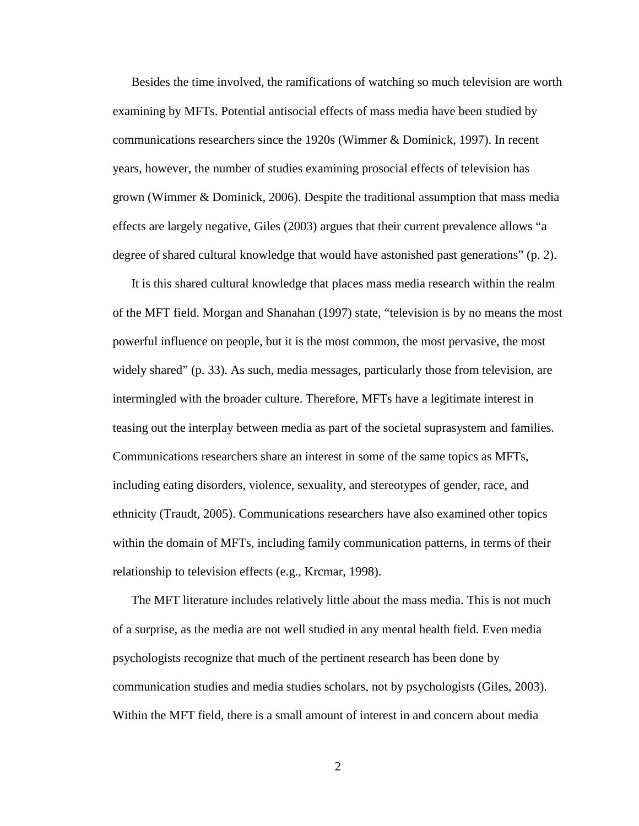Besides the time involved, the ramifications of watching so much television are worth examining by MFTs. Potential antisocial effects of mass media have been studied by communications researchers since the 1920s (Wimmer & Dominick, 1997). In recent years, however, the number of studies examining prosocial effects of television has grown (Wimmer & Dominick, 2006). Despite the traditional assumption that mass media effects are largely negative, Giles (2003) argues that their current prevalence allows "a degree of shared cultural knowledge that would have astonished past generations" (p. 2).

It is this shared cultural knowledge that places mass media research within the realm of the MFT field. Morgan and Shanahan (1997) state, "television is by no means the most powerful influence on people, but it is the most common, the most pervasive, the most widely shared" (p. 33). As such, media messages, particularly those from television, are intermingled with the broader culture. Therefore, MFTs have a legitimate interest in teasing out the interplay between media as part of the societal suprasystem and families. Communications researchers share an interest in some of the same topics as MFTs, including eating disorders, violence, sexuality, and stereotypes of gender, race, and ethnicity (Traudt, 2005). Communications researchers have also examined other topics within the domain of MFTs, including family communication patterns, in terms of their relationship to television effects (e.g., Krcmar, 1998).

The MFT literature includes relatively little about the mass media. This is not much of a surprise, as the media are not well studied in any mental health field. Even media psychologists recognize that much of the pertinent research has been done by communication studies and media studies scholars, not by psychologists (Giles, 2003). Within the MFT field, there is a small amount of interest in and concern about media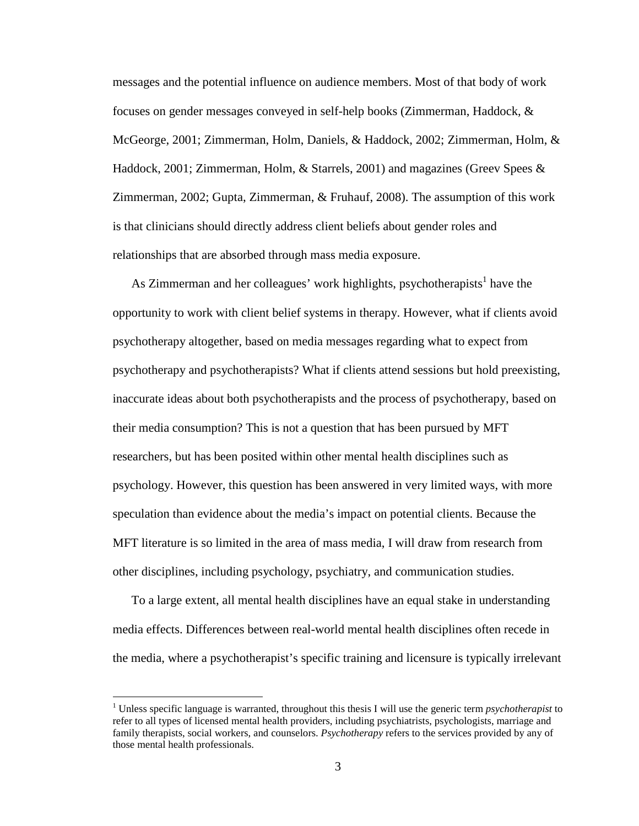messages and the potential influence on audience members. Most of that body of work focuses on gender messages conveyed in self-help books (Zimmerman, Haddock, & McGeorge, 2001; Zimmerman, Holm, Daniels, & Haddock, 2002; Zimmerman, Holm, & Haddock, 2001; Zimmerman, Holm, & Starrels, 2001) and magazines (Greev Spees & Zimmerman, 2002; Gupta, Zimmerman, & Fruhauf, 2008). The assumption of this work is that clinicians should directly address client beliefs about gender roles and relationships that are absorbed through mass media exposure.

As Zimmerman and her colleagues' work highlights, psychotherapists<sup>1</sup> have the opportunity to work with client belief systems in therapy. However, what if clients avoid psychotherapy altogether, based on media messages regarding what to expect from psychotherapy and psychotherapists? What if clients attend sessions but hold preexisting, inaccurate ideas about both psychotherapists and the process of psychotherapy, based on their media consumption? This is not a question that has been pursued by MFT researchers, but has been posited within other mental health disciplines such as psychology. However, this question has been answered in very limited ways, with more speculation than evidence about the media's impact on potential clients. Because the MFT literature is so limited in the area of mass media, I will draw from research from other disciplines, including psychology, psychiatry, and communication studies.

To a large extent, all mental health disciplines have an equal stake in understanding media effects. Differences between real-world mental health disciplines often recede in the media, where a psychotherapist's specific training and licensure is typically irrelevant

 $\overline{a}$ 

<sup>&</sup>lt;sup>1</sup> Unless specific language is warranted, throughout this thesis I will use the generic term *psychotherapist* to refer to all types of licensed mental health providers, including psychiatrists, psychologists, marriage and family therapists, social workers, and counselors. *Psychotherapy* refers to the services provided by any of those mental health professionals.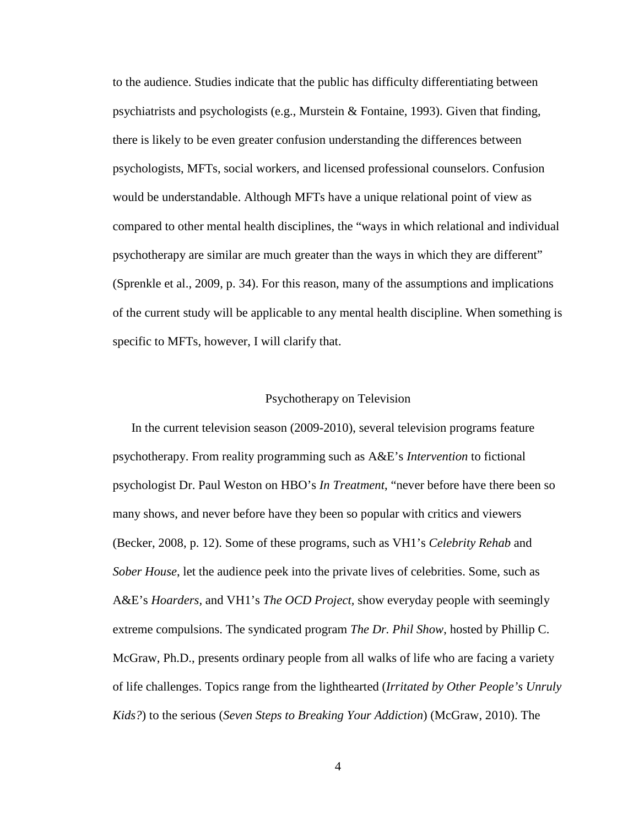to the audience. Studies indicate that the public has difficulty differentiating between psychiatrists and psychologists (e.g., Murstein & Fontaine, 1993). Given that finding, there is likely to be even greater confusion understanding the differences between psychologists, MFTs, social workers, and licensed professional counselors. Confusion would be understandable. Although MFTs have a unique relational point of view as compared to other mental health disciplines, the "ways in which relational and individual psychotherapy are similar are much greater than the ways in which they are different" (Sprenkle et al., 2009, p. 34). For this reason, many of the assumptions and implications of the current study will be applicable to any mental health discipline. When something is specific to MFTs, however, I will clarify that.

#### Psychotherapy on Television

In the current television season (2009-2010), several television programs feature psychotherapy. From reality programming such as A&E's *Intervention* to fictional psychologist Dr. Paul Weston on HBO's *In Treatment*, "never before have there been so many shows, and never before have they been so popular with critics and viewers (Becker, 2008, p. 12). Some of these programs, such as VH1's *Celebrity Rehab* and *Sober House*, let the audience peek into the private lives of celebrities. Some, such as A&E's *Hoarders,* and VH1's *The OCD Project,* show everyday people with seemingly extreme compulsions. The syndicated program *The Dr. Phil Show*, hosted by Phillip C. McGraw, Ph.D., presents ordinary people from all walks of life who are facing a variety of life challenges. Topics range from the lighthearted (*Irritated by Other People's Unruly Kids?*) to the serious (*Seven Steps to Breaking Your Addiction*) (McGraw, 2010). The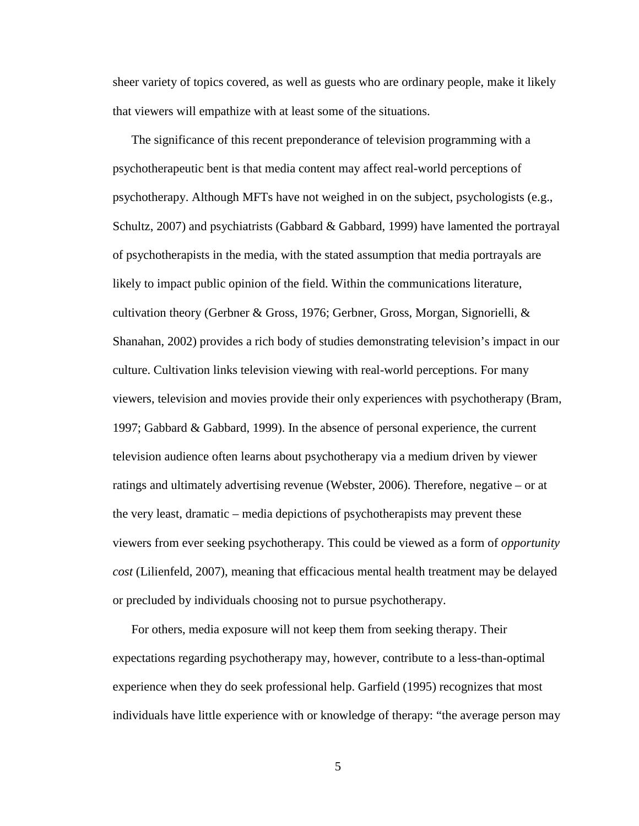sheer variety of topics covered, as well as guests who are ordinary people, make it likely that viewers will empathize with at least some of the situations.

The significance of this recent preponderance of television programming with a psychotherapeutic bent is that media content may affect real-world perceptions of psychotherapy. Although MFTs have not weighed in on the subject, psychologists (e.g., Schultz, 2007) and psychiatrists (Gabbard & Gabbard, 1999) have lamented the portrayal of psychotherapists in the media, with the stated assumption that media portrayals are likely to impact public opinion of the field. Within the communications literature, cultivation theory (Gerbner & Gross, 1976; Gerbner, Gross, Morgan, Signorielli, & Shanahan, 2002) provides a rich body of studies demonstrating television's impact in our culture. Cultivation links television viewing with real-world perceptions. For many viewers, television and movies provide their only experiences with psychotherapy (Bram, 1997; Gabbard & Gabbard, 1999). In the absence of personal experience, the current television audience often learns about psychotherapy via a medium driven by viewer ratings and ultimately advertising revenue (Webster, 2006). Therefore, negative – or at the very least, dramatic – media depictions of psychotherapists may prevent these viewers from ever seeking psychotherapy. This could be viewed as a form of *opportunity cost* (Lilienfeld, 2007), meaning that efficacious mental health treatment may be delayed or precluded by individuals choosing not to pursue psychotherapy.

For others, media exposure will not keep them from seeking therapy. Their expectations regarding psychotherapy may, however, contribute to a less-than-optimal experience when they do seek professional help. Garfield (1995) recognizes that most individuals have little experience with or knowledge of therapy: "the average person may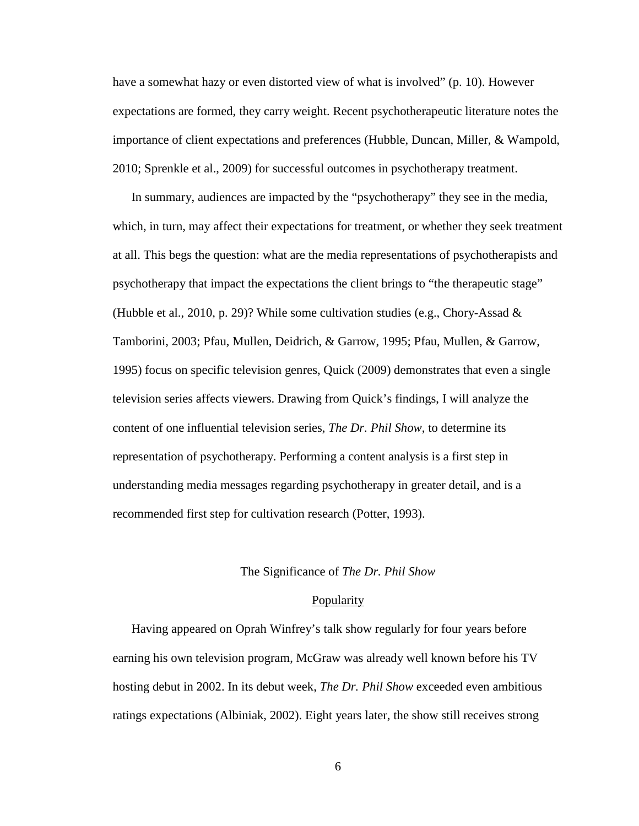have a somewhat hazy or even distorted view of what is involved" (p. 10). However expectations are formed, they carry weight. Recent psychotherapeutic literature notes the importance of client expectations and preferences (Hubble, Duncan, Miller, & Wampold, 2010; Sprenkle et al., 2009) for successful outcomes in psychotherapy treatment.

In summary, audiences are impacted by the "psychotherapy" they see in the media, which, in turn, may affect their expectations for treatment, or whether they seek treatment at all. This begs the question: what are the media representations of psychotherapists and psychotherapy that impact the expectations the client brings to "the therapeutic stage" (Hubble et al., 2010, p. 29)? While some cultivation studies (e.g., Chory-Assad  $\&$ Tamborini, 2003; Pfau, Mullen, Deidrich, & Garrow, 1995; Pfau, Mullen, & Garrow, 1995) focus on specific television genres, Quick (2009) demonstrates that even a single television series affects viewers. Drawing from Quick's findings, I will analyze the content of one influential television series, *The Dr. Phil Show*, to determine its representation of psychotherapy. Performing a content analysis is a first step in understanding media messages regarding psychotherapy in greater detail, and is a recommended first step for cultivation research (Potter, 1993).

#### The Significance of *The Dr. Phil Show*

#### **Popularity**

Having appeared on Oprah Winfrey's talk show regularly for four years before earning his own television program, McGraw was already well known before his TV hosting debut in 2002. In its debut week, *The Dr. Phil Show* exceeded even ambitious ratings expectations (Albiniak, 2002). Eight years later, the show still receives strong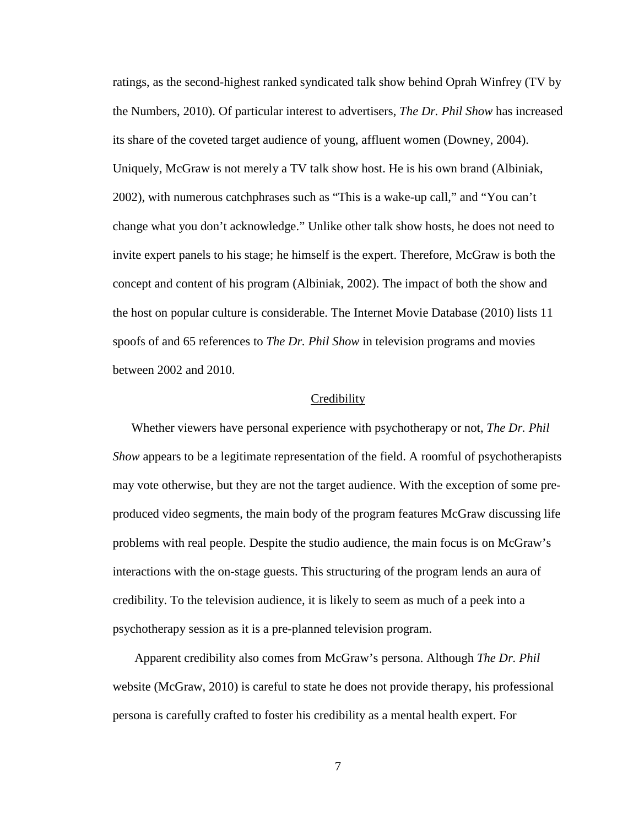ratings, as the second-highest ranked syndicated talk show behind Oprah Winfrey (TV by the Numbers, 2010). Of particular interest to advertisers, *The Dr. Phil Show* has increased its share of the coveted target audience of young, affluent women (Downey, 2004). Uniquely, McGraw is not merely a TV talk show host. He is his own brand (Albiniak, 2002), with numerous catchphrases such as "This is a wake-up call," and "You can't change what you don't acknowledge." Unlike other talk show hosts, he does not need to invite expert panels to his stage; he himself is the expert. Therefore, McGraw is both the concept and content of his program (Albiniak, 2002). The impact of both the show and the host on popular culture is considerable. The Internet Movie Database (2010) lists 11 spoofs of and 65 references to *The Dr. Phil Show* in television programs and movies between 2002 and 2010.

#### **Credibility**

Whether viewers have personal experience with psychotherapy or not, *The Dr. Phil Show* appears to be a legitimate representation of the field. A roomful of psychotherapists may vote otherwise, but they are not the target audience. With the exception of some preproduced video segments, the main body of the program features McGraw discussing life problems with real people. Despite the studio audience, the main focus is on McGraw's interactions with the on-stage guests. This structuring of the program lends an aura of credibility. To the television audience, it is likely to seem as much of a peek into a psychotherapy session as it is a pre-planned television program.

 Apparent credibility also comes from McGraw's persona. Although *The Dr. Phil* website (McGraw, 2010) is careful to state he does not provide therapy, his professional persona is carefully crafted to foster his credibility as a mental health expert. For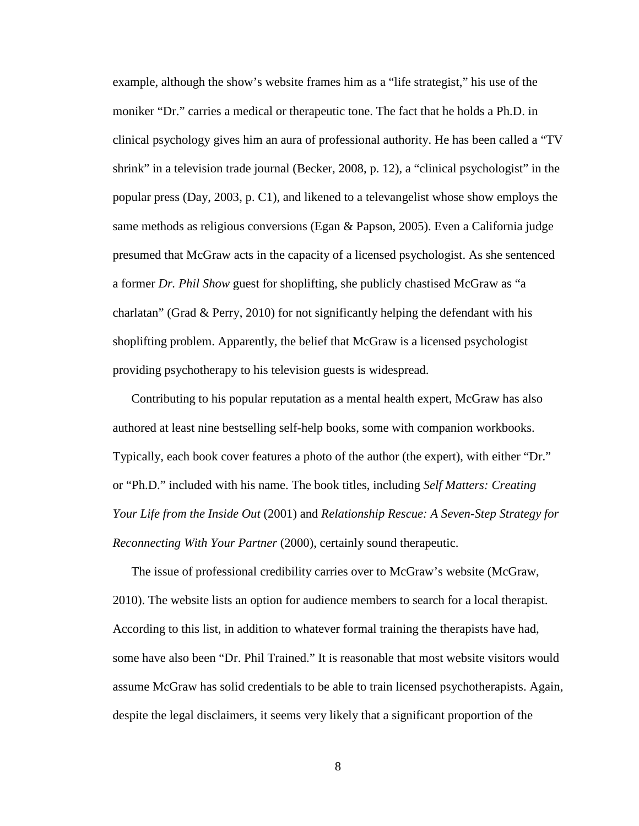example, although the show's website frames him as a "life strategist," his use of the moniker "Dr." carries a medical or therapeutic tone. The fact that he holds a Ph.D. in clinical psychology gives him an aura of professional authority. He has been called a "TV shrink" in a television trade journal (Becker, 2008, p. 12), a "clinical psychologist" in the popular press (Day, 2003, p. C1), and likened to a televangelist whose show employs the same methods as religious conversions (Egan & Papson, 2005). Even a California judge presumed that McGraw acts in the capacity of a licensed psychologist. As she sentenced a former *Dr. Phil Show* guest for shoplifting, she publicly chastised McGraw as "a charlatan" (Grad & Perry, 2010) for not significantly helping the defendant with his shoplifting problem. Apparently, the belief that McGraw is a licensed psychologist providing psychotherapy to his television guests is widespread.

Contributing to his popular reputation as a mental health expert, McGraw has also authored at least nine bestselling self-help books, some with companion workbooks. Typically, each book cover features a photo of the author (the expert), with either "Dr." or "Ph.D." included with his name. The book titles, including *Self Matters: Creating Your Life from the Inside Out* (2001) and *Relationship Rescue: A Seven-Step Strategy for Reconnecting With Your Partner* (2000), certainly sound therapeutic.

The issue of professional credibility carries over to McGraw's website (McGraw, 2010). The website lists an option for audience members to search for a local therapist. According to this list, in addition to whatever formal training the therapists have had, some have also been "Dr. Phil Trained." It is reasonable that most website visitors would assume McGraw has solid credentials to be able to train licensed psychotherapists. Again, despite the legal disclaimers, it seems very likely that a significant proportion of the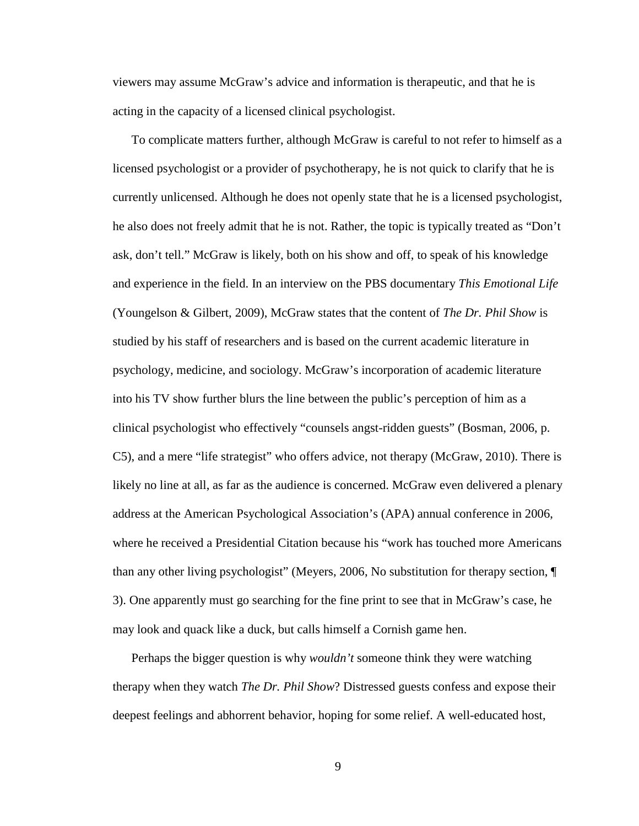viewers may assume McGraw's advice and information is therapeutic, and that he is acting in the capacity of a licensed clinical psychologist.

To complicate matters further, although McGraw is careful to not refer to himself as a licensed psychologist or a provider of psychotherapy, he is not quick to clarify that he is currently unlicensed. Although he does not openly state that he is a licensed psychologist, he also does not freely admit that he is not. Rather, the topic is typically treated as "Don't ask, don't tell." McGraw is likely, both on his show and off, to speak of his knowledge and experience in the field. In an interview on the PBS documentary *This Emotional Life* (Youngelson & Gilbert, 2009), McGraw states that the content of *The Dr. Phil Show* is studied by his staff of researchers and is based on the current academic literature in psychology, medicine, and sociology. McGraw's incorporation of academic literature into his TV show further blurs the line between the public's perception of him as a clinical psychologist who effectively "counsels angst-ridden guests" (Bosman, 2006, p. C5), and a mere "life strategist" who offers advice, not therapy (McGraw, 2010). There is likely no line at all, as far as the audience is concerned. McGraw even delivered a plenary address at the American Psychological Association's (APA) annual conference in 2006, where he received a Presidential Citation because his "work has touched more Americans than any other living psychologist" (Meyers, 2006, No substitution for therapy section, ¶ 3). One apparently must go searching for the fine print to see that in McGraw's case, he may look and quack like a duck, but calls himself a Cornish game hen.

Perhaps the bigger question is why *wouldn't* someone think they were watching therapy when they watch *The Dr. Phil Show*? Distressed guests confess and expose their deepest feelings and abhorrent behavior, hoping for some relief. A well-educated host,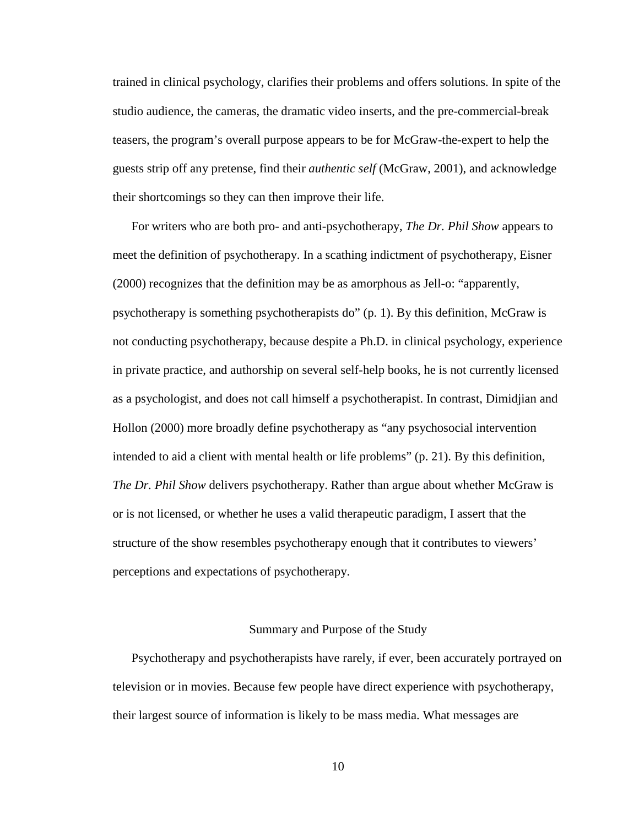trained in clinical psychology, clarifies their problems and offers solutions. In spite of the studio audience, the cameras, the dramatic video inserts, and the pre-commercial-break teasers, the program's overall purpose appears to be for McGraw-the-expert to help the guests strip off any pretense, find their *authentic self* (McGraw, 2001), and acknowledge their shortcomings so they can then improve their life.

For writers who are both pro- and anti-psychotherapy, *The Dr. Phil Show* appears to meet the definition of psychotherapy. In a scathing indictment of psychotherapy, Eisner (2000) recognizes that the definition may be as amorphous as Jell-o: "apparently, psychotherapy is something psychotherapists do" (p. 1). By this definition, McGraw is not conducting psychotherapy, because despite a Ph.D. in clinical psychology, experience in private practice, and authorship on several self-help books, he is not currently licensed as a psychologist, and does not call himself a psychotherapist. In contrast, Dimidjian and Hollon (2000) more broadly define psychotherapy as "any psychosocial intervention intended to aid a client with mental health or life problems" (p. 21). By this definition, *The Dr. Phil Show* delivers psychotherapy. Rather than argue about whether McGraw is or is not licensed, or whether he uses a valid therapeutic paradigm, I assert that the structure of the show resembles psychotherapy enough that it contributes to viewers' perceptions and expectations of psychotherapy.

#### Summary and Purpose of the Study

Psychotherapy and psychotherapists have rarely, if ever, been accurately portrayed on television or in movies. Because few people have direct experience with psychotherapy, their largest source of information is likely to be mass media. What messages are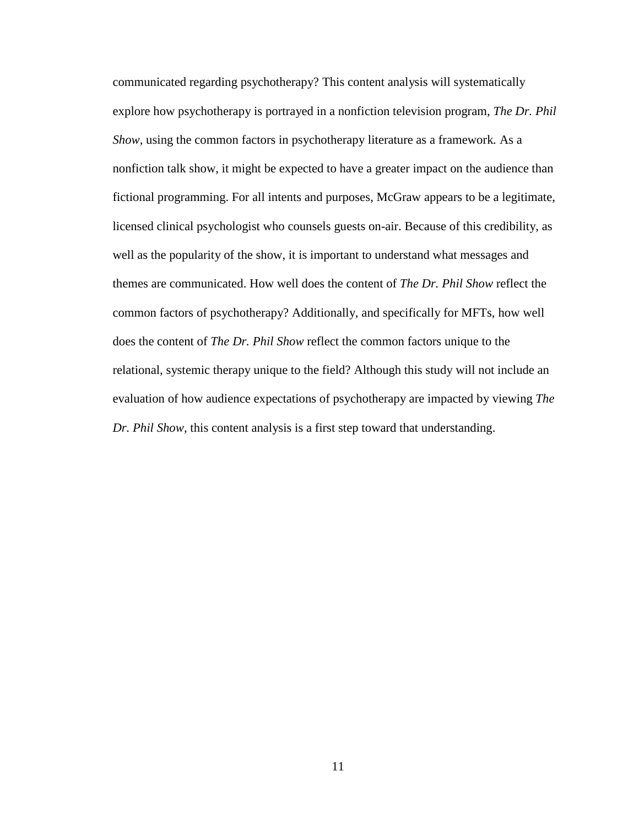communicated regarding psychotherapy? This content analysis will systematically explore how psychotherapy is portrayed in a nonfiction television program, *The Dr. Phil Show,* using the common factors in psychotherapy literature as a framework*.* As a nonfiction talk show, it might be expected to have a greater impact on the audience than fictional programming. For all intents and purposes, McGraw appears to be a legitimate, licensed clinical psychologist who counsels guests on-air. Because of this credibility, as well as the popularity of the show, it is important to understand what messages and themes are communicated. How well does the content of *The Dr. Phil Show* reflect the common factors of psychotherapy? Additionally, and specifically for MFTs, how well does the content of *The Dr. Phil Show* reflect the common factors unique to the relational, systemic therapy unique to the field? Although this study will not include an evaluation of how audience expectations of psychotherapy are impacted by viewing *The Dr. Phil Show,* this content analysis is a first step toward that understanding.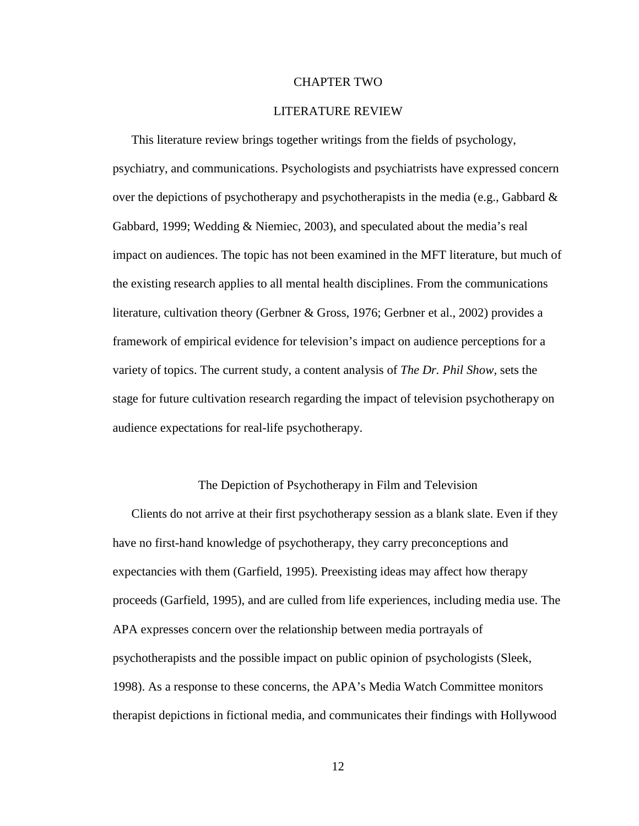#### CHAPTER TWO

#### LITERATURE REVIEW

This literature review brings together writings from the fields of psychology, psychiatry, and communications. Psychologists and psychiatrists have expressed concern over the depictions of psychotherapy and psychotherapists in the media (e.g., Gabbard  $\&$ Gabbard, 1999; Wedding & Niemiec, 2003), and speculated about the media's real impact on audiences. The topic has not been examined in the MFT literature, but much of the existing research applies to all mental health disciplines. From the communications literature, cultivation theory (Gerbner & Gross, 1976; Gerbner et al., 2002) provides a framework of empirical evidence for television's impact on audience perceptions for a variety of topics. The current study, a content analysis of *The Dr. Phil Show,* sets the stage for future cultivation research regarding the impact of television psychotherapy on audience expectations for real-life psychotherapy.

#### The Depiction of Psychotherapy in Film and Television

Clients do not arrive at their first psychotherapy session as a blank slate. Even if they have no first-hand knowledge of psychotherapy, they carry preconceptions and expectancies with them (Garfield, 1995). Preexisting ideas may affect how therapy proceeds (Garfield, 1995), and are culled from life experiences, including media use. The APA expresses concern over the relationship between media portrayals of psychotherapists and the possible impact on public opinion of psychologists (Sleek, 1998). As a response to these concerns, the APA's Media Watch Committee monitors therapist depictions in fictional media, and communicates their findings with Hollywood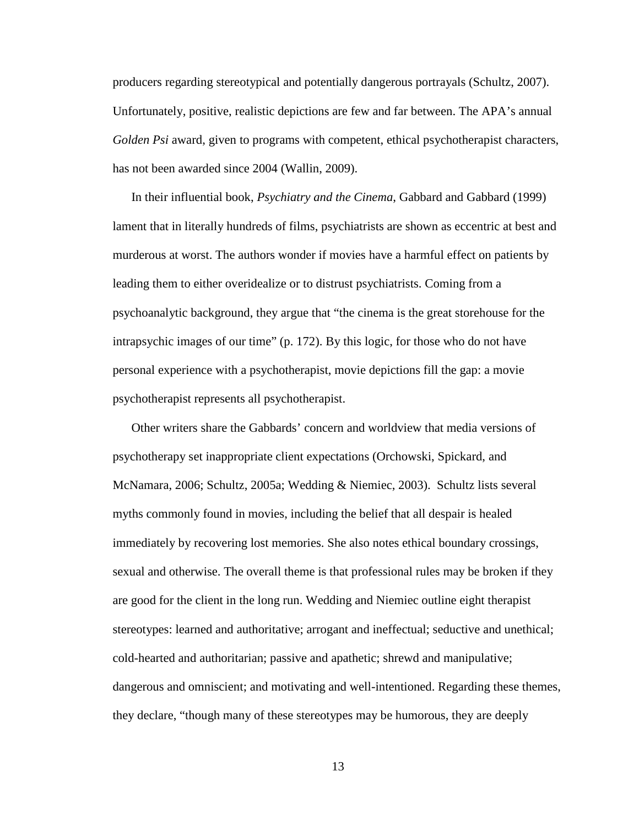producers regarding stereotypical and potentially dangerous portrayals (Schultz, 2007). Unfortunately, positive, realistic depictions are few and far between. The APA's annual *Golden Psi* award, given to programs with competent, ethical psychotherapist characters, has not been awarded since 2004 (Wallin, 2009).

In their influential book, *Psychiatry and the Cinema*, Gabbard and Gabbard (1999) lament that in literally hundreds of films, psychiatrists are shown as eccentric at best and murderous at worst. The authors wonder if movies have a harmful effect on patients by leading them to either overidealize or to distrust psychiatrists. Coming from a psychoanalytic background, they argue that "the cinema is the great storehouse for the intrapsychic images of our time" (p. 172). By this logic, for those who do not have personal experience with a psychotherapist, movie depictions fill the gap: a movie psychotherapist represents all psychotherapist.

Other writers share the Gabbards' concern and worldview that media versions of psychotherapy set inappropriate client expectations (Orchowski, Spickard, and McNamara, 2006; Schultz, 2005a; Wedding & Niemiec, 2003). Schultz lists several myths commonly found in movies, including the belief that all despair is healed immediately by recovering lost memories. She also notes ethical boundary crossings, sexual and otherwise. The overall theme is that professional rules may be broken if they are good for the client in the long run. Wedding and Niemiec outline eight therapist stereotypes: learned and authoritative; arrogant and ineffectual; seductive and unethical; cold-hearted and authoritarian; passive and apathetic; shrewd and manipulative; dangerous and omniscient; and motivating and well-intentioned. Regarding these themes, they declare, "though many of these stereotypes may be humorous, they are deeply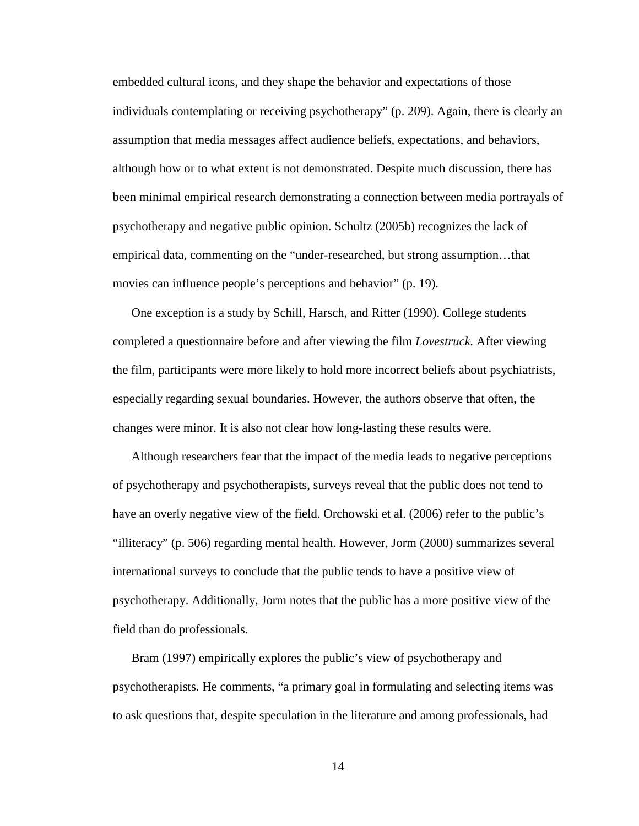embedded cultural icons, and they shape the behavior and expectations of those individuals contemplating or receiving psychotherapy" (p. 209). Again, there is clearly an assumption that media messages affect audience beliefs, expectations, and behaviors, although how or to what extent is not demonstrated. Despite much discussion, there has been minimal empirical research demonstrating a connection between media portrayals of psychotherapy and negative public opinion. Schultz (2005b) recognizes the lack of empirical data, commenting on the "under-researched, but strong assumption…that movies can influence people's perceptions and behavior" (p. 19).

One exception is a study by Schill, Harsch, and Ritter (1990). College students completed a questionnaire before and after viewing the film *Lovestruck.* After viewing the film, participants were more likely to hold more incorrect beliefs about psychiatrists, especially regarding sexual boundaries. However, the authors observe that often, the changes were minor. It is also not clear how long-lasting these results were.

Although researchers fear that the impact of the media leads to negative perceptions of psychotherapy and psychotherapists, surveys reveal that the public does not tend to have an overly negative view of the field. Orchowski et al. (2006) refer to the public's "illiteracy" (p. 506) regarding mental health. However, Jorm (2000) summarizes several international surveys to conclude that the public tends to have a positive view of psychotherapy. Additionally, Jorm notes that the public has a more positive view of the field than do professionals.

Bram (1997) empirically explores the public's view of psychotherapy and psychotherapists. He comments, "a primary goal in formulating and selecting items was to ask questions that, despite speculation in the literature and among professionals, had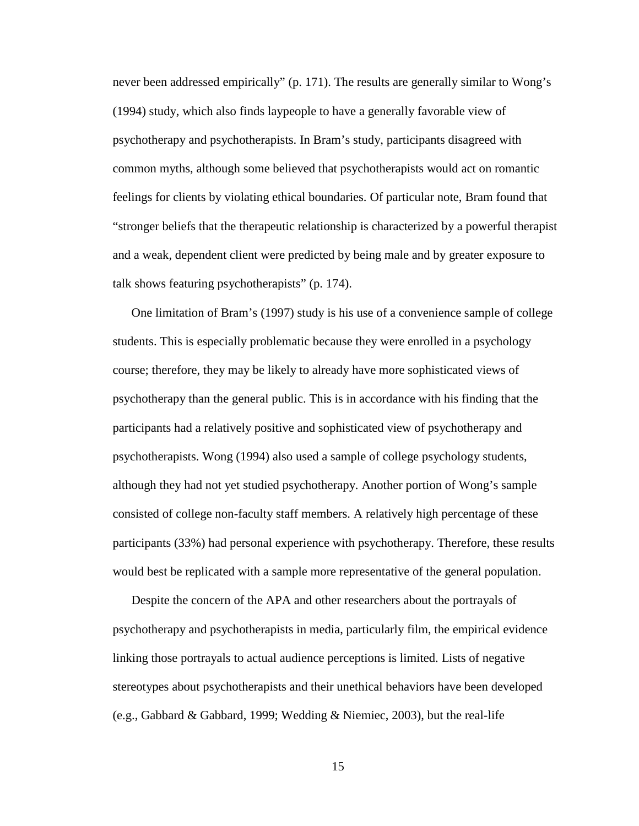never been addressed empirically" (p. 171). The results are generally similar to Wong's (1994) study, which also finds laypeople to have a generally favorable view of psychotherapy and psychotherapists. In Bram's study, participants disagreed with common myths, although some believed that psychotherapists would act on romantic feelings for clients by violating ethical boundaries. Of particular note, Bram found that "stronger beliefs that the therapeutic relationship is characterized by a powerful therapist and a weak, dependent client were predicted by being male and by greater exposure to talk shows featuring psychotherapists" (p. 174).

One limitation of Bram's (1997) study is his use of a convenience sample of college students. This is especially problematic because they were enrolled in a psychology course; therefore, they may be likely to already have more sophisticated views of psychotherapy than the general public. This is in accordance with his finding that the participants had a relatively positive and sophisticated view of psychotherapy and psychotherapists. Wong (1994) also used a sample of college psychology students, although they had not yet studied psychotherapy. Another portion of Wong's sample consisted of college non-faculty staff members. A relatively high percentage of these participants (33%) had personal experience with psychotherapy. Therefore, these results would best be replicated with a sample more representative of the general population.

Despite the concern of the APA and other researchers about the portrayals of psychotherapy and psychotherapists in media, particularly film, the empirical evidence linking those portrayals to actual audience perceptions is limited. Lists of negative stereotypes about psychotherapists and their unethical behaviors have been developed (e.g., Gabbard & Gabbard, 1999; Wedding & Niemiec, 2003), but the real-life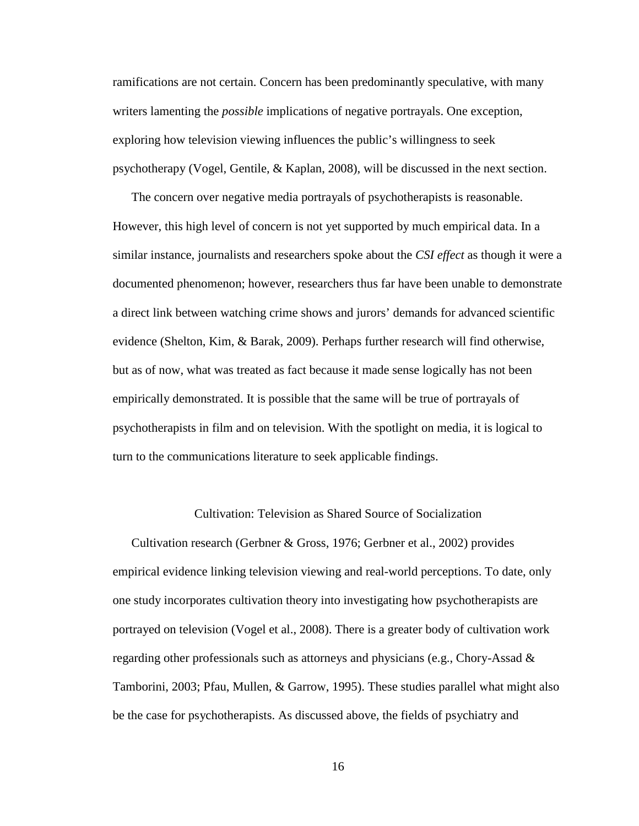ramifications are not certain. Concern has been predominantly speculative, with many writers lamenting the *possible* implications of negative portrayals. One exception, exploring how television viewing influences the public's willingness to seek psychotherapy (Vogel, Gentile, & Kaplan, 2008), will be discussed in the next section.

The concern over negative media portrayals of psychotherapists is reasonable. However, this high level of concern is not yet supported by much empirical data. In a similar instance, journalists and researchers spoke about the *CSI effect* as though it were a documented phenomenon; however, researchers thus far have been unable to demonstrate a direct link between watching crime shows and jurors' demands for advanced scientific evidence (Shelton, Kim, & Barak, 2009). Perhaps further research will find otherwise, but as of now, what was treated as fact because it made sense logically has not been empirically demonstrated. It is possible that the same will be true of portrayals of psychotherapists in film and on television. With the spotlight on media, it is logical to turn to the communications literature to seek applicable findings.

#### Cultivation: Television as Shared Source of Socialization

Cultivation research (Gerbner & Gross, 1976; Gerbner et al., 2002) provides empirical evidence linking television viewing and real-world perceptions. To date, only one study incorporates cultivation theory into investigating how psychotherapists are portrayed on television (Vogel et al., 2008). There is a greater body of cultivation work regarding other professionals such as attorneys and physicians (e.g., Chory-Assad & Tamborini, 2003; Pfau, Mullen, & Garrow, 1995). These studies parallel what might also be the case for psychotherapists. As discussed above, the fields of psychiatry and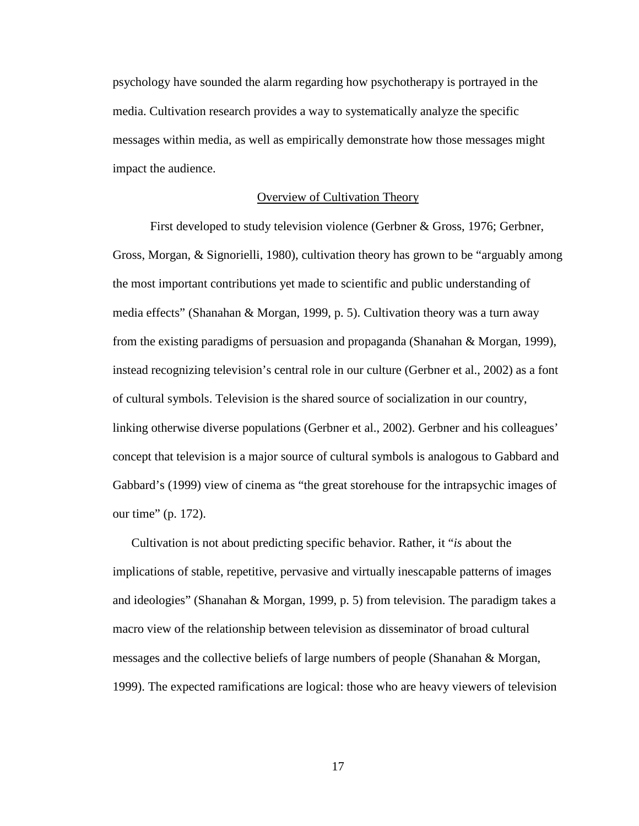psychology have sounded the alarm regarding how psychotherapy is portrayed in the media. Cultivation research provides a way to systematically analyze the specific messages within media, as well as empirically demonstrate how those messages might impact the audience.

#### Overview of Cultivation Theory

 First developed to study television violence (Gerbner & Gross, 1976; Gerbner, Gross, Morgan, & Signorielli, 1980), cultivation theory has grown to be "arguably among the most important contributions yet made to scientific and public understanding of media effects" (Shanahan & Morgan, 1999, p. 5). Cultivation theory was a turn away from the existing paradigms of persuasion and propaganda (Shanahan & Morgan, 1999), instead recognizing television's central role in our culture (Gerbner et al., 2002) as a font of cultural symbols. Television is the shared source of socialization in our country, linking otherwise diverse populations (Gerbner et al., 2002). Gerbner and his colleagues' concept that television is a major source of cultural symbols is analogous to Gabbard and Gabbard's (1999) view of cinema as "the great storehouse for the intrapsychic images of our time" (p. 172).

Cultivation is not about predicting specific behavior. Rather, it "*is* about the implications of stable, repetitive, pervasive and virtually inescapable patterns of images and ideologies" (Shanahan & Morgan, 1999, p. 5) from television. The paradigm takes a macro view of the relationship between television as disseminator of broad cultural messages and the collective beliefs of large numbers of people (Shanahan & Morgan, 1999). The expected ramifications are logical: those who are heavy viewers of television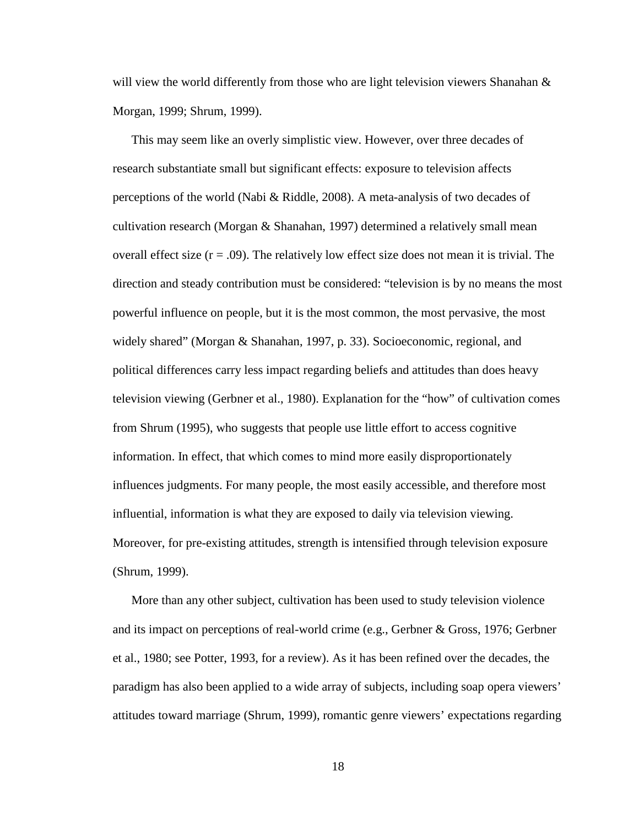will view the world differently from those who are light television viewers Shanahan  $\&$ Morgan, 1999; Shrum, 1999).

This may seem like an overly simplistic view. However, over three decades of research substantiate small but significant effects: exposure to television affects perceptions of the world (Nabi & Riddle, 2008). A meta-analysis of two decades of cultivation research (Morgan & Shanahan, 1997) determined a relatively small mean overall effect size  $(r = .09)$ . The relatively low effect size does not mean it is trivial. The direction and steady contribution must be considered: "television is by no means the most powerful influence on people, but it is the most common, the most pervasive, the most widely shared" (Morgan & Shanahan, 1997, p. 33). Socioeconomic, regional, and political differences carry less impact regarding beliefs and attitudes than does heavy television viewing (Gerbner et al., 1980). Explanation for the "how" of cultivation comes from Shrum (1995), who suggests that people use little effort to access cognitive information. In effect, that which comes to mind more easily disproportionately influences judgments. For many people, the most easily accessible, and therefore most influential, information is what they are exposed to daily via television viewing. Moreover, for pre-existing attitudes, strength is intensified through television exposure (Shrum, 1999).

More than any other subject, cultivation has been used to study television violence and its impact on perceptions of real-world crime (e.g., Gerbner & Gross, 1976; Gerbner et al., 1980; see Potter, 1993, for a review). As it has been refined over the decades, the paradigm has also been applied to a wide array of subjects, including soap opera viewers' attitudes toward marriage (Shrum, 1999), romantic genre viewers' expectations regarding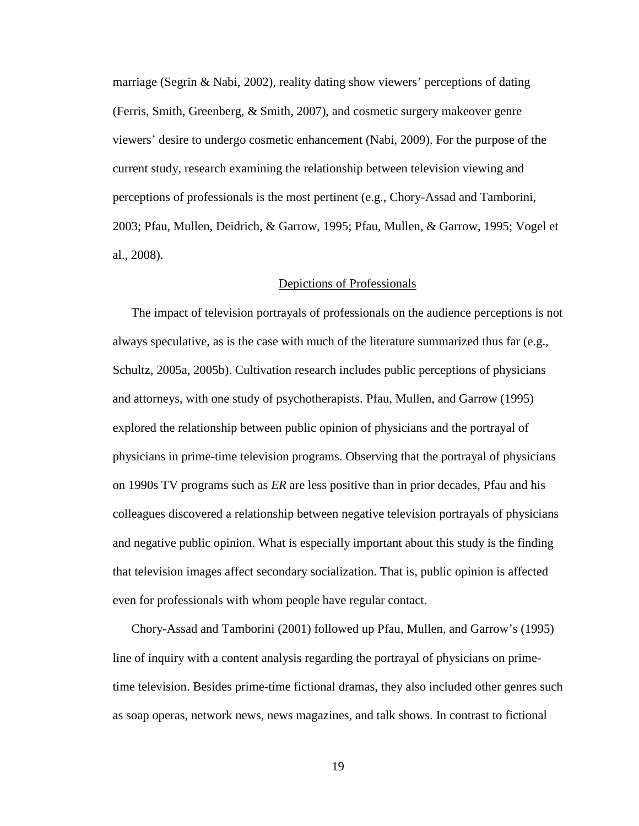marriage (Segrin & Nabi, 2002), reality dating show viewers' perceptions of dating (Ferris, Smith, Greenberg, & Smith, 2007), and cosmetic surgery makeover genre viewers' desire to undergo cosmetic enhancement (Nabi, 2009). For the purpose of the current study, research examining the relationship between television viewing and perceptions of professionals is the most pertinent (e.g., Chory-Assad and Tamborini, 2003; Pfau, Mullen, Deidrich, & Garrow, 1995; Pfau, Mullen, & Garrow, 1995; Vogel et al., 2008).

#### Depictions of Professionals

The impact of television portrayals of professionals on the audience perceptions is not always speculative, as is the case with much of the literature summarized thus far (e.g., Schultz, 2005a, 2005b). Cultivation research includes public perceptions of physicians and attorneys, with one study of psychotherapists. Pfau, Mullen, and Garrow (1995) explored the relationship between public opinion of physicians and the portrayal of physicians in prime-time television programs. Observing that the portrayal of physicians on 1990s TV programs such as *ER* are less positive than in prior decades, Pfau and his colleagues discovered a relationship between negative television portrayals of physicians and negative public opinion. What is especially important about this study is the finding that television images affect secondary socialization. That is, public opinion is affected even for professionals with whom people have regular contact.

Chory-Assad and Tamborini (2001) followed up Pfau, Mullen, and Garrow's (1995) line of inquiry with a content analysis regarding the portrayal of physicians on primetime television. Besides prime-time fictional dramas, they also included other genres such as soap operas, network news, news magazines, and talk shows. In contrast to fictional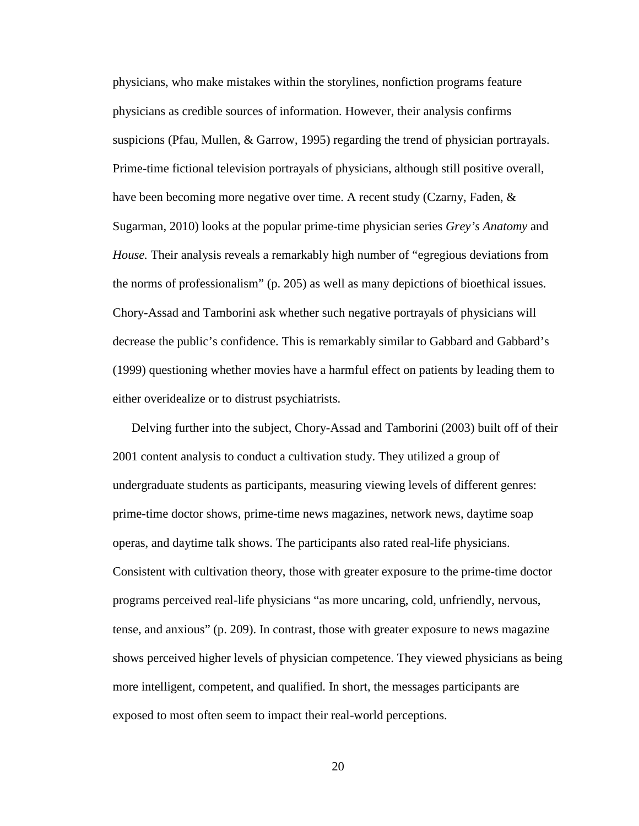physicians, who make mistakes within the storylines, nonfiction programs feature physicians as credible sources of information. However, their analysis confirms suspicions (Pfau, Mullen, & Garrow, 1995) regarding the trend of physician portrayals. Prime-time fictional television portrayals of physicians, although still positive overall, have been becoming more negative over time. A recent study (Czarny, Faden, & Sugarman, 2010) looks at the popular prime-time physician series *Grey's Anatomy* and *House.* Their analysis reveals a remarkably high number of "egregious deviations from the norms of professionalism" (p. 205) as well as many depictions of bioethical issues. Chory-Assad and Tamborini ask whether such negative portrayals of physicians will decrease the public's confidence. This is remarkably similar to Gabbard and Gabbard's (1999) questioning whether movies have a harmful effect on patients by leading them to either overidealize or to distrust psychiatrists.

Delving further into the subject, Chory-Assad and Tamborini (2003) built off of their 2001 content analysis to conduct a cultivation study. They utilized a group of undergraduate students as participants, measuring viewing levels of different genres: prime-time doctor shows, prime-time news magazines, network news, daytime soap operas, and daytime talk shows. The participants also rated real-life physicians. Consistent with cultivation theory, those with greater exposure to the prime-time doctor programs perceived real-life physicians "as more uncaring, cold, unfriendly, nervous, tense, and anxious" (p. 209). In contrast, those with greater exposure to news magazine shows perceived higher levels of physician competence. They viewed physicians as being more intelligent, competent, and qualified. In short, the messages participants are exposed to most often seem to impact their real-world perceptions.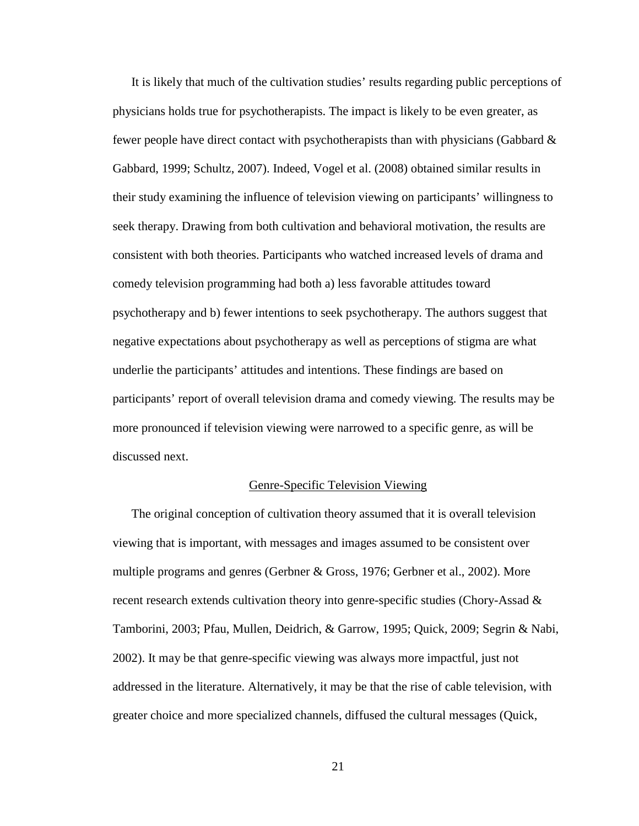It is likely that much of the cultivation studies' results regarding public perceptions of physicians holds true for psychotherapists. The impact is likely to be even greater, as fewer people have direct contact with psychotherapists than with physicians (Gabbard  $\&$ Gabbard, 1999; Schultz, 2007). Indeed, Vogel et al. (2008) obtained similar results in their study examining the influence of television viewing on participants' willingness to seek therapy. Drawing from both cultivation and behavioral motivation, the results are consistent with both theories. Participants who watched increased levels of drama and comedy television programming had both a) less favorable attitudes toward psychotherapy and b) fewer intentions to seek psychotherapy. The authors suggest that negative expectations about psychotherapy as well as perceptions of stigma are what underlie the participants' attitudes and intentions. These findings are based on participants' report of overall television drama and comedy viewing. The results may be more pronounced if television viewing were narrowed to a specific genre, as will be discussed next.

#### Genre-Specific Television Viewing

The original conception of cultivation theory assumed that it is overall television viewing that is important, with messages and images assumed to be consistent over multiple programs and genres (Gerbner & Gross, 1976; Gerbner et al., 2002). More recent research extends cultivation theory into genre-specific studies (Chory-Assad & Tamborini, 2003; Pfau, Mullen, Deidrich, & Garrow, 1995; Quick, 2009; Segrin & Nabi, 2002). It may be that genre-specific viewing was always more impactful, just not addressed in the literature. Alternatively, it may be that the rise of cable television, with greater choice and more specialized channels, diffused the cultural messages (Quick,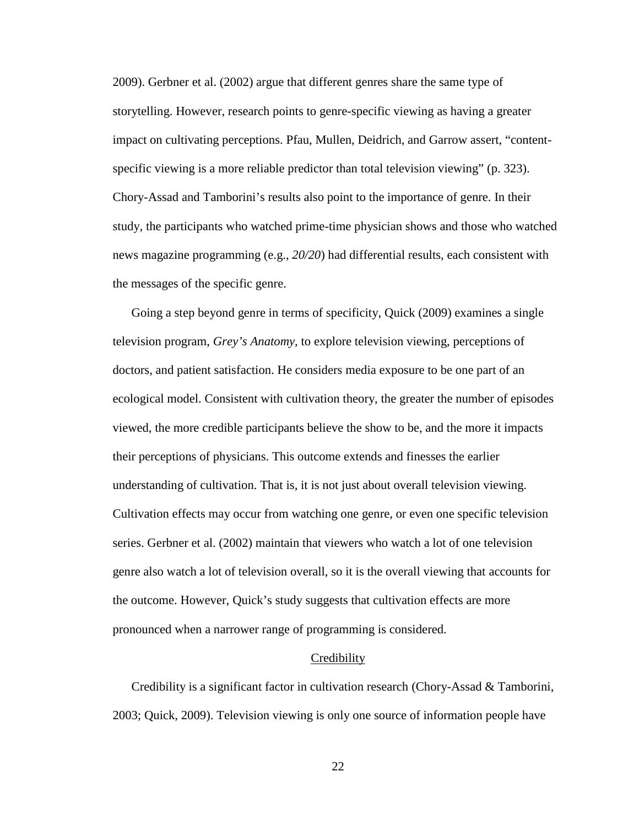2009). Gerbner et al. (2002) argue that different genres share the same type of storytelling. However, research points to genre-specific viewing as having a greater impact on cultivating perceptions. Pfau, Mullen, Deidrich, and Garrow assert, "contentspecific viewing is a more reliable predictor than total television viewing" (p. 323). Chory-Assad and Tamborini's results also point to the importance of genre. In their study, the participants who watched prime-time physician shows and those who watched news magazine programming (e.g., *20/20*) had differential results, each consistent with the messages of the specific genre.

Going a step beyond genre in terms of specificity, Quick (2009) examines a single television program, *Grey's Anatomy*, to explore television viewing, perceptions of doctors, and patient satisfaction. He considers media exposure to be one part of an ecological model. Consistent with cultivation theory, the greater the number of episodes viewed, the more credible participants believe the show to be, and the more it impacts their perceptions of physicians. This outcome extends and finesses the earlier understanding of cultivation. That is, it is not just about overall television viewing. Cultivation effects may occur from watching one genre, or even one specific television series. Gerbner et al. (2002) maintain that viewers who watch a lot of one television genre also watch a lot of television overall, so it is the overall viewing that accounts for the outcome. However, Quick's study suggests that cultivation effects are more pronounced when a narrower range of programming is considered.

#### **Credibility**

Credibility is a significant factor in cultivation research (Chory-Assad & Tamborini, 2003; Quick, 2009). Television viewing is only one source of information people have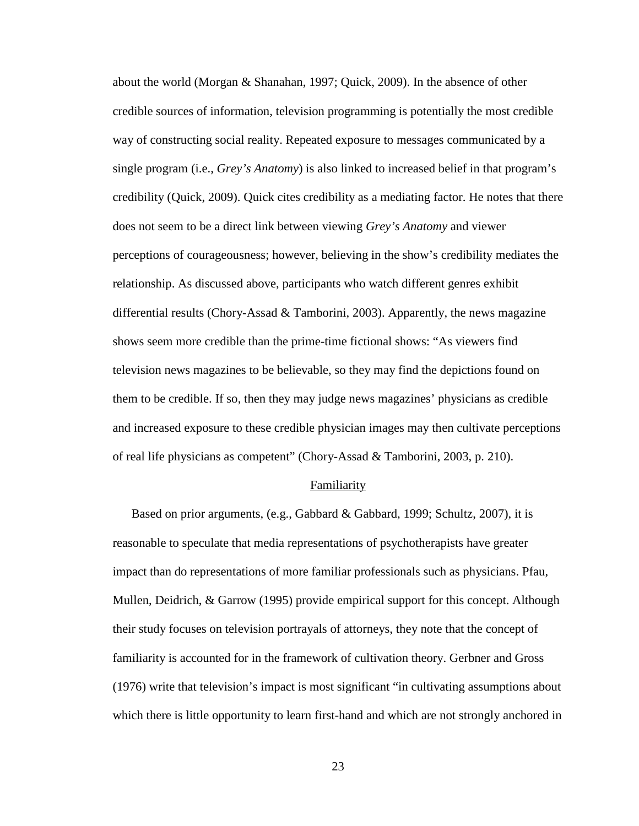about the world (Morgan & Shanahan, 1997; Quick, 2009). In the absence of other credible sources of information, television programming is potentially the most credible way of constructing social reality. Repeated exposure to messages communicated by a single program (i.e., *Grey's Anatomy*) is also linked to increased belief in that program's credibility (Quick, 2009). Quick cites credibility as a mediating factor. He notes that there does not seem to be a direct link between viewing *Grey's Anatomy* and viewer perceptions of courageousness; however, believing in the show's credibility mediates the relationship. As discussed above, participants who watch different genres exhibit differential results (Chory-Assad & Tamborini, 2003). Apparently, the news magazine shows seem more credible than the prime-time fictional shows: "As viewers find television news magazines to be believable, so they may find the depictions found on them to be credible. If so, then they may judge news magazines' physicians as credible and increased exposure to these credible physician images may then cultivate perceptions of real life physicians as competent" (Chory-Assad & Tamborini, 2003, p. 210).

#### Familiarity

Based on prior arguments, (e.g., Gabbard & Gabbard, 1999; Schultz, 2007), it is reasonable to speculate that media representations of psychotherapists have greater impact than do representations of more familiar professionals such as physicians. Pfau, Mullen, Deidrich, & Garrow (1995) provide empirical support for this concept. Although their study focuses on television portrayals of attorneys, they note that the concept of familiarity is accounted for in the framework of cultivation theory. Gerbner and Gross (1976) write that television's impact is most significant "in cultivating assumptions about which there is little opportunity to learn first-hand and which are not strongly anchored in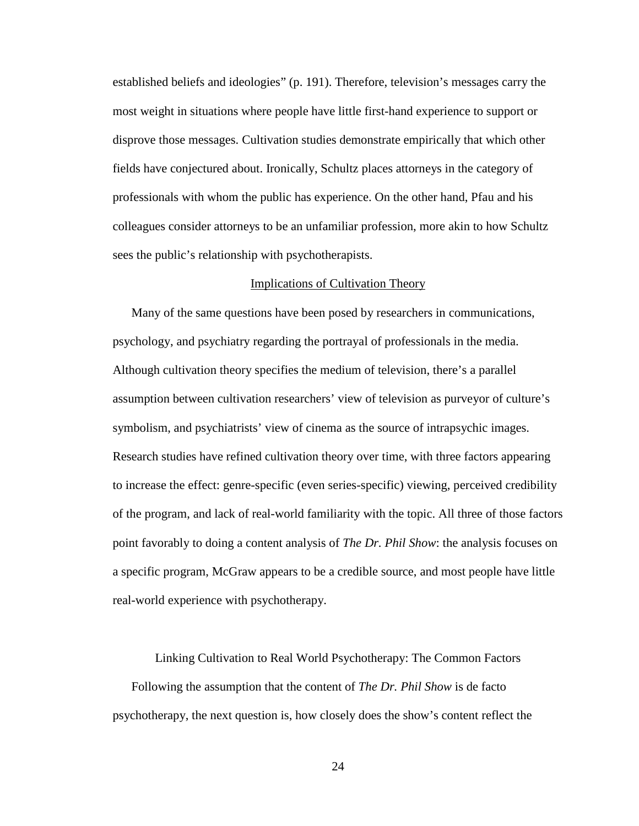established beliefs and ideologies" (p. 191). Therefore, television's messages carry the most weight in situations where people have little first-hand experience to support or disprove those messages. Cultivation studies demonstrate empirically that which other fields have conjectured about. Ironically, Schultz places attorneys in the category of professionals with whom the public has experience. On the other hand, Pfau and his colleagues consider attorneys to be an unfamiliar profession, more akin to how Schultz sees the public's relationship with psychotherapists.

#### Implications of Cultivation Theory

Many of the same questions have been posed by researchers in communications, psychology, and psychiatry regarding the portrayal of professionals in the media. Although cultivation theory specifies the medium of television, there's a parallel assumption between cultivation researchers' view of television as purveyor of culture's symbolism, and psychiatrists' view of cinema as the source of intrapsychic images. Research studies have refined cultivation theory over time, with three factors appearing to increase the effect: genre-specific (even series-specific) viewing, perceived credibility of the program, and lack of real-world familiarity with the topic. All three of those factors point favorably to doing a content analysis of *The Dr. Phil Show*: the analysis focuses on a specific program, McGraw appears to be a credible source, and most people have little real-world experience with psychotherapy.

Linking Cultivation to Real World Psychotherapy: The Common Factors

Following the assumption that the content of *The Dr. Phil Show* is de facto psychotherapy, the next question is, how closely does the show's content reflect the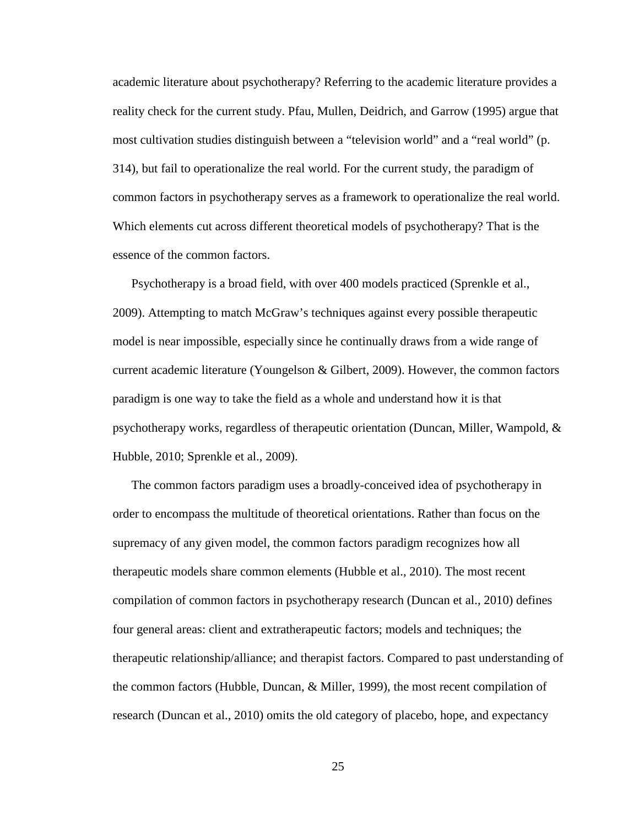academic literature about psychotherapy? Referring to the academic literature provides a reality check for the current study. Pfau, Mullen, Deidrich, and Garrow (1995) argue that most cultivation studies distinguish between a "television world" and a "real world" (p. 314), but fail to operationalize the real world. For the current study, the paradigm of common factors in psychotherapy serves as a framework to operationalize the real world. Which elements cut across different theoretical models of psychotherapy? That is the essence of the common factors.

Psychotherapy is a broad field, with over 400 models practiced (Sprenkle et al., 2009). Attempting to match McGraw's techniques against every possible therapeutic model is near impossible, especially since he continually draws from a wide range of current academic literature (Youngelson & Gilbert, 2009). However, the common factors paradigm is one way to take the field as a whole and understand how it is that psychotherapy works, regardless of therapeutic orientation (Duncan, Miller, Wampold, & Hubble, 2010; Sprenkle et al., 2009).

The common factors paradigm uses a broadly-conceived idea of psychotherapy in order to encompass the multitude of theoretical orientations. Rather than focus on the supremacy of any given model, the common factors paradigm recognizes how all therapeutic models share common elements (Hubble et al., 2010). The most recent compilation of common factors in psychotherapy research (Duncan et al., 2010) defines four general areas: client and extratherapeutic factors; models and techniques; the therapeutic relationship/alliance; and therapist factors. Compared to past understanding of the common factors (Hubble, Duncan, & Miller, 1999), the most recent compilation of research (Duncan et al., 2010) omits the old category of placebo, hope, and expectancy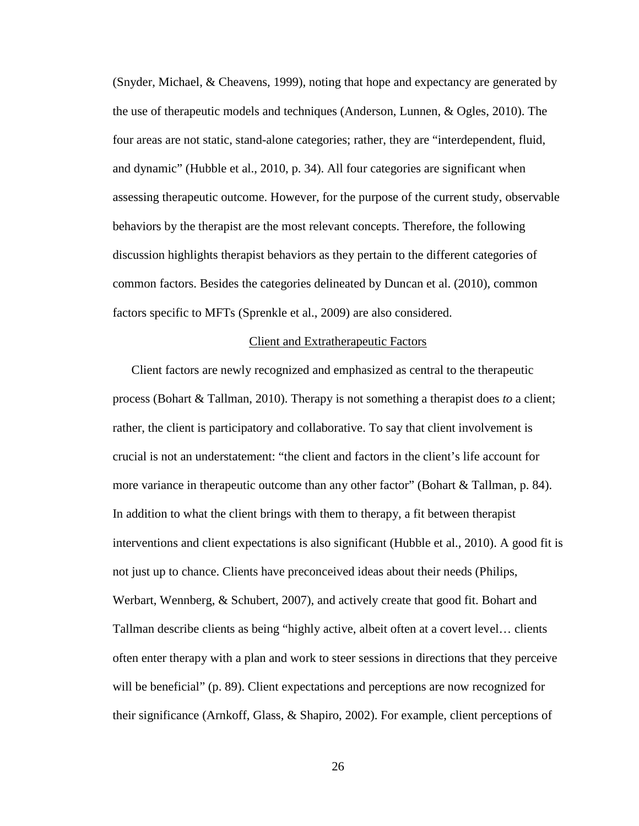(Snyder, Michael, & Cheavens, 1999), noting that hope and expectancy are generated by the use of therapeutic models and techniques (Anderson, Lunnen, & Ogles, 2010). The four areas are not static, stand-alone categories; rather, they are "interdependent, fluid, and dynamic" (Hubble et al., 2010, p. 34). All four categories are significant when assessing therapeutic outcome. However, for the purpose of the current study, observable behaviors by the therapist are the most relevant concepts. Therefore, the following discussion highlights therapist behaviors as they pertain to the different categories of common factors. Besides the categories delineated by Duncan et al. (2010), common factors specific to MFTs (Sprenkle et al., 2009) are also considered.

#### Client and Extratherapeutic Factors

Client factors are newly recognized and emphasized as central to the therapeutic process (Bohart & Tallman, 2010). Therapy is not something a therapist does *to* a client; rather, the client is participatory and collaborative. To say that client involvement is crucial is not an understatement: "the client and factors in the client's life account for more variance in therapeutic outcome than any other factor" (Bohart & Tallman, p. 84). In addition to what the client brings with them to therapy, a fit between therapist interventions and client expectations is also significant (Hubble et al., 2010). A good fit is not just up to chance. Clients have preconceived ideas about their needs (Philips, Werbart, Wennberg, & Schubert, 2007), and actively create that good fit. Bohart and Tallman describe clients as being "highly active, albeit often at a covert level… clients often enter therapy with a plan and work to steer sessions in directions that they perceive will be beneficial" (p. 89). Client expectations and perceptions are now recognized for their significance (Arnkoff, Glass, & Shapiro, 2002). For example, client perceptions of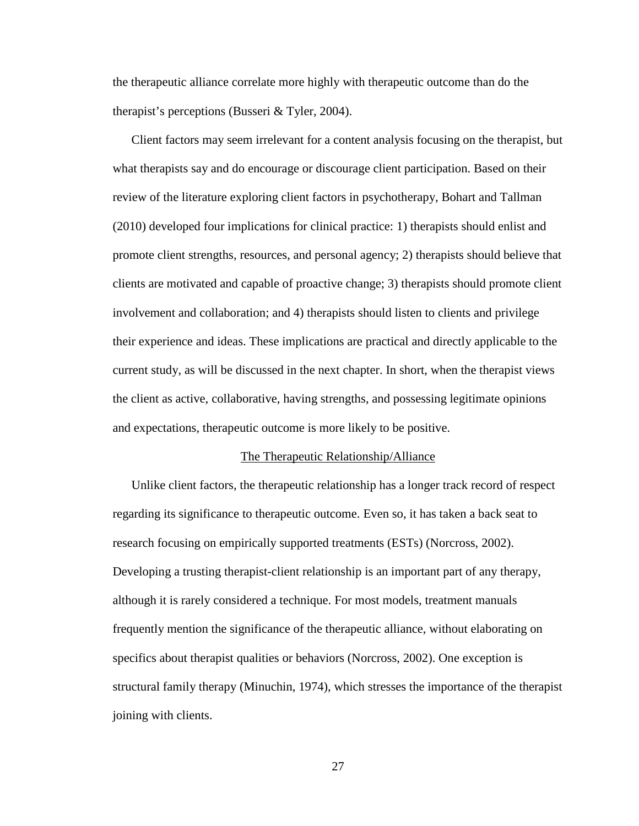the therapeutic alliance correlate more highly with therapeutic outcome than do the therapist's perceptions (Busseri & Tyler, 2004).

Client factors may seem irrelevant for a content analysis focusing on the therapist, but what therapists say and do encourage or discourage client participation. Based on their review of the literature exploring client factors in psychotherapy, Bohart and Tallman (2010) developed four implications for clinical practice: 1) therapists should enlist and promote client strengths, resources, and personal agency; 2) therapists should believe that clients are motivated and capable of proactive change; 3) therapists should promote client involvement and collaboration; and 4) therapists should listen to clients and privilege their experience and ideas. These implications are practical and directly applicable to the current study, as will be discussed in the next chapter. In short, when the therapist views the client as active, collaborative, having strengths, and possessing legitimate opinions and expectations, therapeutic outcome is more likely to be positive.

#### The Therapeutic Relationship/Alliance

Unlike client factors, the therapeutic relationship has a longer track record of respect regarding its significance to therapeutic outcome. Even so, it has taken a back seat to research focusing on empirically supported treatments (ESTs) (Norcross, 2002). Developing a trusting therapist-client relationship is an important part of any therapy, although it is rarely considered a technique. For most models, treatment manuals frequently mention the significance of the therapeutic alliance, without elaborating on specifics about therapist qualities or behaviors (Norcross, 2002). One exception is structural family therapy (Minuchin, 1974), which stresses the importance of the therapist joining with clients.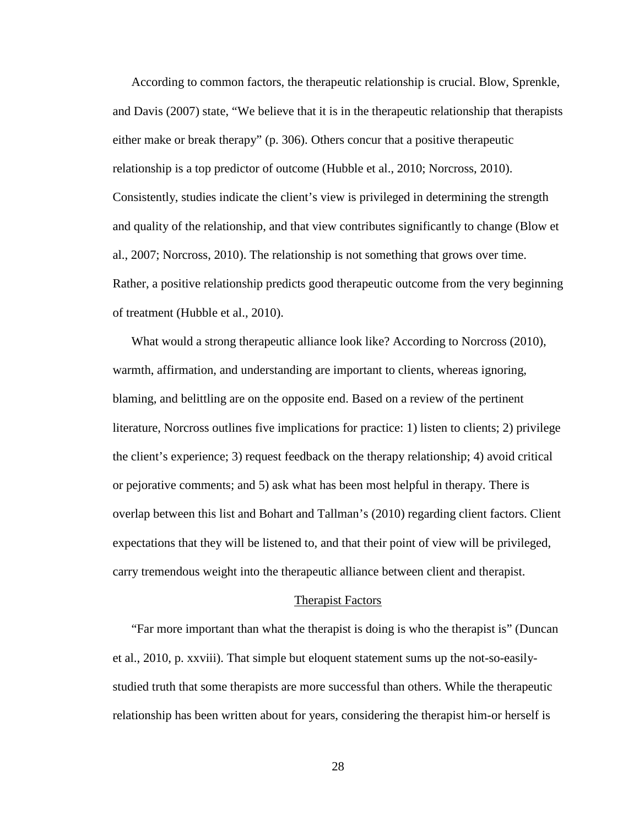According to common factors, the therapeutic relationship is crucial. Blow, Sprenkle, and Davis (2007) state, "We believe that it is in the therapeutic relationship that therapists either make or break therapy" (p. 306). Others concur that a positive therapeutic relationship is a top predictor of outcome (Hubble et al., 2010; Norcross, 2010). Consistently, studies indicate the client's view is privileged in determining the strength and quality of the relationship, and that view contributes significantly to change (Blow et al., 2007; Norcross, 2010). The relationship is not something that grows over time. Rather, a positive relationship predicts good therapeutic outcome from the very beginning of treatment (Hubble et al., 2010).

What would a strong therapeutic alliance look like? According to Norcross (2010), warmth, affirmation, and understanding are important to clients, whereas ignoring, blaming, and belittling are on the opposite end. Based on a review of the pertinent literature, Norcross outlines five implications for practice: 1) listen to clients; 2) privilege the client's experience; 3) request feedback on the therapy relationship; 4) avoid critical or pejorative comments; and 5) ask what has been most helpful in therapy. There is overlap between this list and Bohart and Tallman's (2010) regarding client factors. Client expectations that they will be listened to, and that their point of view will be privileged, carry tremendous weight into the therapeutic alliance between client and therapist.

#### Therapist Factors

"Far more important than what the therapist is doing is who the therapist is" (Duncan et al., 2010, p. xxviii). That simple but eloquent statement sums up the not-so-easilystudied truth that some therapists are more successful than others. While the therapeutic relationship has been written about for years, considering the therapist him-or herself is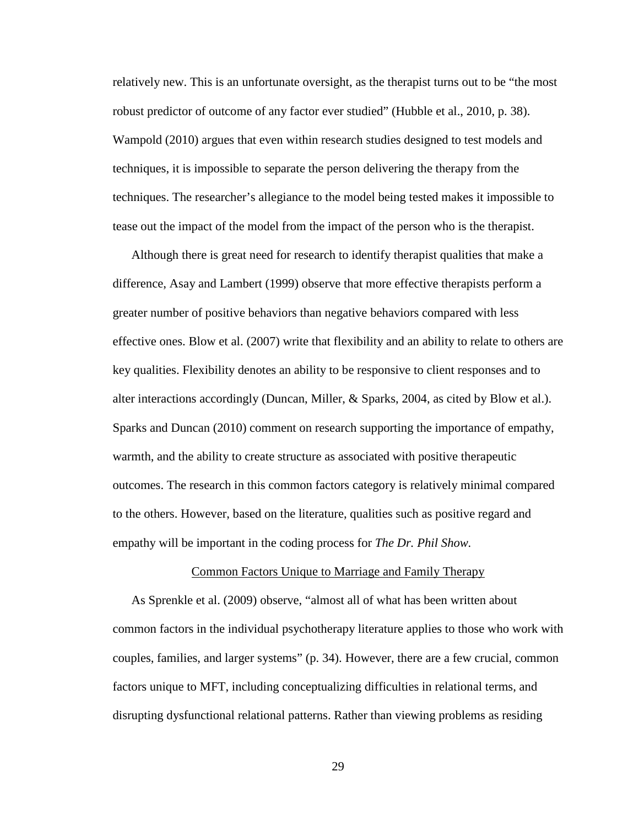relatively new. This is an unfortunate oversight, as the therapist turns out to be "the most robust predictor of outcome of any factor ever studied" (Hubble et al., 2010, p. 38). Wampold (2010) argues that even within research studies designed to test models and techniques, it is impossible to separate the person delivering the therapy from the techniques. The researcher's allegiance to the model being tested makes it impossible to tease out the impact of the model from the impact of the person who is the therapist.

Although there is great need for research to identify therapist qualities that make a difference, Asay and Lambert (1999) observe that more effective therapists perform a greater number of positive behaviors than negative behaviors compared with less effective ones. Blow et al. (2007) write that flexibility and an ability to relate to others are key qualities. Flexibility denotes an ability to be responsive to client responses and to alter interactions accordingly (Duncan, Miller, & Sparks, 2004, as cited by Blow et al.). Sparks and Duncan (2010) comment on research supporting the importance of empathy, warmth, and the ability to create structure as associated with positive therapeutic outcomes. The research in this common factors category is relatively minimal compared to the others. However, based on the literature, qualities such as positive regard and empathy will be important in the coding process for *The Dr. Phil Show.*

#### Common Factors Unique to Marriage and Family Therapy

As Sprenkle et al. (2009) observe, "almost all of what has been written about common factors in the individual psychotherapy literature applies to those who work with couples, families, and larger systems" (p. 34). However, there are a few crucial, common factors unique to MFT, including conceptualizing difficulties in relational terms, and disrupting dysfunctional relational patterns. Rather than viewing problems as residing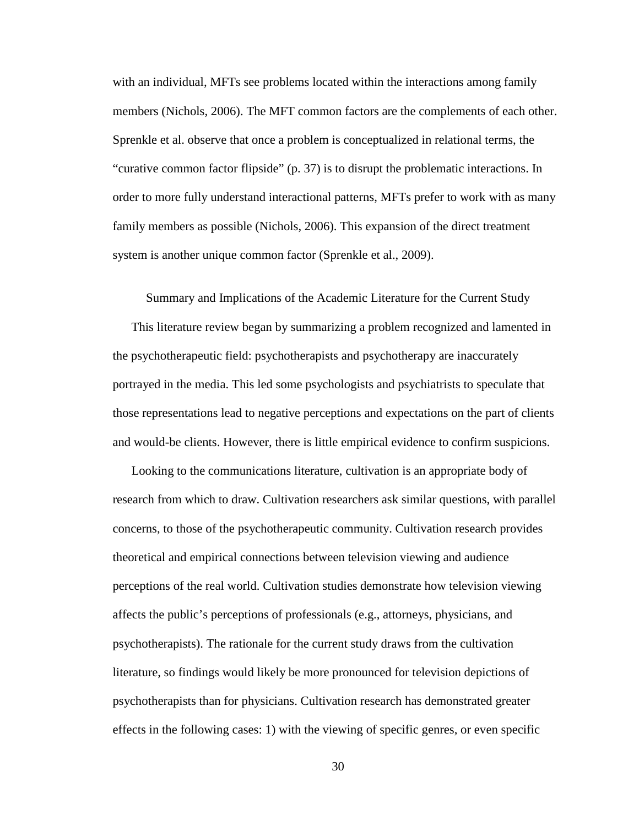with an individual, MFTs see problems located within the interactions among family members (Nichols, 2006). The MFT common factors are the complements of each other. Sprenkle et al. observe that once a problem is conceptualized in relational terms, the "curative common factor flipside" (p. 37) is to disrupt the problematic interactions. In order to more fully understand interactional patterns, MFTs prefer to work with as many family members as possible (Nichols, 2006). This expansion of the direct treatment system is another unique common factor (Sprenkle et al., 2009).

Summary and Implications of the Academic Literature for the Current Study

This literature review began by summarizing a problem recognized and lamented in the psychotherapeutic field: psychotherapists and psychotherapy are inaccurately portrayed in the media. This led some psychologists and psychiatrists to speculate that those representations lead to negative perceptions and expectations on the part of clients and would-be clients. However, there is little empirical evidence to confirm suspicions.

Looking to the communications literature, cultivation is an appropriate body of research from which to draw. Cultivation researchers ask similar questions, with parallel concerns, to those of the psychotherapeutic community. Cultivation research provides theoretical and empirical connections between television viewing and audience perceptions of the real world. Cultivation studies demonstrate how television viewing affects the public's perceptions of professionals (e.g., attorneys, physicians, and psychotherapists). The rationale for the current study draws from the cultivation literature, so findings would likely be more pronounced for television depictions of psychotherapists than for physicians. Cultivation research has demonstrated greater effects in the following cases: 1) with the viewing of specific genres, or even specific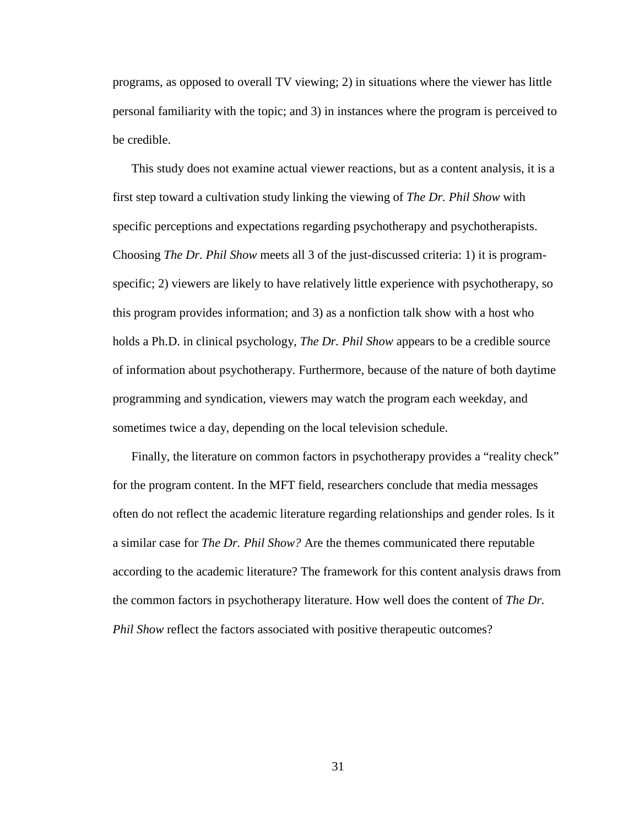programs, as opposed to overall TV viewing; 2) in situations where the viewer has little personal familiarity with the topic; and 3) in instances where the program is perceived to be credible.

This study does not examine actual viewer reactions, but as a content analysis, it is a first step toward a cultivation study linking the viewing of *The Dr. Phil Show* with specific perceptions and expectations regarding psychotherapy and psychotherapists. Choosing *The Dr. Phil Show* meets all 3 of the just-discussed criteria: 1) it is programspecific; 2) viewers are likely to have relatively little experience with psychotherapy, so this program provides information; and 3) as a nonfiction talk show with a host who holds a Ph.D. in clinical psychology, *The Dr. Phil Show* appears to be a credible source of information about psychotherapy. Furthermore, because of the nature of both daytime programming and syndication, viewers may watch the program each weekday, and sometimes twice a day, depending on the local television schedule.

Finally, the literature on common factors in psychotherapy provides a "reality check" for the program content. In the MFT field, researchers conclude that media messages often do not reflect the academic literature regarding relationships and gender roles. Is it a similar case for *The Dr. Phil Show?* Are the themes communicated there reputable according to the academic literature? The framework for this content analysis draws from the common factors in psychotherapy literature. How well does the content of *The Dr. Phil Show* reflect the factors associated with positive therapeutic outcomes?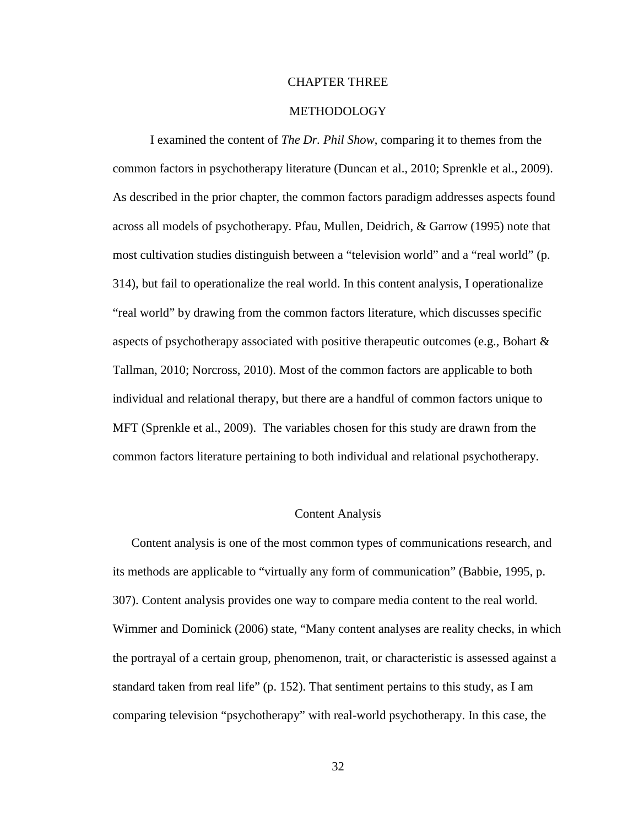## CHAPTER THREE

## METHODOLOGY

I examined the content of *The Dr. Phil Show*, comparing it to themes from the common factors in psychotherapy literature (Duncan et al., 2010; Sprenkle et al., 2009). As described in the prior chapter, the common factors paradigm addresses aspects found across all models of psychotherapy. Pfau, Mullen, Deidrich, & Garrow (1995) note that most cultivation studies distinguish between a "television world" and a "real world" (p. 314), but fail to operationalize the real world. In this content analysis, I operationalize "real world" by drawing from the common factors literature, which discusses specific aspects of psychotherapy associated with positive therapeutic outcomes (e.g., Bohart  $\&$ Tallman, 2010; Norcross, 2010). Most of the common factors are applicable to both individual and relational therapy, but there are a handful of common factors unique to MFT (Sprenkle et al., 2009). The variables chosen for this study are drawn from the common factors literature pertaining to both individual and relational psychotherapy.

# Content Analysis

Content analysis is one of the most common types of communications research, and its methods are applicable to "virtually any form of communication" (Babbie, 1995, p. 307). Content analysis provides one way to compare media content to the real world. Wimmer and Dominick (2006) state, "Many content analyses are reality checks, in which the portrayal of a certain group, phenomenon, trait, or characteristic is assessed against a standard taken from real life" (p. 152). That sentiment pertains to this study, as I am comparing television "psychotherapy" with real-world psychotherapy. In this case, the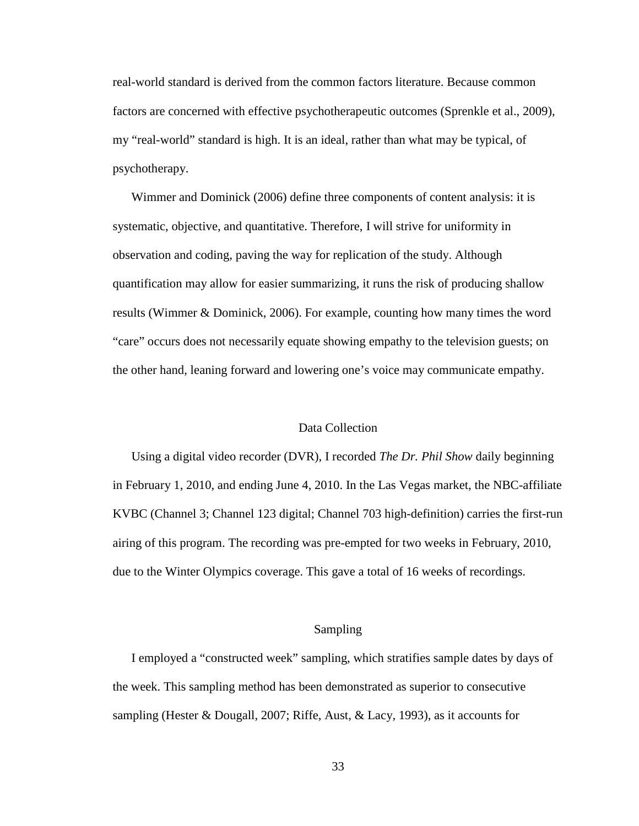real-world standard is derived from the common factors literature. Because common factors are concerned with effective psychotherapeutic outcomes (Sprenkle et al., 2009), my "real-world" standard is high. It is an ideal, rather than what may be typical, of psychotherapy.

Wimmer and Dominick (2006) define three components of content analysis: it is systematic, objective, and quantitative. Therefore, I will strive for uniformity in observation and coding, paving the way for replication of the study. Although quantification may allow for easier summarizing, it runs the risk of producing shallow results (Wimmer & Dominick, 2006). For example, counting how many times the word "care" occurs does not necessarily equate showing empathy to the television guests; on the other hand, leaning forward and lowering one's voice may communicate empathy.

## Data Collection

Using a digital video recorder (DVR), I recorded *The Dr. Phil Show* daily beginning in February 1, 2010, and ending June 4, 2010. In the Las Vegas market, the NBC-affiliate KVBC (Channel 3; Channel 123 digital; Channel 703 high-definition) carries the first-run airing of this program. The recording was pre-empted for two weeks in February, 2010, due to the Winter Olympics coverage. This gave a total of 16 weeks of recordings.

## Sampling

I employed a "constructed week" sampling, which stratifies sample dates by days of the week. This sampling method has been demonstrated as superior to consecutive sampling (Hester & Dougall, 2007; Riffe, Aust, & Lacy, 1993), as it accounts for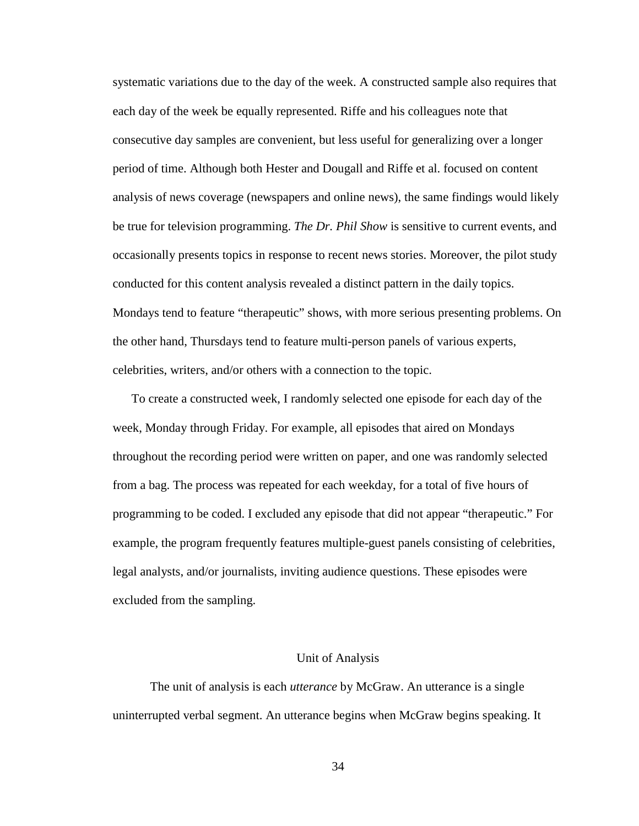systematic variations due to the day of the week. A constructed sample also requires that each day of the week be equally represented. Riffe and his colleagues note that consecutive day samples are convenient, but less useful for generalizing over a longer period of time. Although both Hester and Dougall and Riffe et al. focused on content analysis of news coverage (newspapers and online news), the same findings would likely be true for television programming. *The Dr. Phil Show* is sensitive to current events, and occasionally presents topics in response to recent news stories. Moreover, the pilot study conducted for this content analysis revealed a distinct pattern in the daily topics. Mondays tend to feature "therapeutic" shows, with more serious presenting problems. On the other hand, Thursdays tend to feature multi-person panels of various experts, celebrities, writers, and/or others with a connection to the topic.

To create a constructed week, I randomly selected one episode for each day of the week, Monday through Friday. For example, all episodes that aired on Mondays throughout the recording period were written on paper, and one was randomly selected from a bag. The process was repeated for each weekday, for a total of five hours of programming to be coded. I excluded any episode that did not appear "therapeutic." For example, the program frequently features multiple-guest panels consisting of celebrities, legal analysts, and/or journalists, inviting audience questions. These episodes were excluded from the sampling.

#### Unit of Analysis

 The unit of analysis is each *utterance* by McGraw. An utterance is a single uninterrupted verbal segment. An utterance begins when McGraw begins speaking. It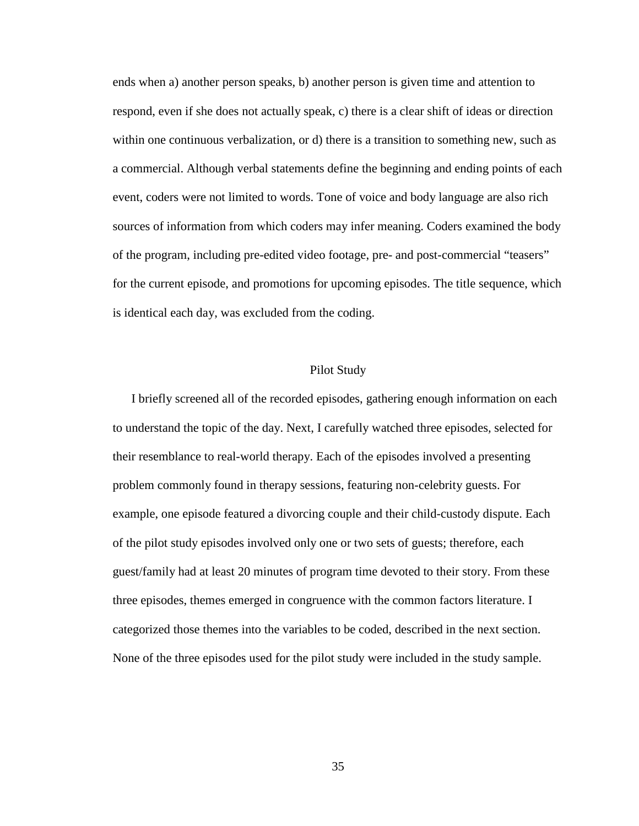ends when a) another person speaks, b) another person is given time and attention to respond, even if she does not actually speak, c) there is a clear shift of ideas or direction within one continuous verbalization, or d) there is a transition to something new, such as a commercial. Although verbal statements define the beginning and ending points of each event, coders were not limited to words. Tone of voice and body language are also rich sources of information from which coders may infer meaning. Coders examined the body of the program, including pre-edited video footage, pre- and post-commercial "teasers" for the current episode, and promotions for upcoming episodes. The title sequence, which is identical each day, was excluded from the coding.

# Pilot Study

I briefly screened all of the recorded episodes, gathering enough information on each to understand the topic of the day. Next, I carefully watched three episodes*,* selected for their resemblance to real-world therapy. Each of the episodes involved a presenting problem commonly found in therapy sessions, featuring non-celebrity guests. For example, one episode featured a divorcing couple and their child-custody dispute. Each of the pilot study episodes involved only one or two sets of guests; therefore, each guest/family had at least 20 minutes of program time devoted to their story. From these three episodes, themes emerged in congruence with the common factors literature. I categorized those themes into the variables to be coded, described in the next section. None of the three episodes used for the pilot study were included in the study sample.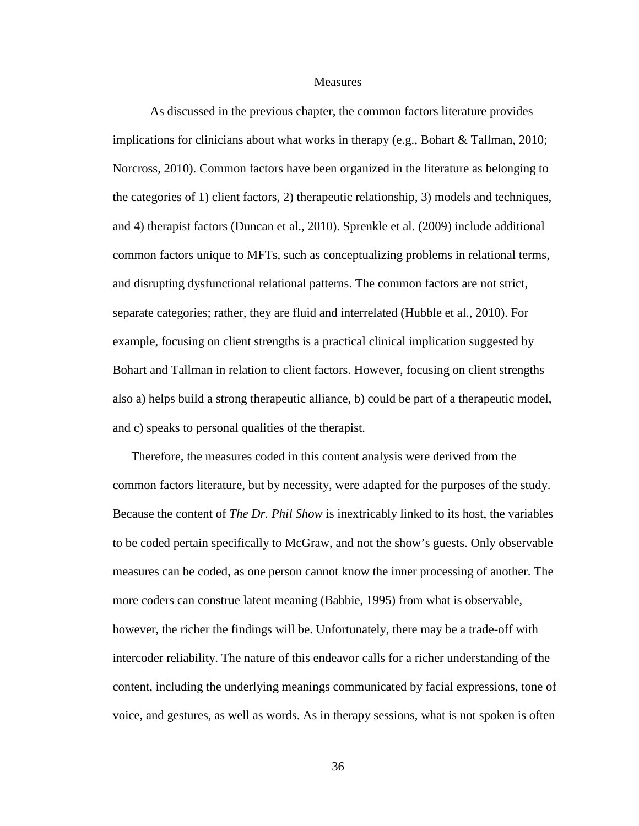#### **Measures**

 As discussed in the previous chapter, the common factors literature provides implications for clinicians about what works in therapy (e.g., Bohart & Tallman, 2010; Norcross, 2010). Common factors have been organized in the literature as belonging to the categories of 1) client factors, 2) therapeutic relationship, 3) models and techniques, and 4) therapist factors (Duncan et al., 2010). Sprenkle et al. (2009) include additional common factors unique to MFTs, such as conceptualizing problems in relational terms, and disrupting dysfunctional relational patterns. The common factors are not strict, separate categories; rather, they are fluid and interrelated (Hubble et al., 2010). For example, focusing on client strengths is a practical clinical implication suggested by Bohart and Tallman in relation to client factors. However, focusing on client strengths also a) helps build a strong therapeutic alliance, b) could be part of a therapeutic model, and c) speaks to personal qualities of the therapist.

Therefore, the measures coded in this content analysis were derived from the common factors literature, but by necessity, were adapted for the purposes of the study. Because the content of *The Dr. Phil Show* is inextricably linked to its host, the variables to be coded pertain specifically to McGraw, and not the show's guests. Only observable measures can be coded, as one person cannot know the inner processing of another. The more coders can construe latent meaning (Babbie, 1995) from what is observable, however, the richer the findings will be. Unfortunately, there may be a trade-off with intercoder reliability. The nature of this endeavor calls for a richer understanding of the content, including the underlying meanings communicated by facial expressions, tone of voice, and gestures, as well as words. As in therapy sessions, what is not spoken is often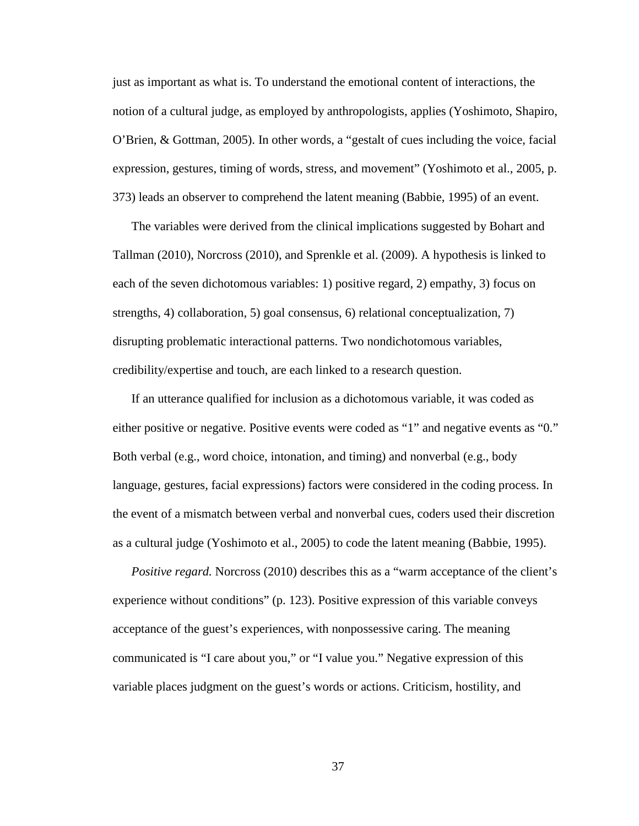just as important as what is. To understand the emotional content of interactions, the notion of a cultural judge, as employed by anthropologists, applies (Yoshimoto, Shapiro, O'Brien, & Gottman, 2005). In other words, a "gestalt of cues including the voice, facial expression, gestures, timing of words, stress, and movement" (Yoshimoto et al., 2005, p. 373) leads an observer to comprehend the latent meaning (Babbie, 1995) of an event.

The variables were derived from the clinical implications suggested by Bohart and Tallman (2010), Norcross (2010), and Sprenkle et al. (2009). A hypothesis is linked to each of the seven dichotomous variables: 1) positive regard, 2) empathy, 3) focus on strengths, 4) collaboration, 5) goal consensus, 6) relational conceptualization, 7) disrupting problematic interactional patterns. Two nondichotomous variables, credibility/expertise and touch, are each linked to a research question.

If an utterance qualified for inclusion as a dichotomous variable, it was coded as either positive or negative. Positive events were coded as "1" and negative events as "0." Both verbal (e.g., word choice, intonation, and timing) and nonverbal (e.g., body language, gestures, facial expressions) factors were considered in the coding process. In the event of a mismatch between verbal and nonverbal cues, coders used their discretion as a cultural judge (Yoshimoto et al., 2005) to code the latent meaning (Babbie, 1995).

*Positive regard.* Norcross (2010) describes this as a "warm acceptance of the client's experience without conditions" (p. 123). Positive expression of this variable conveys acceptance of the guest's experiences, with nonpossessive caring. The meaning communicated is "I care about you," or "I value you." Negative expression of this variable places judgment on the guest's words or actions. Criticism, hostility, and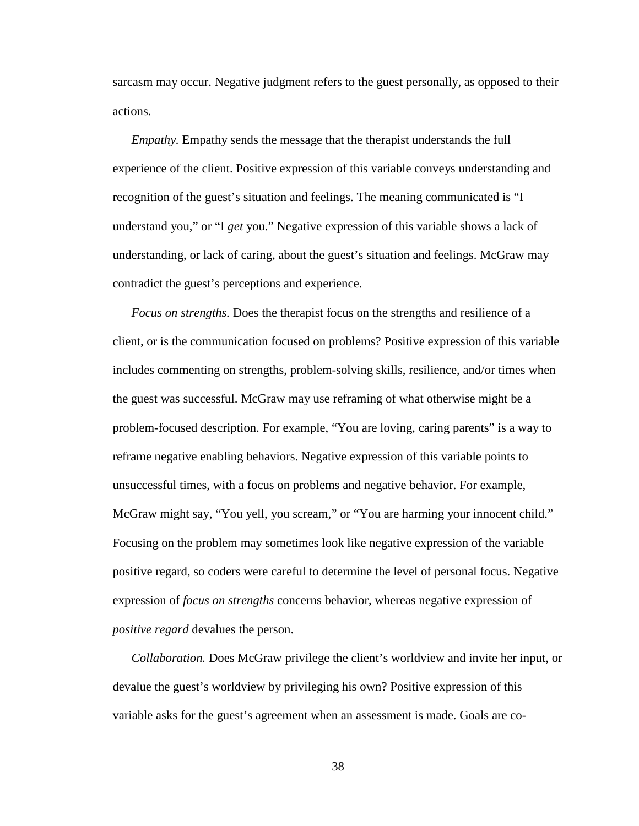sarcasm may occur. Negative judgment refers to the guest personally, as opposed to their actions.

*Empathy.* Empathy sends the message that the therapist understands the full experience of the client. Positive expression of this variable conveys understanding and recognition of the guest's situation and feelings. The meaning communicated is "I understand you," or "I *get* you." Negative expression of this variable shows a lack of understanding, or lack of caring, about the guest's situation and feelings. McGraw may contradict the guest's perceptions and experience.

*Focus on strengths.* Does the therapist focus on the strengths and resilience of a client, or is the communication focused on problems? Positive expression of this variable includes commenting on strengths, problem-solving skills, resilience, and/or times when the guest was successful. McGraw may use reframing of what otherwise might be a problem-focused description. For example, "You are loving, caring parents" is a way to reframe negative enabling behaviors. Negative expression of this variable points to unsuccessful times, with a focus on problems and negative behavior. For example, McGraw might say, "You yell, you scream," or "You are harming your innocent child." Focusing on the problem may sometimes look like negative expression of the variable positive regard, so coders were careful to determine the level of personal focus. Negative expression of *focus on strengths* concerns behavior, whereas negative expression of *positive regard* devalues the person.

*Collaboration.* Does McGraw privilege the client's worldview and invite her input, or devalue the guest's worldview by privileging his own? Positive expression of this variable asks for the guest's agreement when an assessment is made. Goals are co-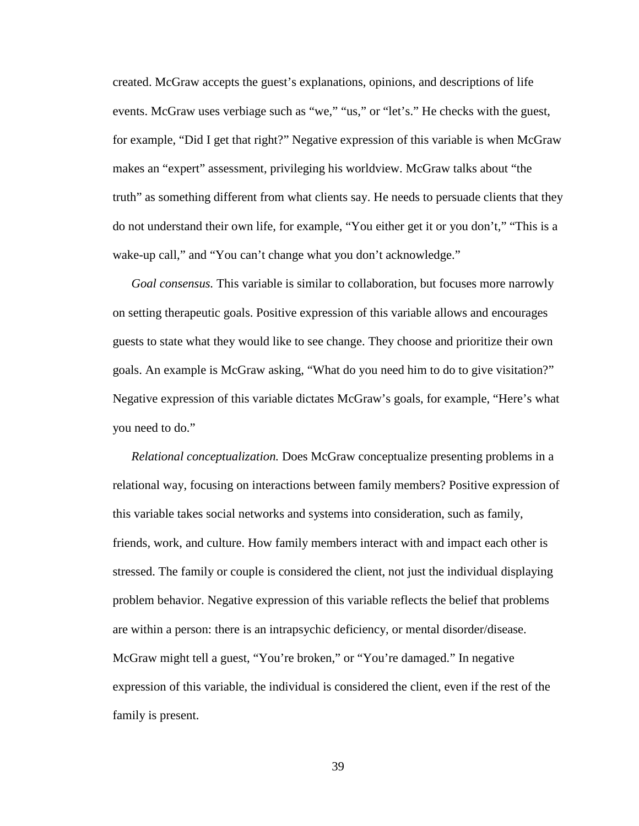created. McGraw accepts the guest's explanations, opinions, and descriptions of life events. McGraw uses verbiage such as "we," "us," or "let's." He checks with the guest, for example, "Did I get that right?" Negative expression of this variable is when McGraw makes an "expert" assessment, privileging his worldview. McGraw talks about "the truth" as something different from what clients say. He needs to persuade clients that they do not understand their own life, for example, "You either get it or you don't," "This is a wake-up call," and "You can't change what you don't acknowledge."

*Goal consensus.* This variable is similar to collaboration, but focuses more narrowly on setting therapeutic goals. Positive expression of this variable allows and encourages guests to state what they would like to see change. They choose and prioritize their own goals. An example is McGraw asking, "What do you need him to do to give visitation?" Negative expression of this variable dictates McGraw's goals, for example, "Here's what you need to do."

*Relational conceptualization.* Does McGraw conceptualize presenting problems in a relational way, focusing on interactions between family members? Positive expression of this variable takes social networks and systems into consideration, such as family, friends, work, and culture. How family members interact with and impact each other is stressed. The family or couple is considered the client, not just the individual displaying problem behavior. Negative expression of this variable reflects the belief that problems are within a person: there is an intrapsychic deficiency, or mental disorder/disease. McGraw might tell a guest, "You're broken," or "You're damaged." In negative expression of this variable, the individual is considered the client, even if the rest of the family is present.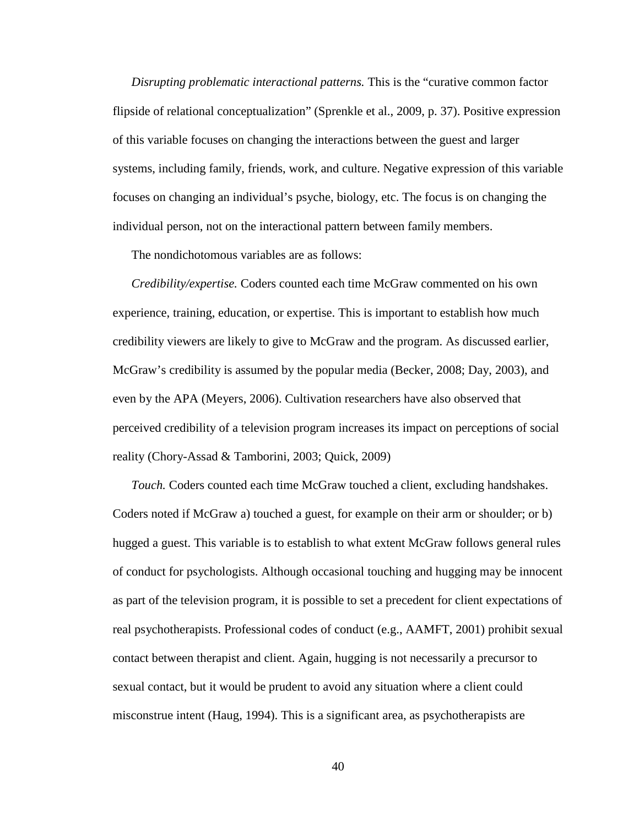*Disrupting problematic interactional patterns.* This is the "curative common factor flipside of relational conceptualization" (Sprenkle et al., 2009, p. 37). Positive expression of this variable focuses on changing the interactions between the guest and larger systems, including family, friends, work, and culture. Negative expression of this variable focuses on changing an individual's psyche, biology, etc. The focus is on changing the individual person, not on the interactional pattern between family members.

The nondichotomous variables are as follows:

*Credibility/expertise.* Coders counted each time McGraw commented on his own experience, training, education, or expertise. This is important to establish how much credibility viewers are likely to give to McGraw and the program. As discussed earlier, McGraw's credibility is assumed by the popular media (Becker, 2008; Day, 2003), and even by the APA (Meyers, 2006). Cultivation researchers have also observed that perceived credibility of a television program increases its impact on perceptions of social reality (Chory-Assad & Tamborini, 2003; Quick, 2009)

*Touch.* Coders counted each time McGraw touched a client, excluding handshakes. Coders noted if McGraw a) touched a guest, for example on their arm or shoulder; or b) hugged a guest. This variable is to establish to what extent McGraw follows general rules of conduct for psychologists. Although occasional touching and hugging may be innocent as part of the television program, it is possible to set a precedent for client expectations of real psychotherapists. Professional codes of conduct (e.g., AAMFT, 2001) prohibit sexual contact between therapist and client. Again, hugging is not necessarily a precursor to sexual contact, but it would be prudent to avoid any situation where a client could misconstrue intent (Haug, 1994). This is a significant area, as psychotherapists are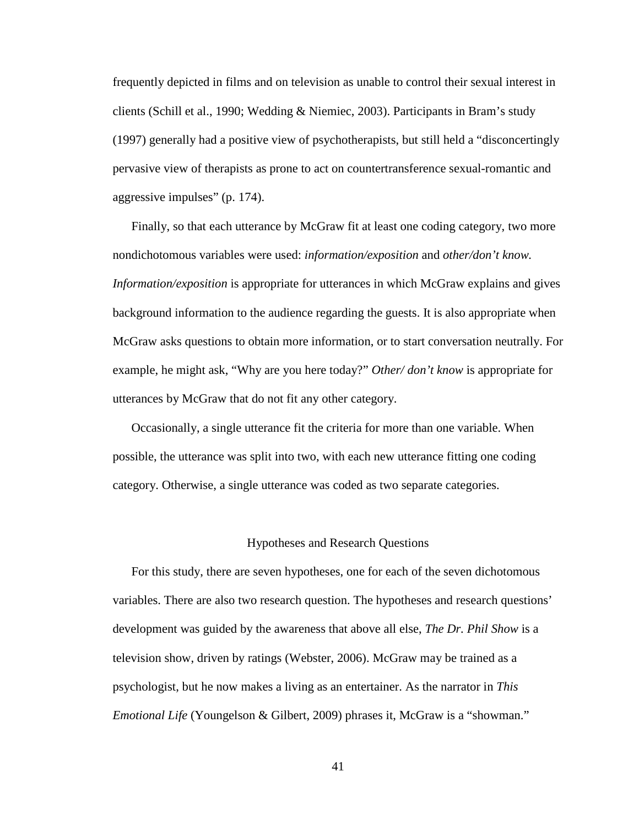frequently depicted in films and on television as unable to control their sexual interest in clients (Schill et al., 1990; Wedding & Niemiec, 2003). Participants in Bram's study (1997) generally had a positive view of psychotherapists, but still held a "disconcertingly pervasive view of therapists as prone to act on countertransference sexual-romantic and aggressive impulses" (p. 174).

Finally, so that each utterance by McGraw fit at least one coding category, two more nondichotomous variables were used: *information/exposition* and *other/don't know. Information/exposition* is appropriate for utterances in which McGraw explains and gives background information to the audience regarding the guests. It is also appropriate when McGraw asks questions to obtain more information, or to start conversation neutrally. For example, he might ask, "Why are you here today?" *Other/ don't know* is appropriate for utterances by McGraw that do not fit any other category.

Occasionally, a single utterance fit the criteria for more than one variable. When possible, the utterance was split into two, with each new utterance fitting one coding category. Otherwise, a single utterance was coded as two separate categories.

#### Hypotheses and Research Questions

For this study, there are seven hypotheses, one for each of the seven dichotomous variables. There are also two research question. The hypotheses and research questions' development was guided by the awareness that above all else, *The Dr. Phil Show* is a television show, driven by ratings (Webster, 2006). McGraw may be trained as a psychologist, but he now makes a living as an entertainer. As the narrator in *This Emotional Life* (Youngelson & Gilbert, 2009) phrases it, McGraw is a "showman."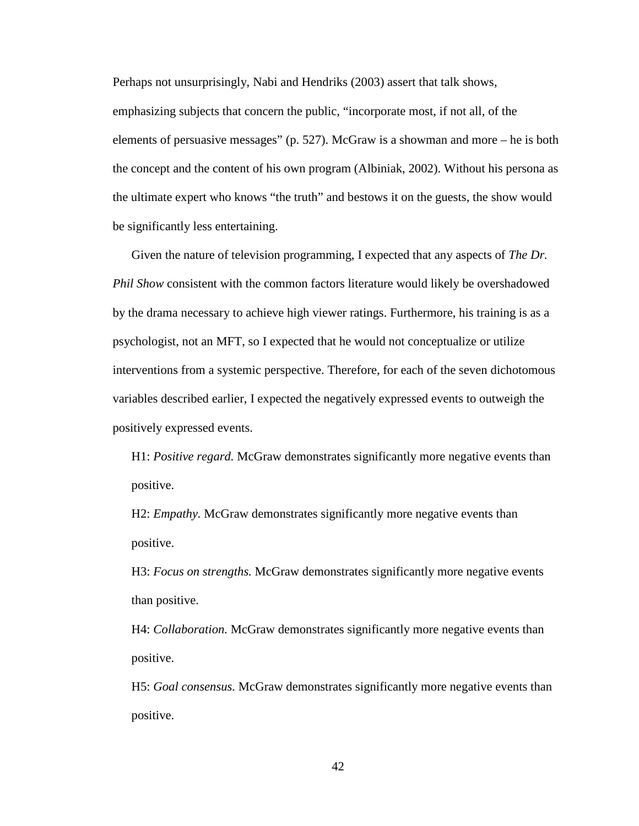Perhaps not unsurprisingly, Nabi and Hendriks (2003) assert that talk shows, emphasizing subjects that concern the public, "incorporate most, if not all, of the elements of persuasive messages" (p. 527). McGraw is a showman and more – he is both the concept and the content of his own program (Albiniak, 2002). Without his persona as the ultimate expert who knows "the truth" and bestows it on the guests, the show would be significantly less entertaining.

Given the nature of television programming, I expected that any aspects of *The Dr. Phil Show* consistent with the common factors literature would likely be overshadowed by the drama necessary to achieve high viewer ratings. Furthermore, his training is as a psychologist, not an MFT, so I expected that he would not conceptualize or utilize interventions from a systemic perspective. Therefore, for each of the seven dichotomous variables described earlier, I expected the negatively expressed events to outweigh the positively expressed events.

H1: *Positive regard.* McGraw demonstrates significantly more negative events than positive.

H2: *Empathy*. McGraw demonstrates significantly more negative events than positive.

H3: *Focus on strengths.* McGraw demonstrates significantly more negative events than positive.

H4: *Collaboration.* McGraw demonstrates significantly more negative events than positive.

H5: *Goal consensus.* McGraw demonstrates significantly more negative events than positive.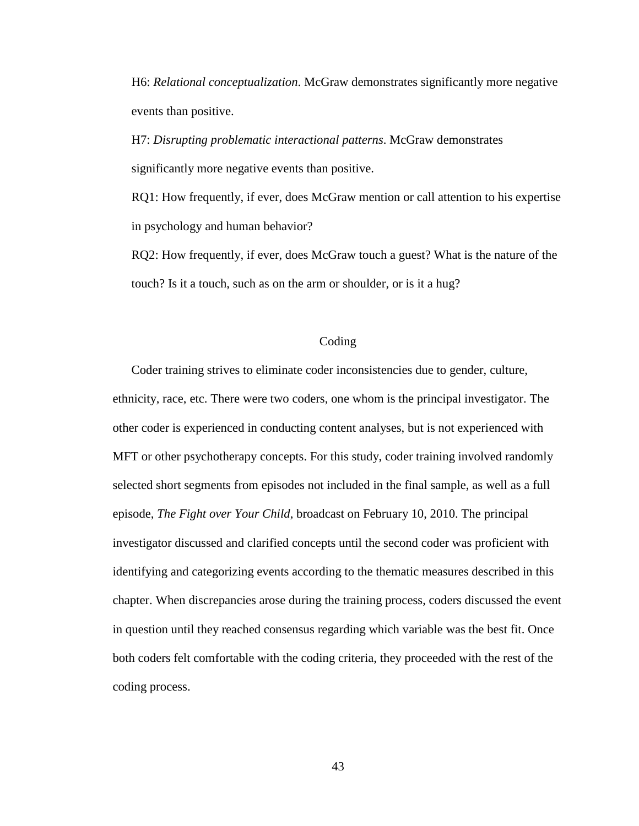H6: *Relational conceptualization*. McGraw demonstrates significantly more negative events than positive.

H7: *Disrupting problematic interactional patterns*. McGraw demonstrates significantly more negative events than positive.

RQ1: How frequently, if ever, does McGraw mention or call attention to his expertise in psychology and human behavior?

RQ2: How frequently, if ever, does McGraw touch a guest? What is the nature of the touch? Is it a touch, such as on the arm or shoulder, or is it a hug?

## Coding

Coder training strives to eliminate coder inconsistencies due to gender, culture, ethnicity, race, etc. There were two coders, one whom is the principal investigator. The other coder is experienced in conducting content analyses, but is not experienced with MFT or other psychotherapy concepts. For this study, coder training involved randomly selected short segments from episodes not included in the final sample, as well as a full episode, *The Fight over Your Child*, broadcast on February 10, 2010. The principal investigator discussed and clarified concepts until the second coder was proficient with identifying and categorizing events according to the thematic measures described in this chapter. When discrepancies arose during the training process, coders discussed the event in question until they reached consensus regarding which variable was the best fit. Once both coders felt comfortable with the coding criteria, they proceeded with the rest of the coding process.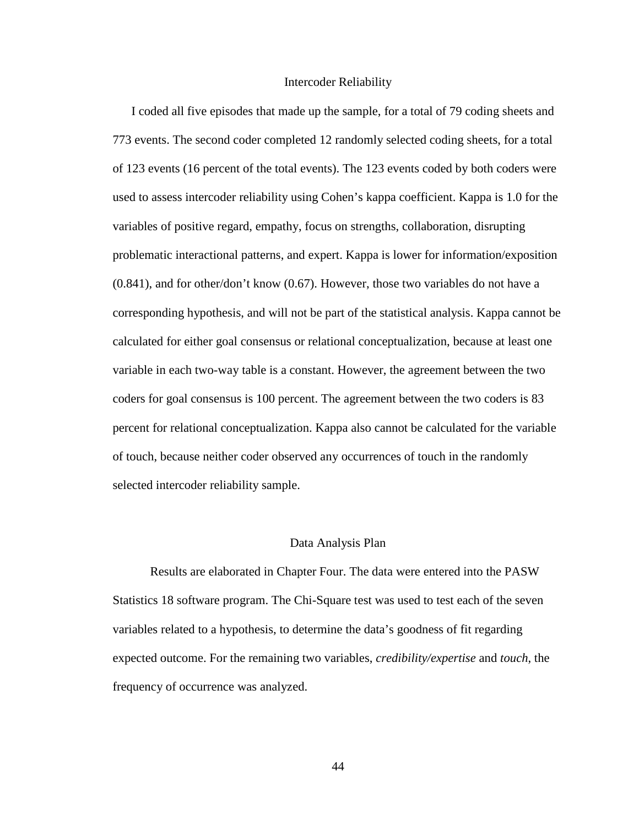#### Intercoder Reliability

I coded all five episodes that made up the sample, for a total of 79 coding sheets and 773 events. The second coder completed 12 randomly selected coding sheets, for a total of 123 events (16 percent of the total events). The 123 events coded by both coders were used to assess intercoder reliability using Cohen's kappa coefficient. Kappa is 1.0 for the variables of positive regard, empathy, focus on strengths, collaboration, disrupting problematic interactional patterns, and expert. Kappa is lower for information/exposition (0.841), and for other/don't know (0.67). However, those two variables do not have a corresponding hypothesis, and will not be part of the statistical analysis. Kappa cannot be calculated for either goal consensus or relational conceptualization, because at least one variable in each two-way table is a constant. However, the agreement between the two coders for goal consensus is 100 percent. The agreement between the two coders is 83 percent for relational conceptualization. Kappa also cannot be calculated for the variable of touch, because neither coder observed any occurrences of touch in the randomly selected intercoder reliability sample.

#### Data Analysis Plan

 Results are elaborated in Chapter Four. The data were entered into the PASW Statistics 18 software program. The Chi-Square test was used to test each of the seven variables related to a hypothesis, to determine the data's goodness of fit regarding expected outcome. For the remaining two variables, *credibility/expertise* and *touch*, the frequency of occurrence was analyzed.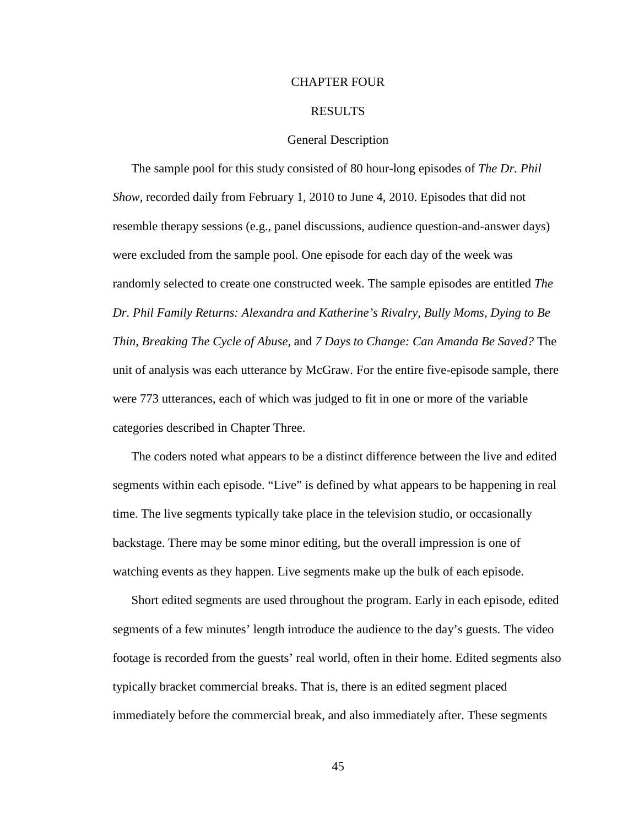## CHAPTER FOUR

## RESULTS

## General Description

The sample pool for this study consisted of 80 hour-long episodes of *The Dr. Phil Show,* recorded daily from February 1, 2010 to June 4, 2010. Episodes that did not resemble therapy sessions (e.g., panel discussions, audience question-and-answer days) were excluded from the sample pool. One episode for each day of the week was randomly selected to create one constructed week. The sample episodes are entitled *The Dr. Phil Family Returns: Alexandra and Katherine's Rivalry, Bully Moms, Dying to Be Thin, Breaking The Cycle of Abuse,* and *7 Days to Change: Can Amanda Be Saved?* The unit of analysis was each utterance by McGraw. For the entire five-episode sample, there were 773 utterances, each of which was judged to fit in one or more of the variable categories described in Chapter Three.

The coders noted what appears to be a distinct difference between the live and edited segments within each episode. "Live" is defined by what appears to be happening in real time. The live segments typically take place in the television studio, or occasionally backstage. There may be some minor editing, but the overall impression is one of watching events as they happen. Live segments make up the bulk of each episode.

Short edited segments are used throughout the program. Early in each episode, edited segments of a few minutes' length introduce the audience to the day's guests. The video footage is recorded from the guests' real world, often in their home. Edited segments also typically bracket commercial breaks. That is, there is an edited segment placed immediately before the commercial break, and also immediately after. These segments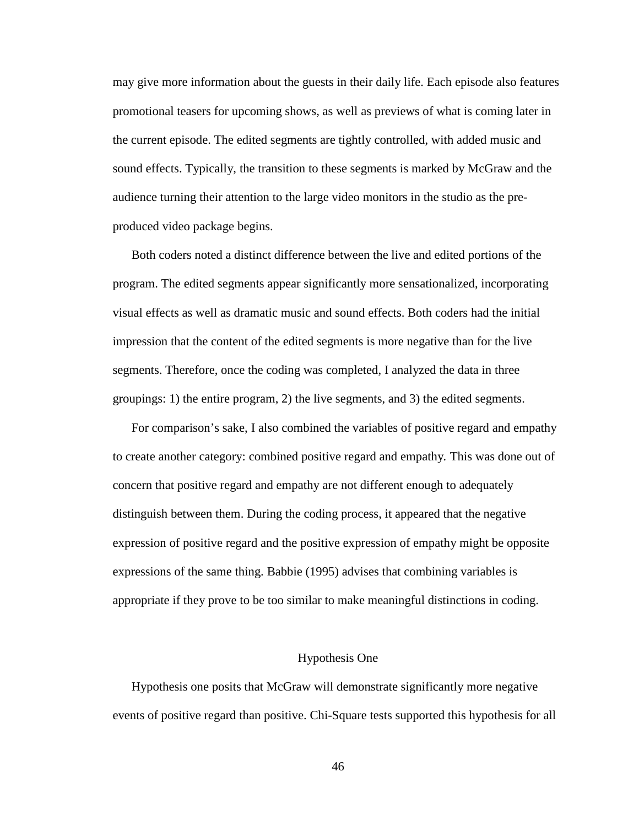may give more information about the guests in their daily life. Each episode also features promotional teasers for upcoming shows, as well as previews of what is coming later in the current episode. The edited segments are tightly controlled, with added music and sound effects. Typically, the transition to these segments is marked by McGraw and the audience turning their attention to the large video monitors in the studio as the preproduced video package begins.

Both coders noted a distinct difference between the live and edited portions of the program. The edited segments appear significantly more sensationalized, incorporating visual effects as well as dramatic music and sound effects. Both coders had the initial impression that the content of the edited segments is more negative than for the live segments. Therefore, once the coding was completed, I analyzed the data in three groupings: 1) the entire program, 2) the live segments, and 3) the edited segments.

For comparison's sake, I also combined the variables of positive regard and empathy to create another category: combined positive regard and empathy*.* This was done out of concern that positive regard and empathy are not different enough to adequately distinguish between them. During the coding process, it appeared that the negative expression of positive regard and the positive expression of empathy might be opposite expressions of the same thing. Babbie (1995) advises that combining variables is appropriate if they prove to be too similar to make meaningful distinctions in coding.

#### Hypothesis One

Hypothesis one posits that McGraw will demonstrate significantly more negative events of positive regard than positive. Chi-Square tests supported this hypothesis for all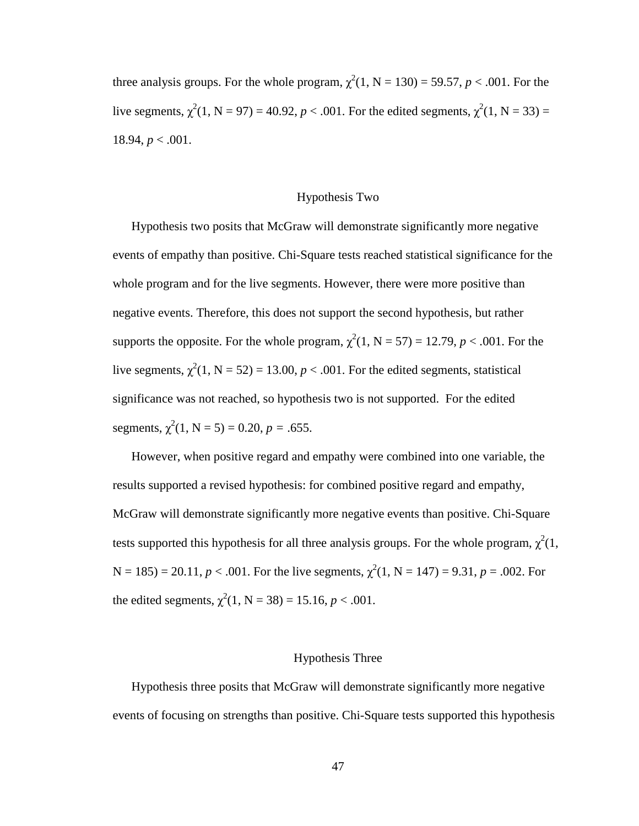three analysis groups. For the whole program,  $\chi^2(1, N = 130) = 59.57$ ,  $p < .001$ . For the live segments,  $\chi^2(1, N = 97) = 40.92$ ,  $p < .001$ . For the edited segments,  $\chi^2(1, N = 33) =$ 18.94,  $p < .001$ .

## Hypothesis Two

Hypothesis two posits that McGraw will demonstrate significantly more negative events of empathy than positive. Chi-Square tests reached statistical significance for the whole program and for the live segments. However, there were more positive than negative events. Therefore, this does not support the second hypothesis, but rather supports the opposite. For the whole program,  $\chi^2(1, N = 57) = 12.79$ ,  $p < .001$ . For the live segments,  $\chi^2(1, N = 52) = 13.00, p < .001$ . For the edited segments, statistical significance was not reached, so hypothesis two is not supported. For the edited segments,  $\chi^2(1, N = 5) = 0.20, p = .655$ .

However, when positive regard and empathy were combined into one variable, the results supported a revised hypothesis: for combined positive regard and empathy, McGraw will demonstrate significantly more negative events than positive. Chi-Square tests supported this hypothesis for all three analysis groups. For the whole program,  $\chi^2(1)$ ,  $N = 185$ ) = 20.11,  $p < .001$ . For the live segments,  $\chi^2(1, N = 147) = 9.31$ ,  $p = .002$ . For the edited segments,  $\chi^2(1, N = 38) = 15.16, p < .001$ .

#### Hypothesis Three

Hypothesis three posits that McGraw will demonstrate significantly more negative events of focusing on strengths than positive. Chi-Square tests supported this hypothesis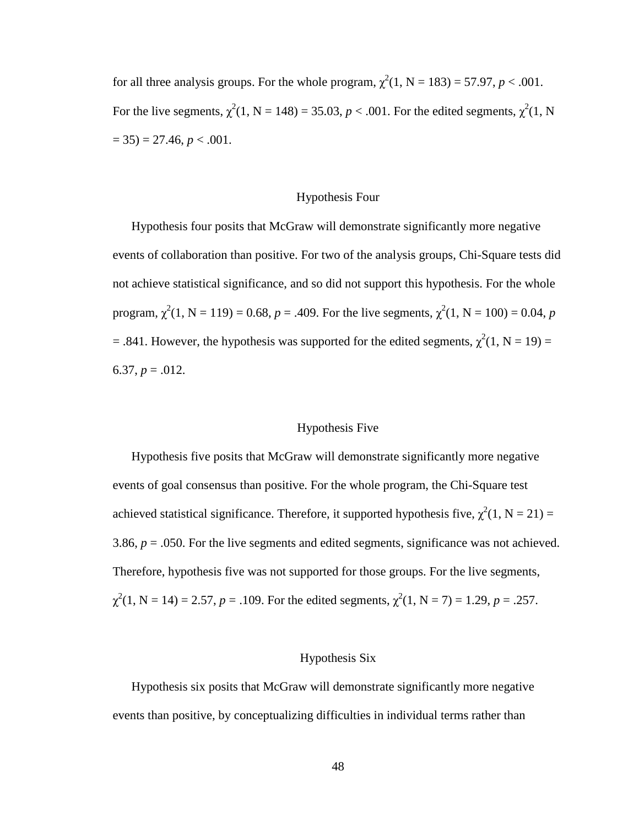for all three analysis groups. For the whole program,  $\chi^2(1, N = 183) = 57.97, p < .001$ . For the live segments,  $\chi^2(1, N = 148) = 35.03$ ,  $p < .001$ . For the edited segments,  $\chi^2(1, N)$  $= 35$ )  $= 27.46, p < .001$ .

## Hypothesis Four

Hypothesis four posits that McGraw will demonstrate significantly more negative events of collaboration than positive. For two of the analysis groups, Chi-Square tests did not achieve statistical significance, and so did not support this hypothesis. For the whole program,  $\chi^2(1, N = 119) = 0.68$ ,  $p = .409$ . For the live segments,  $\chi^2(1, N = 100) = 0.04$ , p = .841. However, the hypothesis was supported for the edited segments,  $\chi^2(1, N = 19)$  = 6.37,  $p = .012$ .

## Hypothesis Five

Hypothesis five posits that McGraw will demonstrate significantly more negative events of goal consensus than positive. For the whole program, the Chi-Square test achieved statistical significance. Therefore, it supported hypothesis five,  $\chi^2(1, N = 21) =$ 3.86,  $p = 0.050$ . For the live segments and edited segments, significance was not achieved. Therefore, hypothesis five was not supported for those groups. For the live segments,  $\chi^2(1, N = 14) = 2.57, p = .109$ . For the edited segments,  $\chi^2(1, N = 7) = 1.29, p = .257$ .

#### Hypothesis Six

Hypothesis six posits that McGraw will demonstrate significantly more negative events than positive, by conceptualizing difficulties in individual terms rather than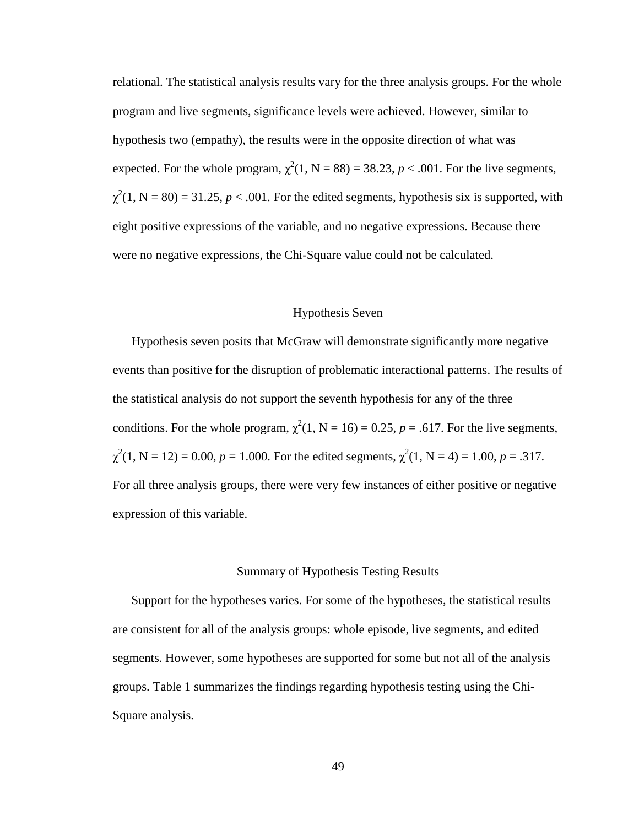relational. The statistical analysis results vary for the three analysis groups. For the whole program and live segments, significance levels were achieved. However, similar to hypothesis two (empathy), the results were in the opposite direction of what was expected. For the whole program,  $\chi^2(1, N = 88) = 38.23$ ,  $p < .001$ . For the live segments,  $\chi^2(1, N = 80) = 31.25, p < .001$ . For the edited segments, hypothesis six is supported, with eight positive expressions of the variable, and no negative expressions. Because there were no negative expressions, the Chi-Square value could not be calculated.

## Hypothesis Seven

Hypothesis seven posits that McGraw will demonstrate significantly more negative events than positive for the disruption of problematic interactional patterns. The results of the statistical analysis do not support the seventh hypothesis for any of the three conditions. For the whole program,  $\chi^2(1, N = 16) = 0.25$ ,  $p = .617$ . For the live segments,  $\chi^2(1, N = 12) = 0.00, p = 1.000$ . For the edited segments,  $\chi^2(1, N = 4) = 1.00, p = .317$ . For all three analysis groups, there were very few instances of either positive or negative expression of this variable.

#### Summary of Hypothesis Testing Results

Support for the hypotheses varies. For some of the hypotheses, the statistical results are consistent for all of the analysis groups: whole episode, live segments, and edited segments. However, some hypotheses are supported for some but not all of the analysis groups. Table 1 summarizes the findings regarding hypothesis testing using the Chi-Square analysis.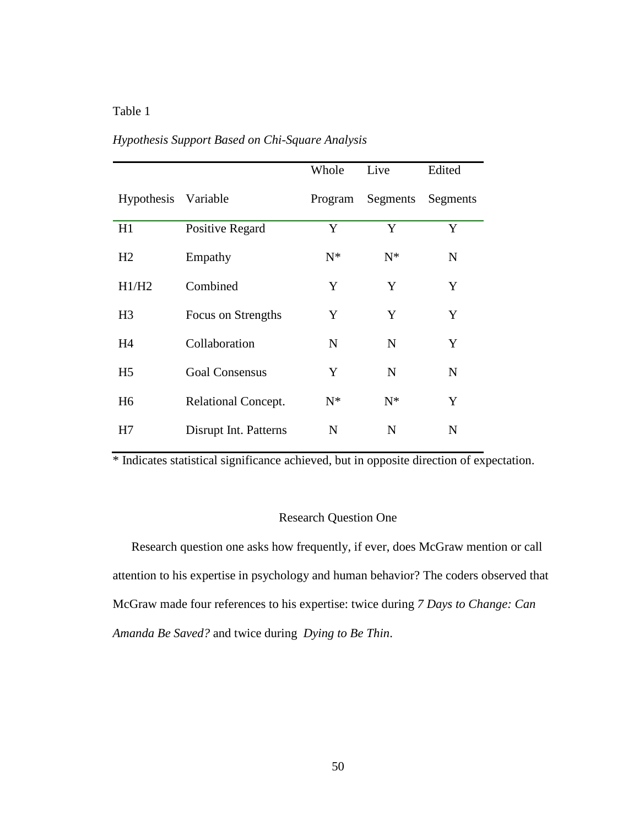# Table 1

|                |                        | Whole       | Live              | Edited      |
|----------------|------------------------|-------------|-------------------|-------------|
| Hypothesis     | Variable               | Program     | Segments Segments |             |
| H1             | <b>Positive Regard</b> | Y           | Y                 | Y           |
| H <sub>2</sub> | Empathy                | $N^*$       | $N^*$             | N           |
| H1/H2          | Combined               | Y           | Y                 | Y           |
| H <sub>3</sub> | Focus on Strengths     | Y           | Y                 | Y           |
| H <sub>4</sub> | Collaboration          | N           | N                 | Y           |
| H <sub>5</sub> | <b>Goal Consensus</b>  | Y           | N                 | $\mathbf N$ |
| H <sub>6</sub> | Relational Concept.    | $N^*$       | $N^*$             | Y           |
| H7             | Disrupt Int. Patterns  | $\mathbf N$ | N                 | N           |

# *Hypothesis Support Based on Chi-Square Analysis*

\* Indicates statistical significance achieved, but in opposite direction of expectation.

# Research Question One

Research question one asks how frequently, if ever, does McGraw mention or call attention to his expertise in psychology and human behavior? The coders observed that McGraw made four references to his expertise: twice during *7 Days to Change: Can Amanda Be Saved?* and twice during *Dying to Be Thin*.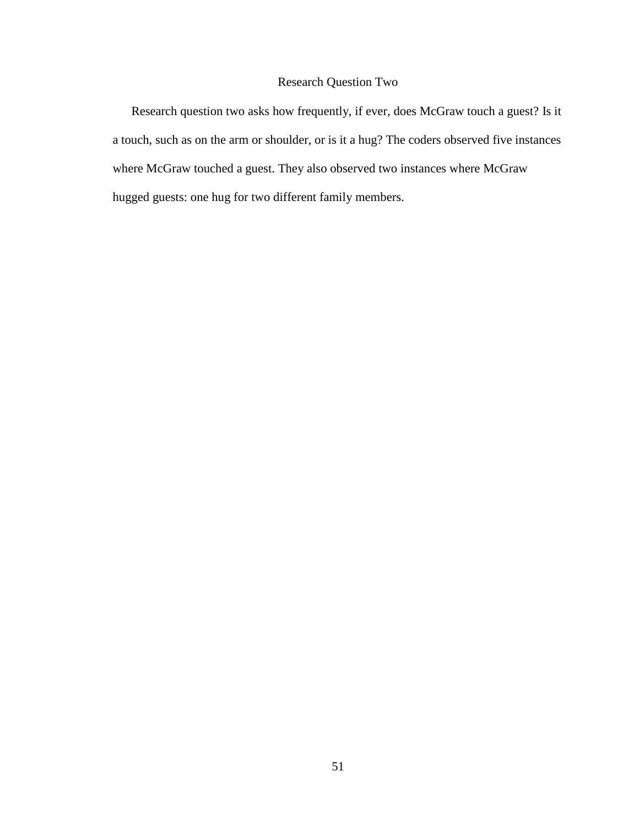# Research Question Two

Research question two asks how frequently, if ever, does McGraw touch a guest? Is it a touch, such as on the arm or shoulder, or is it a hug? The coders observed five instances where McGraw touched a guest. They also observed two instances where McGraw hugged guests: one hug for two different family members.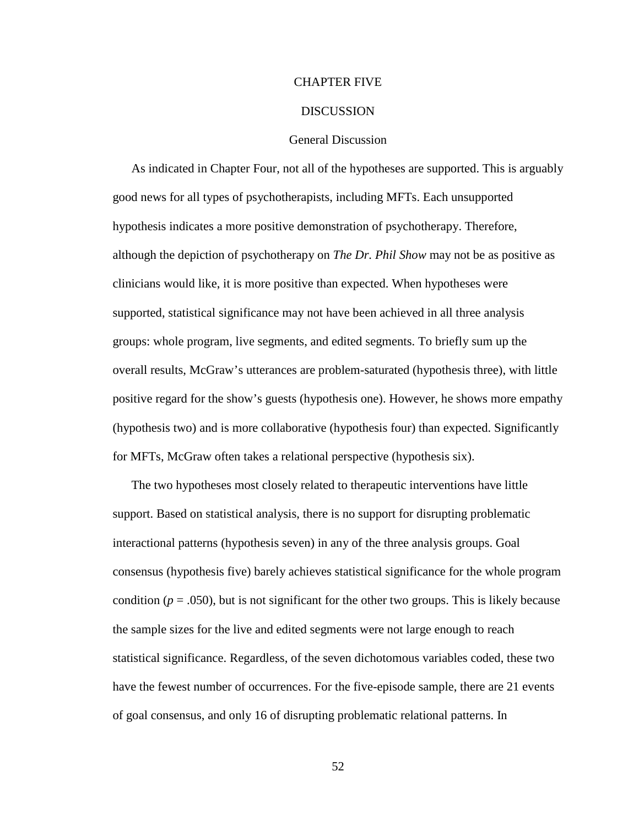## CHAPTER FIVE

## **DISCUSSION**

## General Discussion

As indicated in Chapter Four, not all of the hypotheses are supported. This is arguably good news for all types of psychotherapists, including MFTs. Each unsupported hypothesis indicates a more positive demonstration of psychotherapy. Therefore, although the depiction of psychotherapy on *The Dr. Phil Show* may not be as positive as clinicians would like, it is more positive than expected. When hypotheses were supported, statistical significance may not have been achieved in all three analysis groups: whole program, live segments, and edited segments. To briefly sum up the overall results, McGraw's utterances are problem-saturated (hypothesis three), with little positive regard for the show's guests (hypothesis one). However, he shows more empathy (hypothesis two) and is more collaborative (hypothesis four) than expected. Significantly for MFTs, McGraw often takes a relational perspective (hypothesis six).

The two hypotheses most closely related to therapeutic interventions have little support. Based on statistical analysis, there is no support for disrupting problematic interactional patterns (hypothesis seven) in any of the three analysis groups. Goal consensus (hypothesis five) barely achieves statistical significance for the whole program condition ( $p = .050$ ), but is not significant for the other two groups. This is likely because the sample sizes for the live and edited segments were not large enough to reach statistical significance. Regardless, of the seven dichotomous variables coded, these two have the fewest number of occurrences. For the five-episode sample, there are 21 events of goal consensus, and only 16 of disrupting problematic relational patterns. In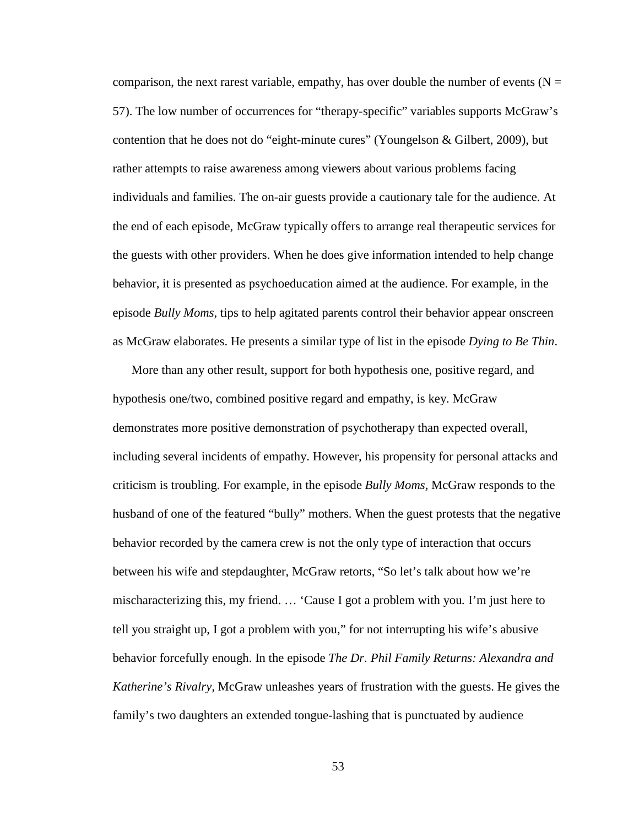comparison, the next rarest variable, empathy, has over double the number of events ( $N =$ 57). The low number of occurrences for "therapy-specific" variables supports McGraw's contention that he does not do "eight-minute cures" (Youngelson & Gilbert, 2009), but rather attempts to raise awareness among viewers about various problems facing individuals and families. The on-air guests provide a cautionary tale for the audience. At the end of each episode, McGraw typically offers to arrange real therapeutic services for the guests with other providers. When he does give information intended to help change behavior, it is presented as psychoeducation aimed at the audience. For example, in the episode *Bully Moms,* tips to help agitated parents control their behavior appear onscreen as McGraw elaborates. He presents a similar type of list in the episode *Dying to Be Thin*.

More than any other result, support for both hypothesis one, positive regard, and hypothesis one/two, combined positive regard and empathy, is key. McGraw demonstrates more positive demonstration of psychotherapy than expected overall, including several incidents of empathy. However, his propensity for personal attacks and criticism is troubling. For example, in the episode *Bully Moms,* McGraw responds to the husband of one of the featured "bully" mothers. When the guest protests that the negative behavior recorded by the camera crew is not the only type of interaction that occurs between his wife and stepdaughter, McGraw retorts, "So let's talk about how we're mischaracterizing this, my friend. … 'Cause I got a problem with you*.* I'm just here to tell you straight up, I got a problem with you," for not interrupting his wife's abusive behavior forcefully enough. In the episode *The Dr. Phil Family Returns: Alexandra and Katherine's Rivalry,* McGraw unleashes years of frustration with the guests. He gives the family's two daughters an extended tongue-lashing that is punctuated by audience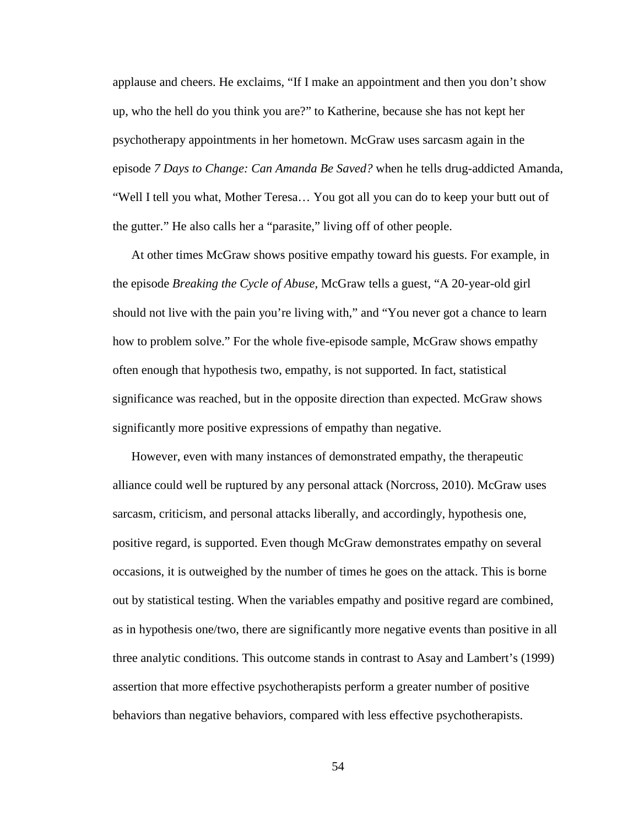applause and cheers. He exclaims, "If I make an appointment and then you don't show up, who the hell do you think you are?" to Katherine, because she has not kept her psychotherapy appointments in her hometown. McGraw uses sarcasm again in the episode *7 Days to Change: Can Amanda Be Saved?* when he tells drug-addicted Amanda, "Well I tell you what, Mother Teresa… You got all you can do to keep your butt out of the gutter." He also calls her a "parasite," living off of other people.

At other times McGraw shows positive empathy toward his guests. For example, in the episode *Breaking the Cycle of Abuse,* McGraw tells a guest, "A 20-year-old girl should not live with the pain you're living with," and "You never got a chance to learn how to problem solve." For the whole five-episode sample, McGraw shows empathy often enough that hypothesis two, empathy, is not supported. In fact, statistical significance was reached, but in the opposite direction than expected. McGraw shows significantly more positive expressions of empathy than negative.

However, even with many instances of demonstrated empathy, the therapeutic alliance could well be ruptured by any personal attack (Norcross, 2010). McGraw uses sarcasm, criticism, and personal attacks liberally, and accordingly, hypothesis one, positive regard, is supported. Even though McGraw demonstrates empathy on several occasions, it is outweighed by the number of times he goes on the attack. This is borne out by statistical testing. When the variables empathy and positive regard are combined, as in hypothesis one/two, there are significantly more negative events than positive in all three analytic conditions. This outcome stands in contrast to Asay and Lambert's (1999) assertion that more effective psychotherapists perform a greater number of positive behaviors than negative behaviors, compared with less effective psychotherapists.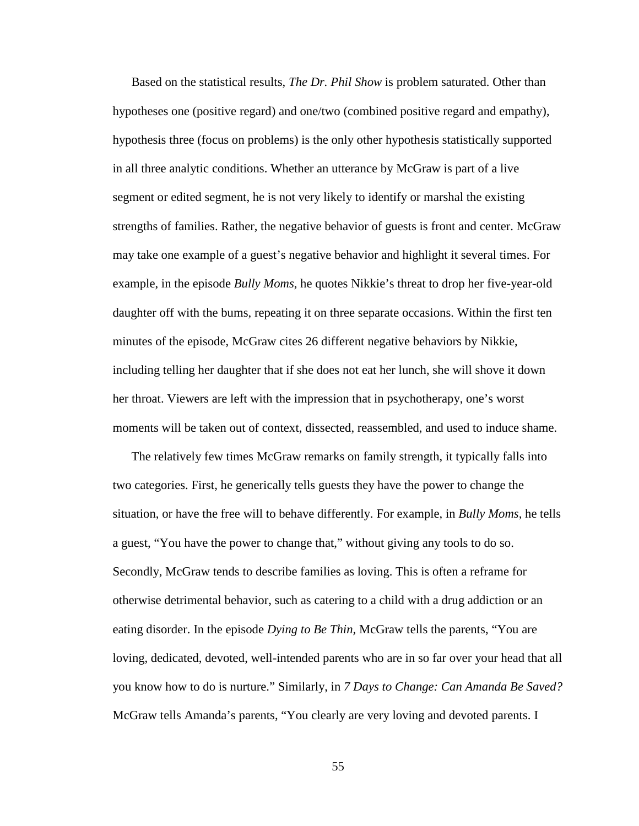Based on the statistical results, *The Dr. Phil Show* is problem saturated. Other than hypotheses one (positive regard) and one/two (combined positive regard and empathy), hypothesis three (focus on problems) is the only other hypothesis statistically supported in all three analytic conditions. Whether an utterance by McGraw is part of a live segment or edited segment, he is not very likely to identify or marshal the existing strengths of families. Rather, the negative behavior of guests is front and center. McGraw may take one example of a guest's negative behavior and highlight it several times. For example, in the episode *Bully Moms*, he quotes Nikkie's threat to drop her five-year-old daughter off with the bums, repeating it on three separate occasions. Within the first ten minutes of the episode, McGraw cites 26 different negative behaviors by Nikkie, including telling her daughter that if she does not eat her lunch, she will shove it down her throat. Viewers are left with the impression that in psychotherapy, one's worst moments will be taken out of context, dissected, reassembled, and used to induce shame.

The relatively few times McGraw remarks on family strength, it typically falls into two categories. First, he generically tells guests they have the power to change the situation, or have the free will to behave differently. For example, in *Bully Moms,* he tells a guest, "You have the power to change that," without giving any tools to do so. Secondly, McGraw tends to describe families as loving. This is often a reframe for otherwise detrimental behavior, such as catering to a child with a drug addiction or an eating disorder. In the episode *Dying to Be Thin,* McGraw tells the parents, "You are loving, dedicated, devoted, well-intended parents who are in so far over your head that all you know how to do is nurture." Similarly, in *7 Days to Change: Can Amanda Be Saved?* McGraw tells Amanda's parents, "You clearly are very loving and devoted parents. I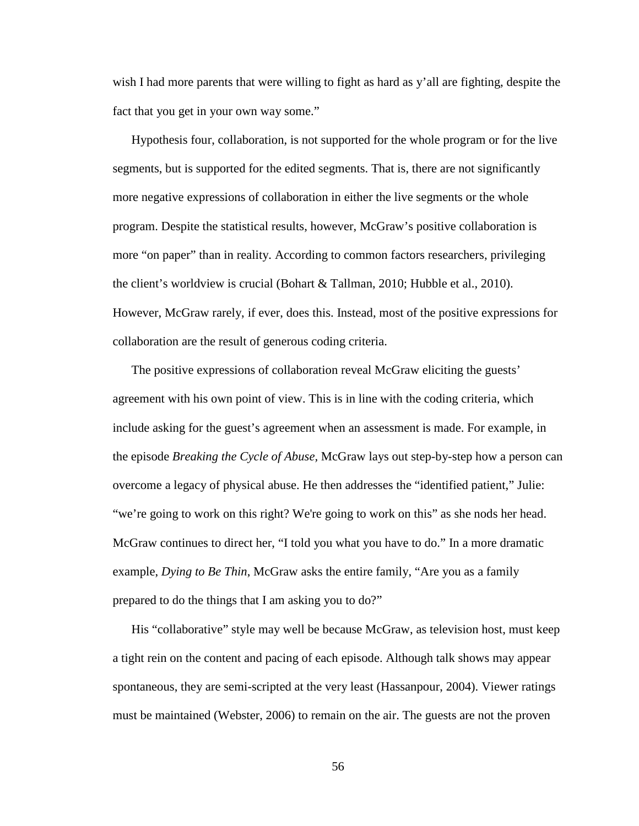wish I had more parents that were willing to fight as hard as y'all are fighting, despite the fact that you get in your own way some."

Hypothesis four, collaboration, is not supported for the whole program or for the live segments, but is supported for the edited segments. That is, there are not significantly more negative expressions of collaboration in either the live segments or the whole program. Despite the statistical results, however, McGraw's positive collaboration is more "on paper" than in reality. According to common factors researchers, privileging the client's worldview is crucial (Bohart & Tallman, 2010; Hubble et al., 2010). However, McGraw rarely, if ever, does this. Instead, most of the positive expressions for collaboration are the result of generous coding criteria.

The positive expressions of collaboration reveal McGraw eliciting the guests' agreement with his own point of view. This is in line with the coding criteria, which include asking for the guest's agreement when an assessment is made. For example, in the episode *Breaking the Cycle of Abuse,* McGraw lays out step-by-step how a person can overcome a legacy of physical abuse. He then addresses the "identified patient," Julie: "we're going to work on this right? We're going to work on this" as she nods her head. McGraw continues to direct her, "I told you what you have to do." In a more dramatic example, *Dying to Be Thin*, McGraw asks the entire family, "Are you as a family prepared to do the things that I am asking you to do?"

His "collaborative" style may well be because McGraw, as television host, must keep a tight rein on the content and pacing of each episode. Although talk shows may appear spontaneous, they are semi-scripted at the very least (Hassanpour, 2004). Viewer ratings must be maintained (Webster, 2006) to remain on the air. The guests are not the proven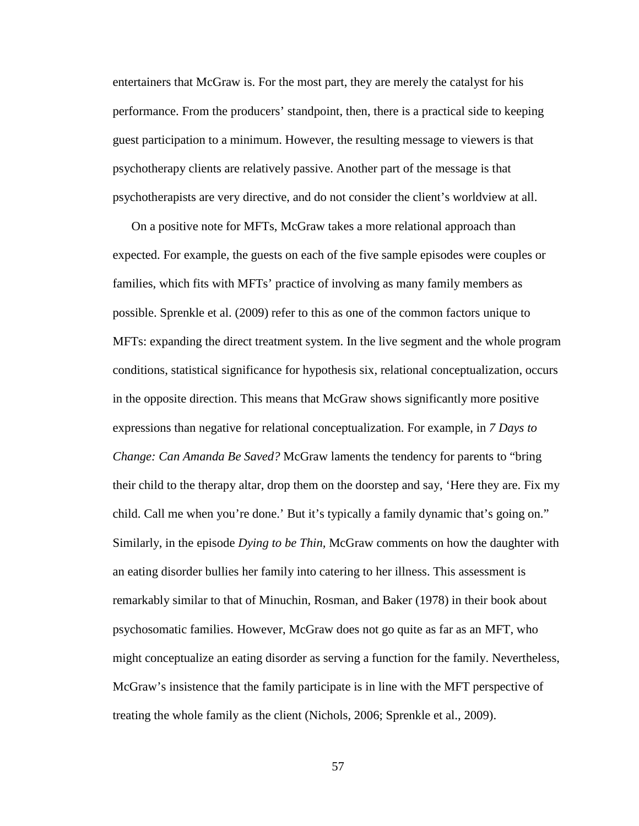entertainers that McGraw is. For the most part, they are merely the catalyst for his performance. From the producers' standpoint, then, there is a practical side to keeping guest participation to a minimum. However, the resulting message to viewers is that psychotherapy clients are relatively passive. Another part of the message is that psychotherapists are very directive, and do not consider the client's worldview at all.

On a positive note for MFTs, McGraw takes a more relational approach than expected. For example, the guests on each of the five sample episodes were couples or families, which fits with MFTs' practice of involving as many family members as possible. Sprenkle et al. (2009) refer to this as one of the common factors unique to MFTs: expanding the direct treatment system. In the live segment and the whole program conditions, statistical significance for hypothesis six, relational conceptualization, occurs in the opposite direction. This means that McGraw shows significantly more positive expressions than negative for relational conceptualization. For example, in *7 Days to Change: Can Amanda Be Saved?* McGraw laments the tendency for parents to "bring their child to the therapy altar, drop them on the doorstep and say, 'Here they are. Fix my child. Call me when you're done.' But it's typically a family dynamic that's going on." Similarly, in the episode *Dying to be Thin,* McGraw comments on how the daughter with an eating disorder bullies her family into catering to her illness. This assessment is remarkably similar to that of Minuchin, Rosman, and Baker (1978) in their book about psychosomatic families. However, McGraw does not go quite as far as an MFT, who might conceptualize an eating disorder as serving a function for the family. Nevertheless, McGraw's insistence that the family participate is in line with the MFT perspective of treating the whole family as the client (Nichols, 2006; Sprenkle et al., 2009).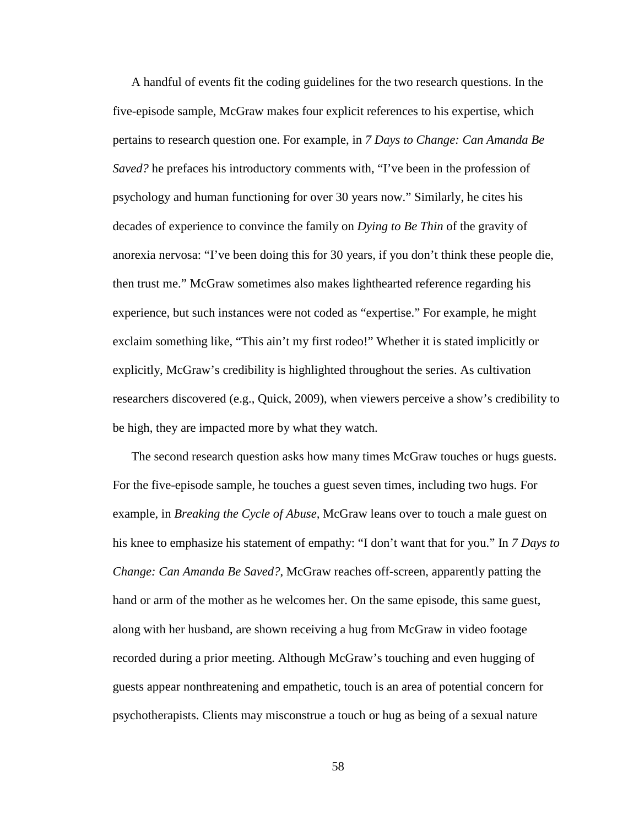A handful of events fit the coding guidelines for the two research questions. In the five-episode sample, McGraw makes four explicit references to his expertise, which pertains to research question one. For example, in *7 Days to Change: Can Amanda Be Saved?* he prefaces his introductory comments with, "I've been in the profession of psychology and human functioning for over 30 years now." Similarly, he cites his decades of experience to convince the family on *Dying to Be Thin* of the gravity of anorexia nervosa: "I've been doing this for 30 years, if you don't think these people die, then trust me." McGraw sometimes also makes lighthearted reference regarding his experience, but such instances were not coded as "expertise." For example, he might exclaim something like, "This ain't my first rodeo!" Whether it is stated implicitly or explicitly, McGraw's credibility is highlighted throughout the series. As cultivation researchers discovered (e.g., Quick, 2009), when viewers perceive a show's credibility to be high, they are impacted more by what they watch.

The second research question asks how many times McGraw touches or hugs guests. For the five-episode sample, he touches a guest seven times, including two hugs. For example, in *Breaking the Cycle of Abuse,* McGraw leans over to touch a male guest on his knee to emphasize his statement of empathy: "I don't want that for you." In *7 Days to Change: Can Amanda Be Saved?*, McGraw reaches off-screen, apparently patting the hand or arm of the mother as he welcomes her. On the same episode, this same guest, along with her husband, are shown receiving a hug from McGraw in video footage recorded during a prior meeting. Although McGraw's touching and even hugging of guests appear nonthreatening and empathetic, touch is an area of potential concern for psychotherapists. Clients may misconstrue a touch or hug as being of a sexual nature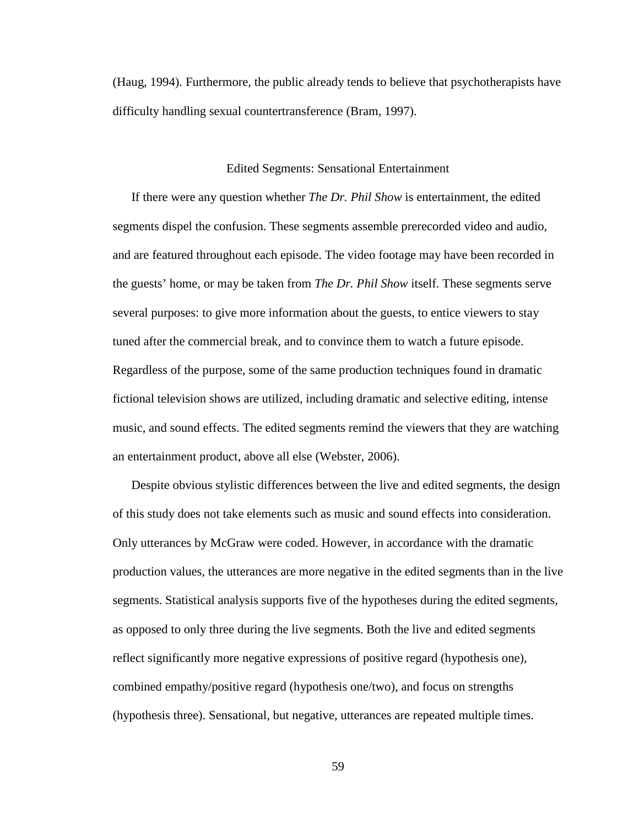(Haug, 1994). Furthermore, the public already tends to believe that psychotherapists have difficulty handling sexual countertransference (Bram, 1997).

## Edited Segments: Sensational Entertainment

If there were any question whether *The Dr. Phil Show* is entertainment, the edited segments dispel the confusion. These segments assemble prerecorded video and audio, and are featured throughout each episode. The video footage may have been recorded in the guests' home, or may be taken from *The Dr. Phil Show* itself. These segments serve several purposes: to give more information about the guests, to entice viewers to stay tuned after the commercial break, and to convince them to watch a future episode. Regardless of the purpose, some of the same production techniques found in dramatic fictional television shows are utilized, including dramatic and selective editing, intense music, and sound effects. The edited segments remind the viewers that they are watching an entertainment product, above all else (Webster, 2006).

Despite obvious stylistic differences between the live and edited segments, the design of this study does not take elements such as music and sound effects into consideration. Only utterances by McGraw were coded. However, in accordance with the dramatic production values, the utterances are more negative in the edited segments than in the live segments. Statistical analysis supports five of the hypotheses during the edited segments, as opposed to only three during the live segments. Both the live and edited segments reflect significantly more negative expressions of positive regard (hypothesis one), combined empathy/positive regard (hypothesis one/two), and focus on strengths (hypothesis three). Sensational, but negative, utterances are repeated multiple times.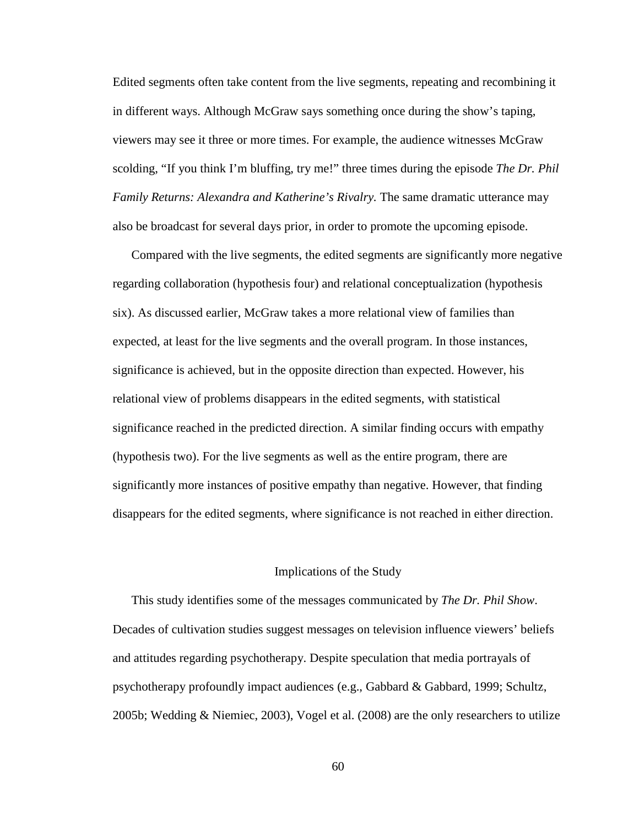Edited segments often take content from the live segments, repeating and recombining it in different ways. Although McGraw says something once during the show's taping, viewers may see it three or more times. For example, the audience witnesses McGraw scolding, "If you think I'm bluffing, try me!" three times during the episode *The Dr. Phil Family Returns: Alexandra and Katherine's Rivalry.* The same dramatic utterance may also be broadcast for several days prior, in order to promote the upcoming episode.

Compared with the live segments, the edited segments are significantly more negative regarding collaboration (hypothesis four) and relational conceptualization (hypothesis six). As discussed earlier, McGraw takes a more relational view of families than expected, at least for the live segments and the overall program. In those instances, significance is achieved, but in the opposite direction than expected. However, his relational view of problems disappears in the edited segments, with statistical significance reached in the predicted direction. A similar finding occurs with empathy (hypothesis two). For the live segments as well as the entire program, there are significantly more instances of positive empathy than negative. However, that finding disappears for the edited segments, where significance is not reached in either direction.

### Implications of the Study

This study identifies some of the messages communicated by *The Dr. Phil Show*. Decades of cultivation studies suggest messages on television influence viewers' beliefs and attitudes regarding psychotherapy. Despite speculation that media portrayals of psychotherapy profoundly impact audiences (e.g., Gabbard & Gabbard, 1999; Schultz, 2005b; Wedding & Niemiec, 2003), Vogel et al. (2008) are the only researchers to utilize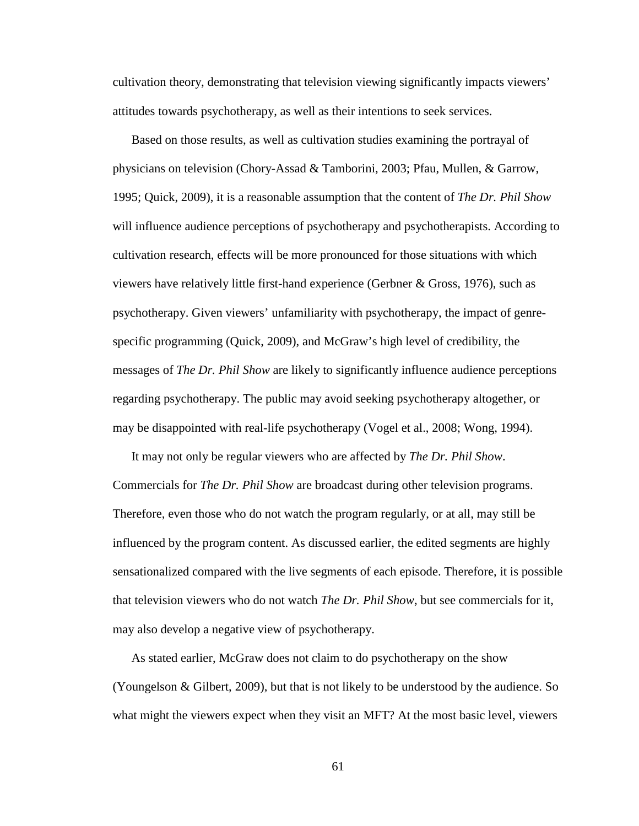cultivation theory, demonstrating that television viewing significantly impacts viewers' attitudes towards psychotherapy, as well as their intentions to seek services.

Based on those results, as well as cultivation studies examining the portrayal of physicians on television (Chory-Assad & Tamborini, 2003; Pfau, Mullen, & Garrow, 1995; Quick, 2009), it is a reasonable assumption that the content of *The Dr. Phil Show* will influence audience perceptions of psychotherapy and psychotherapists. According to cultivation research, effects will be more pronounced for those situations with which viewers have relatively little first-hand experience (Gerbner & Gross, 1976), such as psychotherapy. Given viewers' unfamiliarity with psychotherapy, the impact of genrespecific programming (Quick, 2009), and McGraw's high level of credibility, the messages of *The Dr. Phil Show* are likely to significantly influence audience perceptions regarding psychotherapy. The public may avoid seeking psychotherapy altogether, or may be disappointed with real-life psychotherapy (Vogel et al., 2008; Wong, 1994).

It may not only be regular viewers who are affected by *The Dr. Phil Show*. Commercials for *The Dr. Phil Show* are broadcast during other television programs. Therefore, even those who do not watch the program regularly, or at all, may still be influenced by the program content. As discussed earlier, the edited segments are highly sensationalized compared with the live segments of each episode. Therefore, it is possible that television viewers who do not watch *The Dr. Phil Show*, but see commercials for it, may also develop a negative view of psychotherapy.

As stated earlier, McGraw does not claim to do psychotherapy on the show (Youngelson & Gilbert, 2009), but that is not likely to be understood by the audience. So what might the viewers expect when they visit an MFT? At the most basic level, viewers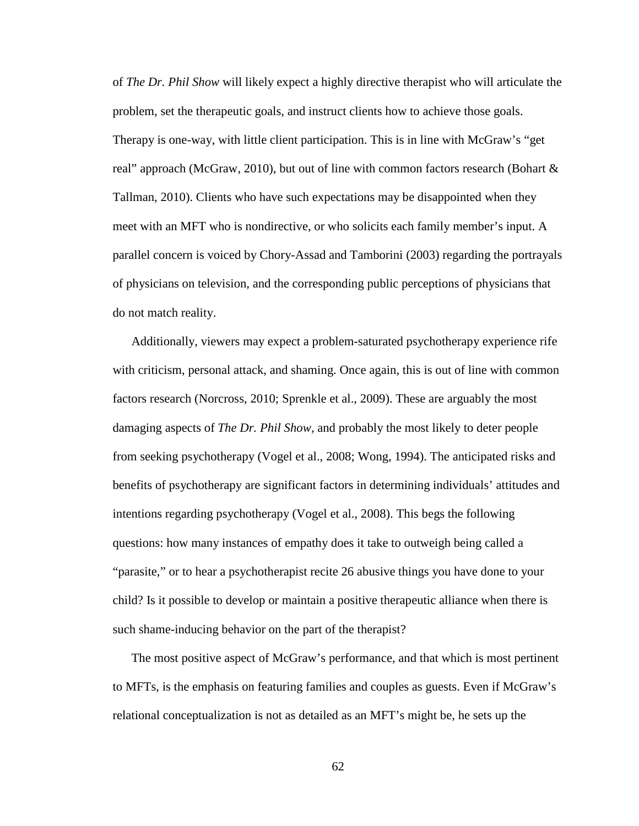of *The Dr. Phil Show* will likely expect a highly directive therapist who will articulate the problem, set the therapeutic goals, and instruct clients how to achieve those goals. Therapy is one-way, with little client participation. This is in line with McGraw's "get real" approach (McGraw, 2010), but out of line with common factors research (Bohart & Tallman, 2010). Clients who have such expectations may be disappointed when they meet with an MFT who is nondirective, or who solicits each family member's input. A parallel concern is voiced by Chory-Assad and Tamborini (2003) regarding the portrayals of physicians on television, and the corresponding public perceptions of physicians that do not match reality.

Additionally, viewers may expect a problem-saturated psychotherapy experience rife with criticism, personal attack, and shaming. Once again, this is out of line with common factors research (Norcross, 2010; Sprenkle et al., 2009). These are arguably the most damaging aspects of *The Dr. Phil Show,* and probably the most likely to deter people from seeking psychotherapy (Vogel et al., 2008; Wong, 1994). The anticipated risks and benefits of psychotherapy are significant factors in determining individuals' attitudes and intentions regarding psychotherapy (Vogel et al., 2008). This begs the following questions: how many instances of empathy does it take to outweigh being called a "parasite," or to hear a psychotherapist recite 26 abusive things you have done to your child? Is it possible to develop or maintain a positive therapeutic alliance when there is such shame-inducing behavior on the part of the therapist?

The most positive aspect of McGraw's performance, and that which is most pertinent to MFTs, is the emphasis on featuring families and couples as guests. Even if McGraw's relational conceptualization is not as detailed as an MFT's might be, he sets up the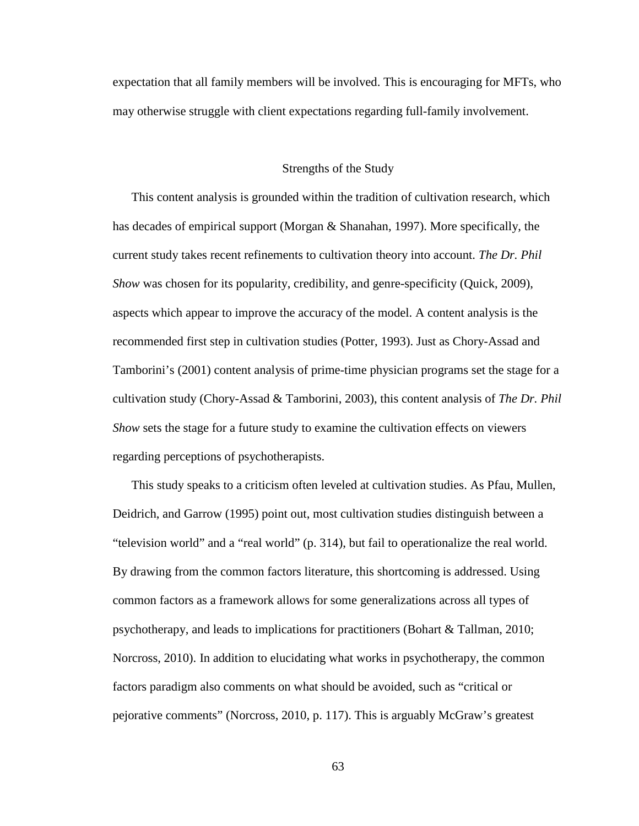expectation that all family members will be involved. This is encouraging for MFTs, who may otherwise struggle with client expectations regarding full-family involvement.

## Strengths of the Study

This content analysis is grounded within the tradition of cultivation research, which has decades of empirical support (Morgan & Shanahan, 1997). More specifically, the current study takes recent refinements to cultivation theory into account. *The Dr. Phil Show* was chosen for its popularity, credibility, and genre-specificity (Quick, 2009), aspects which appear to improve the accuracy of the model. A content analysis is the recommended first step in cultivation studies (Potter, 1993). Just as Chory-Assad and Tamborini's (2001) content analysis of prime-time physician programs set the stage for a cultivation study (Chory-Assad & Tamborini, 2003), this content analysis of *The Dr. Phil Show* sets the stage for a future study to examine the cultivation effects on viewers regarding perceptions of psychotherapists.

This study speaks to a criticism often leveled at cultivation studies. As Pfau, Mullen, Deidrich, and Garrow (1995) point out, most cultivation studies distinguish between a "television world" and a "real world" (p. 314), but fail to operationalize the real world. By drawing from the common factors literature, this shortcoming is addressed. Using common factors as a framework allows for some generalizations across all types of psychotherapy, and leads to implications for practitioners (Bohart & Tallman, 2010; Norcross, 2010). In addition to elucidating what works in psychotherapy, the common factors paradigm also comments on what should be avoided, such as "critical or pejorative comments" (Norcross, 2010, p. 117). This is arguably McGraw's greatest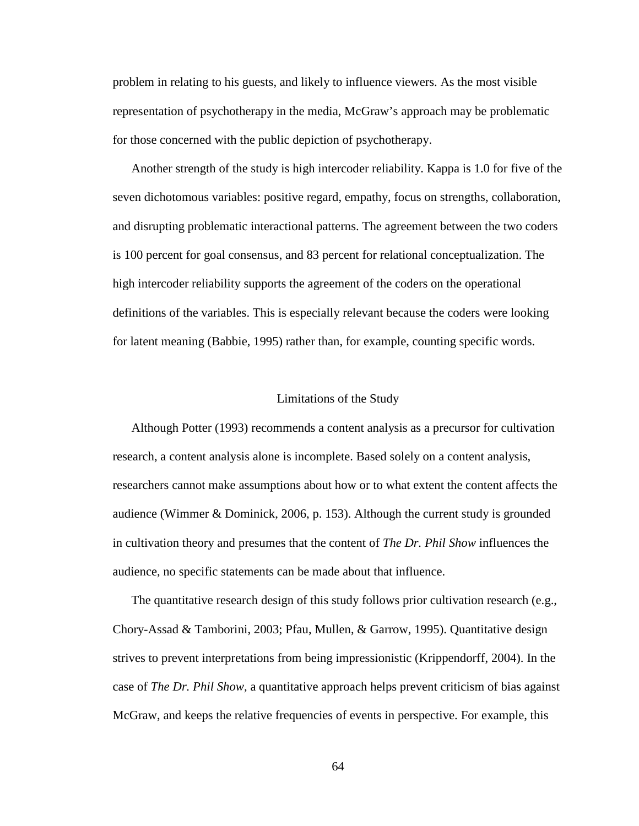problem in relating to his guests, and likely to influence viewers. As the most visible representation of psychotherapy in the media, McGraw's approach may be problematic for those concerned with the public depiction of psychotherapy.

Another strength of the study is high intercoder reliability. Kappa is 1.0 for five of the seven dichotomous variables: positive regard, empathy, focus on strengths, collaboration, and disrupting problematic interactional patterns. The agreement between the two coders is 100 percent for goal consensus, and 83 percent for relational conceptualization. The high intercoder reliability supports the agreement of the coders on the operational definitions of the variables. This is especially relevant because the coders were looking for latent meaning (Babbie, 1995) rather than, for example, counting specific words.

## Limitations of the Study

Although Potter (1993) recommends a content analysis as a precursor for cultivation research, a content analysis alone is incomplete. Based solely on a content analysis, researchers cannot make assumptions about how or to what extent the content affects the audience (Wimmer & Dominick, 2006, p. 153). Although the current study is grounded in cultivation theory and presumes that the content of *The Dr. Phil Show* influences the audience, no specific statements can be made about that influence.

The quantitative research design of this study follows prior cultivation research (e.g., Chory-Assad & Tamborini, 2003; Pfau, Mullen, & Garrow, 1995). Quantitative design strives to prevent interpretations from being impressionistic (Krippendorff, 2004). In the case of *The Dr. Phil Show,* a quantitative approach helps prevent criticism of bias against McGraw, and keeps the relative frequencies of events in perspective. For example, this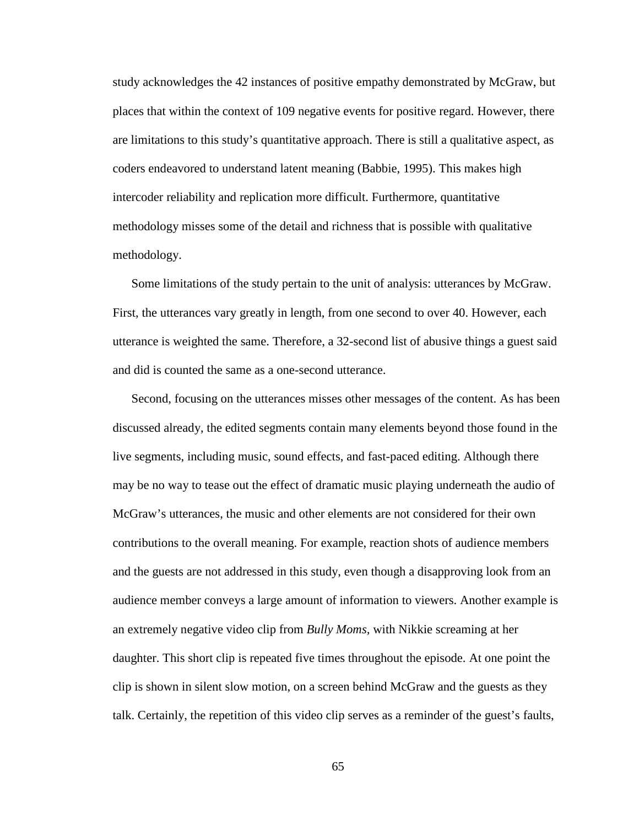study acknowledges the 42 instances of positive empathy demonstrated by McGraw, but places that within the context of 109 negative events for positive regard. However, there are limitations to this study's quantitative approach. There is still a qualitative aspect, as coders endeavored to understand latent meaning (Babbie, 1995). This makes high intercoder reliability and replication more difficult. Furthermore, quantitative methodology misses some of the detail and richness that is possible with qualitative methodology.

Some limitations of the study pertain to the unit of analysis: utterances by McGraw. First, the utterances vary greatly in length, from one second to over 40. However, each utterance is weighted the same. Therefore, a 32-second list of abusive things a guest said and did is counted the same as a one-second utterance.

Second, focusing on the utterances misses other messages of the content. As has been discussed already, the edited segments contain many elements beyond those found in the live segments, including music, sound effects, and fast-paced editing. Although there may be no way to tease out the effect of dramatic music playing underneath the audio of McGraw's utterances, the music and other elements are not considered for their own contributions to the overall meaning. For example, reaction shots of audience members and the guests are not addressed in this study, even though a disapproving look from an audience member conveys a large amount of information to viewers. Another example is an extremely negative video clip from *Bully Moms,* with Nikkie screaming at her daughter. This short clip is repeated five times throughout the episode. At one point the clip is shown in silent slow motion, on a screen behind McGraw and the guests as they talk. Certainly, the repetition of this video clip serves as a reminder of the guest's faults,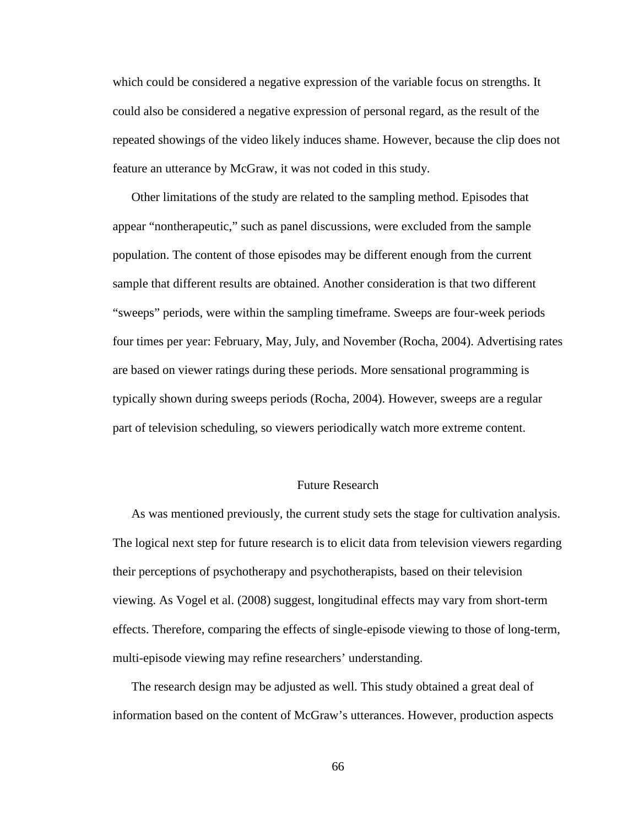which could be considered a negative expression of the variable focus on strengths. It could also be considered a negative expression of personal regard, as the result of the repeated showings of the video likely induces shame. However, because the clip does not feature an utterance by McGraw, it was not coded in this study.

Other limitations of the study are related to the sampling method. Episodes that appear "nontherapeutic," such as panel discussions, were excluded from the sample population. The content of those episodes may be different enough from the current sample that different results are obtained. Another consideration is that two different "sweeps" periods, were within the sampling timeframe. Sweeps are four-week periods four times per year: February, May, July, and November (Rocha, 2004). Advertising rates are based on viewer ratings during these periods. More sensational programming is typically shown during sweeps periods (Rocha, 2004). However, sweeps are a regular part of television scheduling, so viewers periodically watch more extreme content.

## Future Research

As was mentioned previously, the current study sets the stage for cultivation analysis. The logical next step for future research is to elicit data from television viewers regarding their perceptions of psychotherapy and psychotherapists, based on their television viewing. As Vogel et al. (2008) suggest, longitudinal effects may vary from short-term effects. Therefore, comparing the effects of single-episode viewing to those of long-term, multi-episode viewing may refine researchers' understanding.

The research design may be adjusted as well. This study obtained a great deal of information based on the content of McGraw's utterances. However, production aspects

66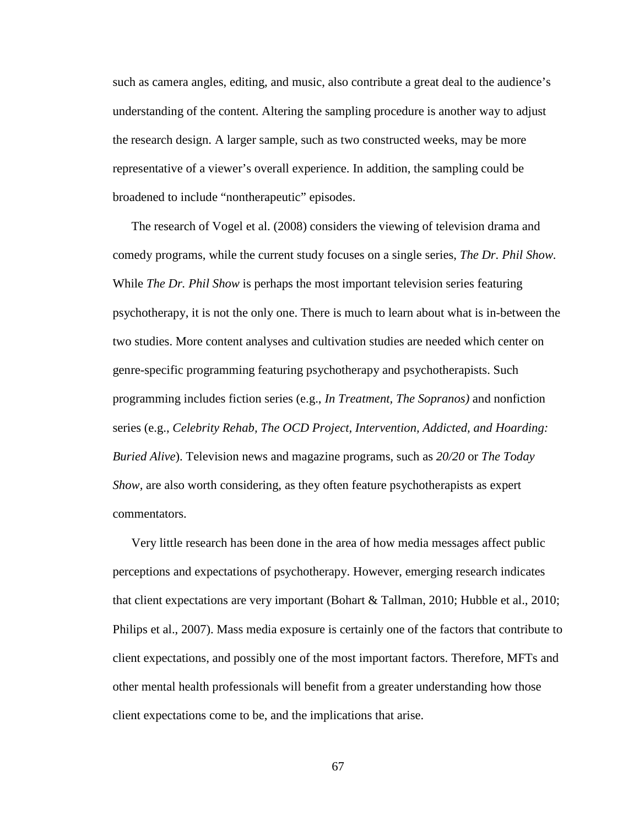such as camera angles, editing, and music, also contribute a great deal to the audience's understanding of the content. Altering the sampling procedure is another way to adjust the research design. A larger sample, such as two constructed weeks, may be more representative of a viewer's overall experience. In addition, the sampling could be broadened to include "nontherapeutic" episodes.

The research of Vogel et al. (2008) considers the viewing of television drama and comedy programs, while the current study focuses on a single series, *The Dr. Phil Show.* While *The Dr. Phil Show* is perhaps the most important television series featuring psychotherapy, it is not the only one. There is much to learn about what is in-between the two studies. More content analyses and cultivation studies are needed which center on genre-specific programming featuring psychotherapy and psychotherapists. Such programming includes fiction series (e.g., *In Treatment, The Sopranos)* and nonfiction series (e.g., *Celebrity Rehab, The OCD Project, Intervention, Addicted, and Hoarding: Buried Alive*). Television news and magazine programs, such as *20/20* or *The Today Show,* are also worth considering, as they often feature psychotherapists as expert commentators.

Very little research has been done in the area of how media messages affect public perceptions and expectations of psychotherapy. However, emerging research indicates that client expectations are very important (Bohart & Tallman, 2010; Hubble et al., 2010; Philips et al., 2007). Mass media exposure is certainly one of the factors that contribute to client expectations, and possibly one of the most important factors. Therefore, MFTs and other mental health professionals will benefit from a greater understanding how those client expectations come to be, and the implications that arise.

67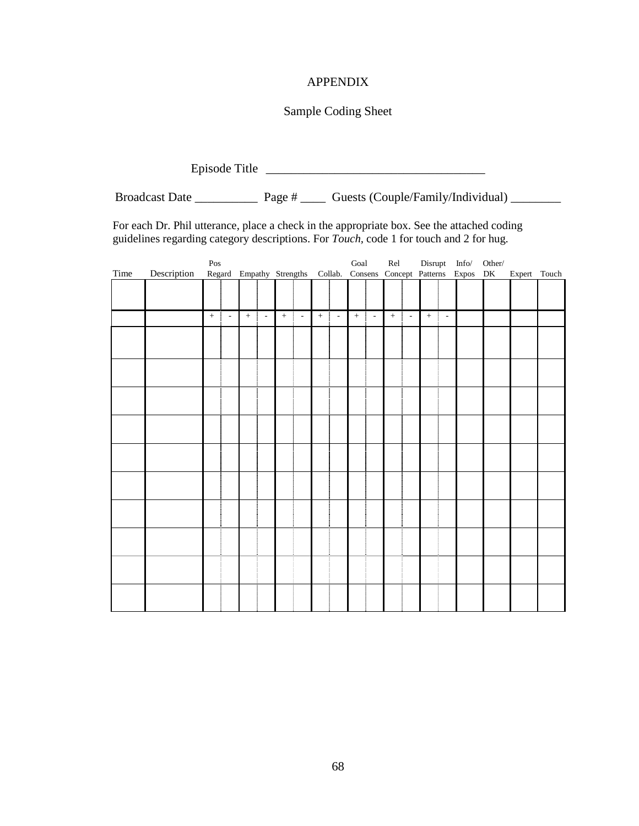# APPENDIX

# Sample Coding Sheet

Episode Title \_\_\_\_\_\_\_\_\_\_\_\_\_\_\_\_\_\_\_\_\_\_\_\_\_\_\_\_\_\_\_\_\_\_\_ Broadcast Date \_\_\_\_\_\_\_\_\_\_\_\_\_\_ Page # \_\_\_\_\_\_ Guests (Couple/Family/Individual) \_\_\_\_\_\_\_\_

For each Dr. Phil utterance, place a check in the appropriate box. See the attached coding guidelines regarding category descriptions. For *Touch,* code 1 for touch and 2 for hug.

|      | $\mathop{\mathrm{Pos}}$ |        |                          |        |                          |                                                                    |                          |          |        |             | $_{\rm Goal}$<br>$\ensuremath{\text{Rel}}$ |            |        | Disrupt               |                          | $\mathbf{Info}/$ | Other/ |              |  |
|------|-------------------------|--------|--------------------------|--------|--------------------------|--------------------------------------------------------------------|--------------------------|----------|--------|-------------|--------------------------------------------|------------|--------|-----------------------|--------------------------|------------------|--------|--------------|--|
| Time | Description             |        |                          |        |                          | Regard Empathy Strengths Collab. Consens Concept Patterns Expos DK |                          |          |        |             |                                            |            |        |                       |                          |                  |        | Expert Touch |  |
|      |                         |        |                          |        |                          |                                                                    |                          |          |        |             |                                            |            |        |                       |                          |                  |        |              |  |
|      |                         |        |                          |        |                          |                                                                    |                          |          |        |             |                                            |            |        |                       |                          |                  |        |              |  |
|      |                         |        |                          |        |                          |                                                                    |                          |          |        |             |                                            |            |        |                       |                          |                  |        |              |  |
|      |                         | $\, +$ | $\overline{\phantom{a}}$ | $\! +$ | $\overline{\phantom{a}}$ | $\, +$<br>÷                                                        | $\overline{\phantom{a}}$ | ÷<br>$+$ | $\sim$ | ł<br>$\, +$ | $\overline{\phantom{a}}$                   | $\pm$<br>÷ | $\sim$ | $\boldsymbol{+}$<br>÷ | $\overline{\phantom{a}}$ |                  |        |              |  |
|      |                         |        |                          |        |                          |                                                                    |                          |          |        |             |                                            |            |        |                       |                          |                  |        |              |  |
|      |                         |        |                          |        |                          |                                                                    |                          |          |        |             |                                            |            |        |                       |                          |                  |        |              |  |
|      |                         |        |                          |        |                          |                                                                    |                          |          |        |             |                                            |            |        |                       |                          |                  |        |              |  |
|      |                         |        |                          |        |                          |                                                                    |                          |          |        |             |                                            |            |        |                       |                          |                  |        |              |  |
|      |                         |        |                          |        |                          |                                                                    |                          |          |        |             |                                            |            |        |                       |                          |                  |        |              |  |
|      |                         |        |                          |        |                          |                                                                    |                          |          |        |             |                                            |            |        |                       |                          |                  |        |              |  |
|      |                         |        |                          |        |                          |                                                                    |                          |          |        |             |                                            |            |        |                       |                          |                  |        |              |  |
|      |                         |        |                          |        |                          |                                                                    |                          |          |        |             |                                            |            |        |                       |                          |                  |        |              |  |
|      |                         |        |                          |        |                          |                                                                    |                          |          |        |             |                                            |            |        |                       |                          |                  |        |              |  |
|      |                         |        |                          |        |                          |                                                                    |                          |          |        |             |                                            |            |        |                       |                          |                  |        |              |  |
|      |                         |        |                          |        |                          |                                                                    |                          |          |        |             |                                            |            |        |                       |                          |                  |        |              |  |
|      |                         |        |                          |        |                          |                                                                    |                          |          |        |             |                                            |            |        |                       |                          |                  |        |              |  |
|      |                         |        |                          |        |                          |                                                                    |                          |          |        |             |                                            |            |        |                       |                          |                  |        |              |  |
|      |                         |        |                          |        |                          |                                                                    |                          |          |        |             |                                            |            |        |                       |                          |                  |        |              |  |
|      |                         |        |                          |        |                          |                                                                    |                          |          |        |             |                                            |            |        |                       |                          |                  |        |              |  |
|      |                         |        |                          |        |                          |                                                                    |                          |          |        |             |                                            |            |        |                       |                          |                  |        |              |  |
|      |                         |        |                          |        |                          |                                                                    |                          |          |        |             |                                            |            |        |                       |                          |                  |        |              |  |
|      |                         |        |                          |        |                          |                                                                    |                          |          |        |             |                                            |            |        |                       |                          |                  |        |              |  |
|      |                         |        |                          |        |                          |                                                                    |                          |          |        |             |                                            |            |        |                       |                          |                  |        |              |  |
|      |                         |        |                          |        |                          |                                                                    |                          |          |        |             |                                            |            |        |                       |                          |                  |        |              |  |
|      |                         |        |                          |        |                          |                                                                    |                          |          |        |             |                                            |            |        |                       |                          |                  |        |              |  |
|      |                         |        |                          |        |                          |                                                                    |                          |          |        |             |                                            |            |        |                       |                          |                  |        |              |  |
|      |                         |        |                          |        |                          |                                                                    |                          |          |        |             |                                            |            |        |                       |                          |                  |        |              |  |
|      |                         |        |                          |        |                          |                                                                    |                          |          |        |             |                                            |            |        |                       |                          |                  |        |              |  |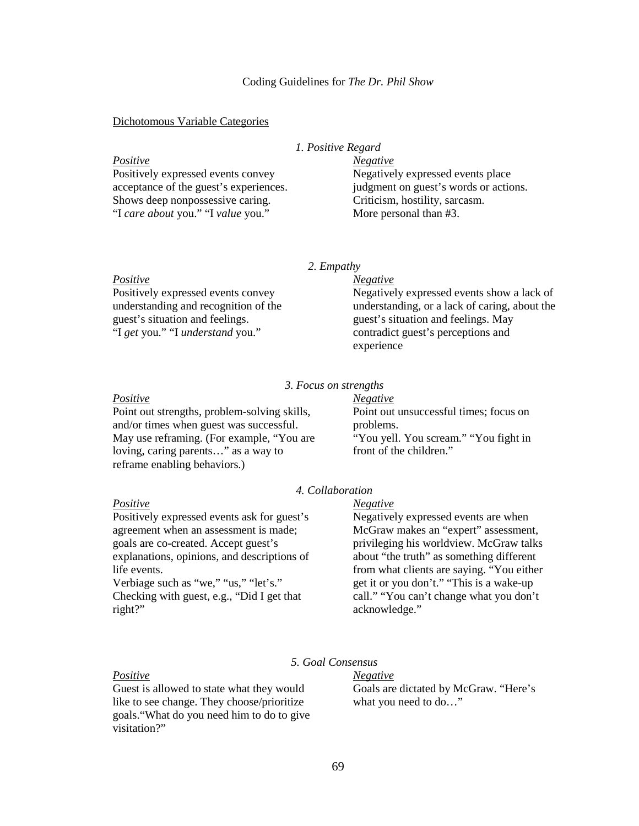### Coding Guidelines for *The Dr. Phil Show*

#### Dichotomous Variable Categories

## *1. Positive Regard*

*Positive* Positively expressed events convey acceptance of the guest's experiences. Shows deep nonpossessive caring. "I *care about* you." "I *value* you." *Negative* Negatively expressed events place judgment on guest's words or actions. Criticism, hostility, sarcasm. More personal than #3.

*2. Empathy*

#### *Positive*

Positively expressed events convey understanding and recognition of the guest's situation and feelings. "I *get* you." "I *understand* you."

#### *Negative*

Negatively expressed events show a lack of understanding, or a lack of caring, about the guest's situation and feelings. May contradict guest's perceptions and experience

## *3. Focus on strengths*

#### *Positive*

*Positive*

life events.

right?"

Point out strengths, problem-solving skills, and/or times when guest was successful. May use reframing. (For example, "You are loving, caring parents…" as a way to reframe enabling behaviors.)

Positively expressed events ask for guest's agreement when an assessment is made; goals are co-created. Accept guest's explanations, opinions, and descriptions of

Verbiage such as "we," "us," "let's." Checking with guest, e.g., "Did I get that

*Negative* Point out unsuccessful times; focus on problems. "You yell. You scream." "You fight in front of the children."

## *4. Collaboration*

## *Negative*

Negatively expressed events are when McGraw makes an "expert" assessment, privileging his worldview. McGraw talks about "the truth" as something different from what clients are saying. "You either get it or you don't." "This is a wake-up call." "You can't change what you don't acknowledge."

## *Positive*

Guest is allowed to state what they would like to see change. They choose/prioritize goals."What do you need him to do to give visitation?"

# *5. Goal Consensus*

*Negative* Goals are dictated by McGraw. "Here's what you need to do…"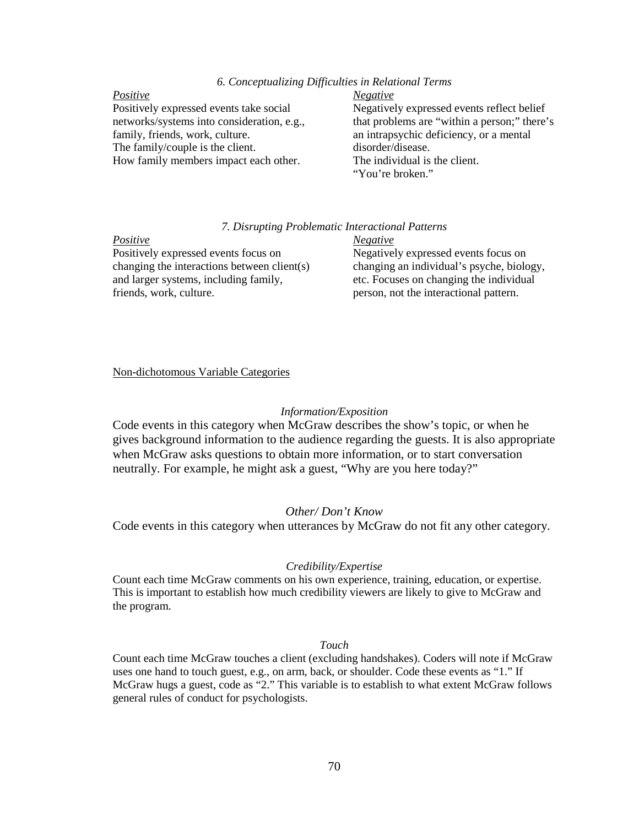## *6. Conceptualizing Difficulties in Relational Terms*

#### *Positive*

Positively expressed events take social networks/systems into consideration, e.g., family, friends, work, culture. The family/couple is the client. How family members impact each other.

#### *Negative*

Negatively expressed events reflect belief that problems are "within a person;" there's an intrapsychic deficiency, or a mental disorder/disease. The individual is the client. "You're broken."

### *7. Disrupting Problematic Interactional Patterns*

## *Positive*

Positively expressed events focus on changing the interactions between client(s) and larger systems, including family, friends, work, culture.

## *Negative* Negatively expressed events focus on changing an individual's psyche, biology, etc. Focuses on changing the individual person, not the interactional pattern.

### Non-dichotomous Variable Categories

### *Information/Exposition*

Code events in this category when McGraw describes the show's topic, or when he gives background information to the audience regarding the guests. It is also appropriate when McGraw asks questions to obtain more information, or to start conversation neutrally. For example, he might ask a guest, "Why are you here today?"

### *Other/ Don't Know*

Code events in this category when utterances by McGraw do not fit any other category.

### *Credibility/Expertise*

Count each time McGraw comments on his own experience, training, education, or expertise. This is important to establish how much credibility viewers are likely to give to McGraw and the program.

### *Touch*

Count each time McGraw touches a client (excluding handshakes). Coders will note if McGraw uses one hand to touch guest, e.g., on arm, back, or shoulder. Code these events as "1." If McGraw hugs a guest, code as "2." This variable is to establish to what extent McGraw follows general rules of conduct for psychologists.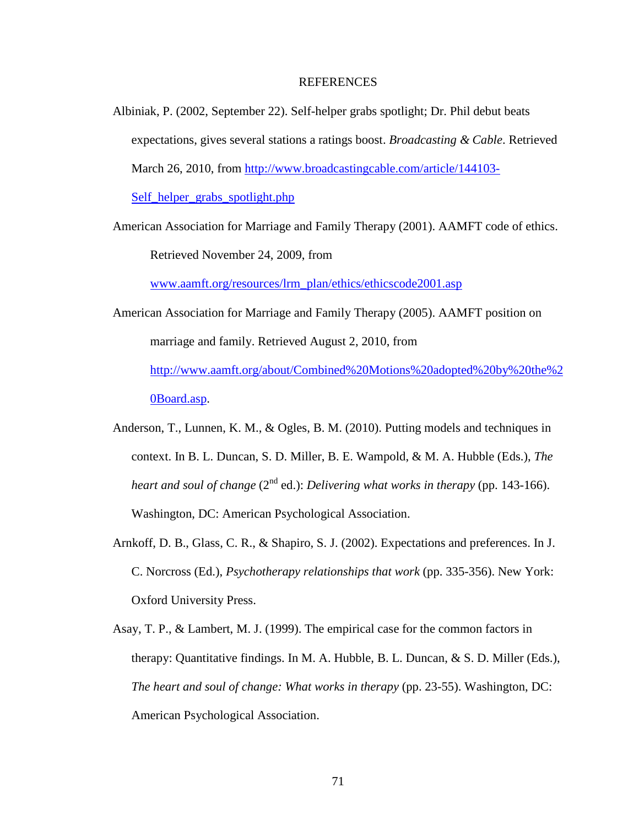### REFERENCES

Albiniak, P. (2002, September 22). Self-helper grabs spotlight; Dr. Phil debut beats expectations, gives several stations a ratings boost. *Broadcasting & Cable*. Retrieved March 26, 2010, from http://www.broadcastingcable.com/article/144103-

Self\_helper\_grabs\_spotlight.php

American Association for Marriage and Family Therapy (2001). AAMFT code of ethics. Retrieved November 24, 2009, from

www.aamft.org/resources/lrm\_plan/ethics/ethicscode2001.asp

- American Association for Marriage and Family Therapy (2005). AAMFT position on marriage and family. Retrieved August 2, 2010, from http://www.aamft.org/about/Combined%20Motions%20adopted%20by%20the%2 0Board.asp.
- Anderson, T., Lunnen, K. M., & Ogles, B. M. (2010). Putting models and techniques in context. In B. L. Duncan, S. D. Miller, B. E. Wampold, & M. A. Hubble (Eds.), *The heart and soul of change* (2<sup>nd</sup> ed.): *Delivering what works in therapy* (pp. 143-166). Washington, DC: American Psychological Association.
- Arnkoff, D. B., Glass, C. R., & Shapiro, S. J. (2002). Expectations and preferences. In J. C. Norcross (Ed.), *Psychotherapy relationships that work* (pp. 335-356). New York: Oxford University Press.
- Asay, T. P., & Lambert, M. J. (1999). The empirical case for the common factors in therapy: Quantitative findings. In M. A. Hubble, B. L. Duncan, & S. D. Miller (Eds.), *The heart and soul of change: What works in therapy* (pp. 23-55). Washington, DC: American Psychological Association.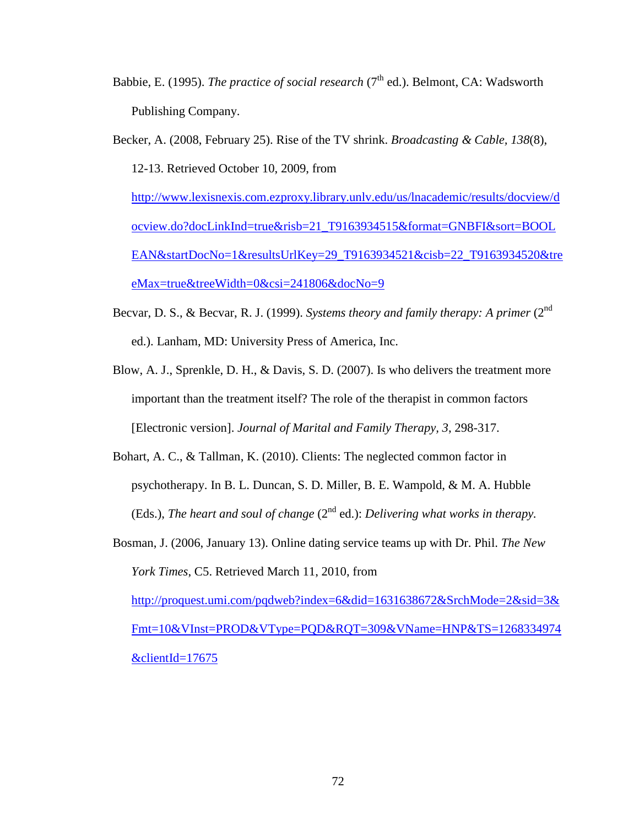- Babbie, E. (1995). *The practice of social research* (7<sup>th</sup> ed.). Belmont, CA: Wadsworth Publishing Company.
- Becker, A. (2008, February 25). Rise of the TV shrink. *Broadcasting & Cable, 138*(8), 12-13. Retrieved October 10, 2009, from http://www.lexisnexis.com.ezproxy.library.unlv.edu/us/lnacademic/results/docview/d ocview.do?docLinkInd=true&risb=21\_T9163934515&format=GNBFI&sort=BOOL EAN&startDocNo=1&resultsUrlKey=29\_T9163934521&cisb=22\_T9163934520&tre eMax=true&treeWidth=0&csi=241806&docNo=9
- Becvar, D. S., & Becvar, R. J. (1999). *Systems theory and family therapy: A primer* (2<sup>nd</sup> ed.). Lanham, MD: University Press of America, Inc.
- Blow, A. J., Sprenkle, D. H., & Davis, S. D. (2007). Is who delivers the treatment more important than the treatment itself? The role of the therapist in common factors [Electronic version]. *Journal of Marital and Family Therapy, 3*, 298-317.
- Bohart, A. C., & Tallman, K. (2010). Clients: The neglected common factor in psychotherapy. In B. L. Duncan, S. D. Miller, B. E. Wampold, & M. A. Hubble (Eds.), *The heart and soul of change* (2nd ed.): *Delivering what works in therapy.*
- Bosman, J. (2006, January 13). Online dating service teams up with Dr. Phil. *The New York Times*, C5. Retrieved March 11, 2010, from http://proquest.umi.com/pqdweb?index=6&did=1631638672&SrchMode=2&sid=3& Fmt=10&VInst=PROD&VType=PQD&RQT=309&VName=HNP&TS=1268334974 &clientId=17675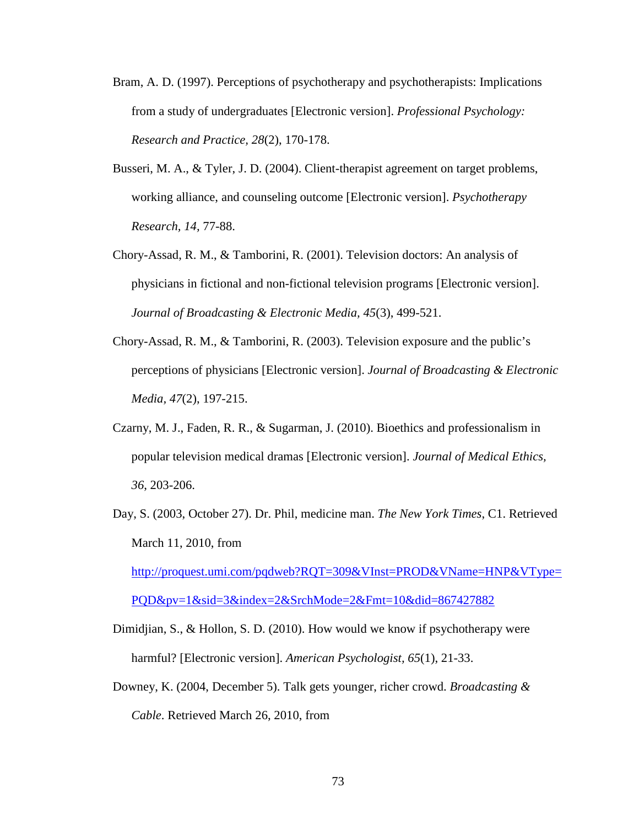- Bram, A. D. (1997). Perceptions of psychotherapy and psychotherapists: Implications from a study of undergraduates [Electronic version]. *Professional Psychology: Research and Practice, 28*(2), 170-178.
- Busseri, M. A., & Tyler, J. D. (2004). Client-therapist agreement on target problems, working alliance, and counseling outcome [Electronic version]. *Psychotherapy Research, 14,* 77-88.
- Chory-Assad, R. M., & Tamborini, R. (2001). Television doctors: An analysis of physicians in fictional and non-fictional television programs [Electronic version]. *Journal of Broadcasting & Electronic Media, 45*(3), 499-521.
- Chory-Assad, R. M., & Tamborini, R. (2003). Television exposure and the public's perceptions of physicians [Electronic version]. *Journal of Broadcasting & Electronic Media, 47*(2), 197-215.
- Czarny, M. J., Faden, R. R., & Sugarman, J. (2010). Bioethics and professionalism in popular television medical dramas [Electronic version]. *Journal of Medical Ethics, 36*, 203-206.
- Day, S. (2003, October 27). Dr. Phil, medicine man. *The New York Times*, C1. Retrieved March 11, 2010, from http://proquest.umi.com/pqdweb?RQT=309&VInst=PROD&VName=HNP&VType= PQD&pv=1&sid=3&index=2&SrchMode=2&Fmt=10&did=867427882
- Dimidjian, S., & Hollon, S. D. (2010). How would we know if psychotherapy were harmful? [Electronic version]. *American Psychologist, 65*(1), 21-33.
- Downey, K. (2004, December 5). Talk gets younger, richer crowd. *Broadcasting & Cable*. Retrieved March 26, 2010, from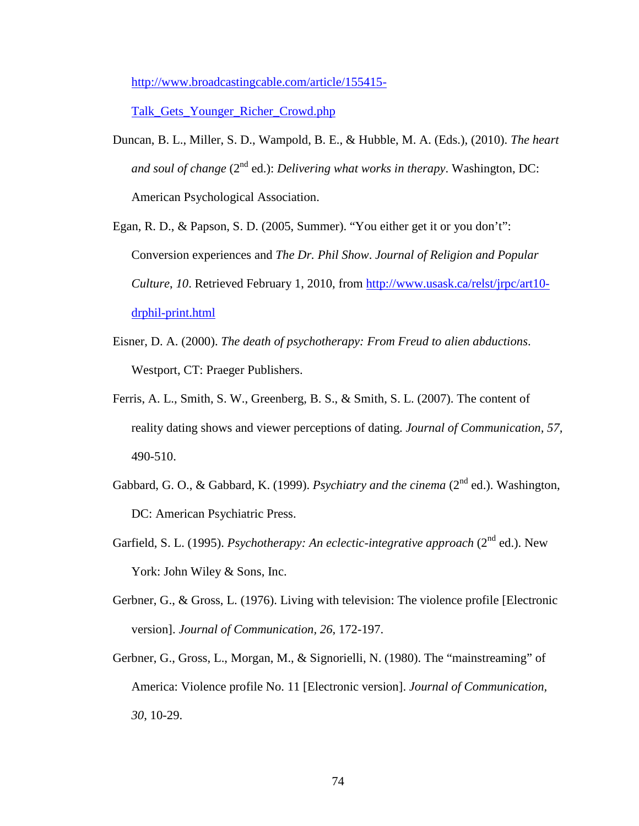http://www.broadcastingcable.com/article/155415-

Talk\_Gets\_Younger\_Richer\_Crowd.php

- Duncan, B. L., Miller, S. D., Wampold, B. E., & Hubble, M. A. (Eds.), (2010). *The heart and soul of change* (2<sup>nd</sup> ed.): *Delivering what works in therapy*. Washington, DC: American Psychological Association.
- Egan, R. D., & Papson, S. D. (2005, Summer). "You either get it or you don't": Conversion experiences and *The Dr. Phil Show*. *Journal of Religion and Popular Culture*, *10*. Retrieved February 1, 2010, from http://www.usask.ca/relst/jrpc/art10 drphil-print.html
- Eisner, D. A. (2000). *The death of psychotherapy: From Freud to alien abductions*. Westport, CT: Praeger Publishers.
- Ferris, A. L., Smith, S. W., Greenberg, B. S., & Smith, S. L. (2007). The content of reality dating shows and viewer perceptions of dating. *Journal of Communication, 57,*  490-510.
- Gabbard, G. O., & Gabbard, K. (1999). *Psychiatry and the cinema* (2<sup>nd</sup> ed.). Washington, DC: American Psychiatric Press.
- Garfield, S. L. (1995). *Psychotherapy: An eclectic-integrative approach* (2<sup>nd</sup> ed.). New York: John Wiley & Sons, Inc.
- Gerbner, G., & Gross, L. (1976). Living with television: The violence profile [Electronic version]. *Journal of Communication, 26*, 172-197.
- Gerbner, G., Gross, L., Morgan, M., & Signorielli, N. (1980). The "mainstreaming" of America: Violence profile No. 11 [Electronic version]. *Journal of Communication, 30*, 10-29.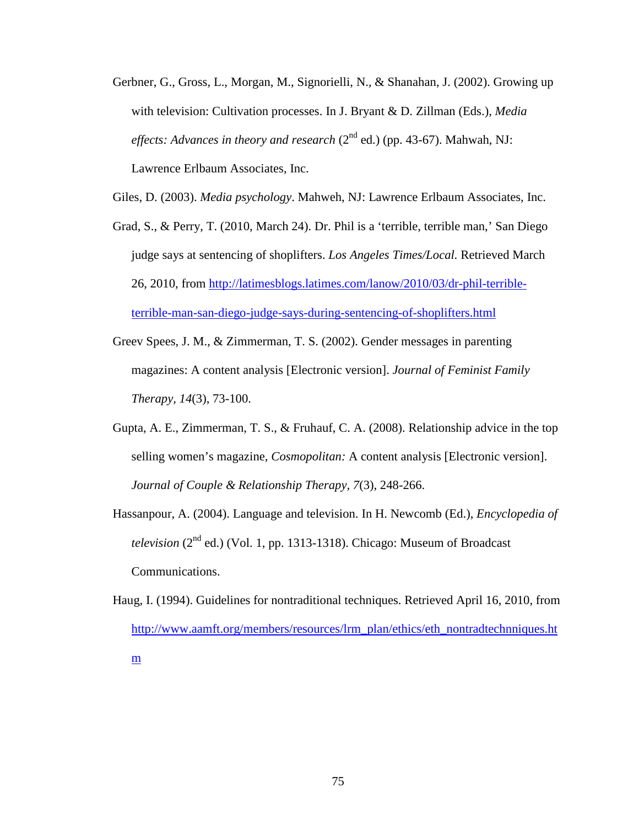Gerbner, G., Gross, L., Morgan, M., Signorielli, N., & Shanahan, J. (2002). Growing up with television: Cultivation processes. In J. Bryant & D. Zillman (Eds.), *Media effects: Advances in theory and research*  $(2^{nd}$  ed.) (pp. 43-67). Mahwah, NJ: Lawrence Erlbaum Associates, Inc.

Giles, D. (2003). *Media psychology*. Mahweh, NJ: Lawrence Erlbaum Associates, Inc.

- Grad, S., & Perry, T. (2010, March 24). Dr. Phil is a 'terrible, terrible man,' San Diego judge says at sentencing of shoplifters. *Los Angeles Times/Local.* Retrieved March 26, 2010, from http://latimesblogs.latimes.com/lanow/2010/03/dr-phil-terribleterrible-man-san-diego-judge-says-during-sentencing-of-shoplifters.html
- Greev Spees, J. M., & Zimmerman, T. S. (2002). Gender messages in parenting magazines: A content analysis [Electronic version]. *Journal of Feminist Family Therapy, 14*(3), 73-100.
- Gupta, A. E., Zimmerman, T. S., & Fruhauf, C. A. (2008). Relationship advice in the top selling women's magazine, *Cosmopolitan:* A content analysis [Electronic version]. *Journal of Couple & Relationship Therapy, 7*(3), 248-266.
- Hassanpour, A. (2004). Language and television. In H. Newcomb (Ed.), *Encyclopedia of television* (2<sup>nd</sup> ed.) (Vol. 1, pp. 1313-1318). Chicago: Museum of Broadcast Communications.
- Haug, I. (1994). Guidelines for nontraditional techniques. Retrieved April 16, 2010, from http://www.aamft.org/members/resources/lrm\_plan/ethics/eth\_nontradtechnniques.ht m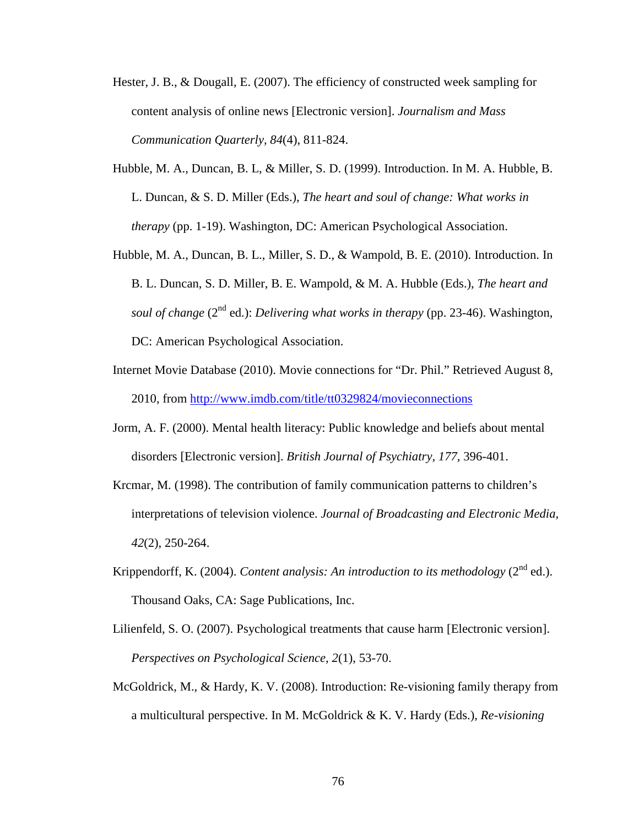- Hester, J. B., & Dougall, E. (2007). The efficiency of constructed week sampling for content analysis of online news [Electronic version]. *Journalism and Mass Communication Quarterly, 84*(4), 811-824.
- Hubble, M. A., Duncan, B. L, & Miller, S. D. (1999). Introduction. In M. A. Hubble, B. L. Duncan, & S. D. Miller (Eds.), *The heart and soul of change: What works in therapy* (pp. 1-19). Washington, DC: American Psychological Association.
- Hubble, M. A., Duncan, B. L., Miller, S. D., & Wampold, B. E. (2010). Introduction. In B. L. Duncan, S. D. Miller, B. E. Wampold, & M. A. Hubble (Eds.), *The heart and soul of change* (2<sup>nd</sup> ed.): *Delivering what works in therapy* (pp. 23-46). Washington, DC: American Psychological Association.
- Internet Movie Database (2010). Movie connections for "Dr. Phil." Retrieved August 8, 2010, from http://www.imdb.com/title/tt0329824/movieconnections
- Jorm, A. F. (2000). Mental health literacy: Public knowledge and beliefs about mental disorders [Electronic version]. *British Journal of Psychiatry, 177*, 396-401.
- Krcmar, M. (1998). The contribution of family communication patterns to children's interpretations of television violence. *Journal of Broadcasting and Electronic Media, 42*(2), 250-264.
- Krippendorff, K. (2004). *Content analysis: An introduction to its methodology* (2<sup>nd</sup> ed.). Thousand Oaks, CA: Sage Publications, Inc.
- Lilienfeld, S. O. (2007). Psychological treatments that cause harm [Electronic version]. *Perspectives on Psychological Science, 2*(1), 53-70.
- McGoldrick, M., & Hardy, K. V. (2008). Introduction: Re-visioning family therapy from a multicultural perspective. In M. McGoldrick & K. V. Hardy (Eds.), *Re-visioning*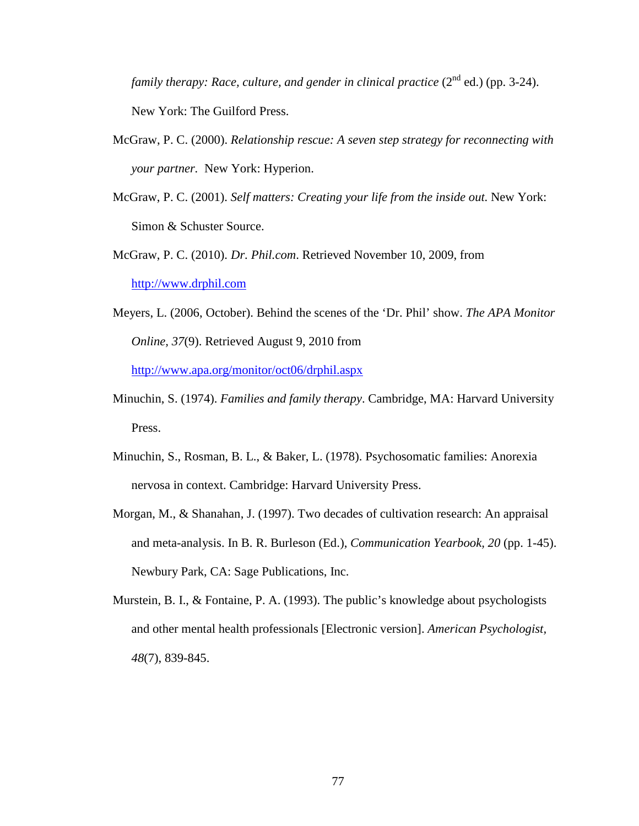*family therapy: Race, culture, and gender in clinical practice*  $(2^{nd}$  ed.) (pp. 3-24). New York: The Guilford Press.

- McGraw, P. C. (2000). *Relationship rescue: A seven step strategy for reconnecting with your partner.* New York: Hyperion.
- McGraw, P. C. (2001). *Self matters: Creating your life from the inside out.* New York: Simon & Schuster Source.
- McGraw, P. C. (2010). *Dr. Phil.com*. Retrieved November 10, 2009, from http://www.drphil.com
- Meyers, L. (2006, October). Behind the scenes of the 'Dr. Phil' show. *The APA Monitor Online, 37*(9). Retrieved August 9, 2010 from http://www.apa.org/monitor/oct06/drphil.aspx
- Minuchin, S. (1974). *Families and family therapy*. Cambridge, MA: Harvard University Press.
- Minuchin, S., Rosman, B. L., & Baker, L. (1978). Psychosomatic families: Anorexia nervosa in context. Cambridge: Harvard University Press.
- Morgan, M., & Shanahan, J. (1997). Two decades of cultivation research: An appraisal and meta-analysis. In B. R. Burleson (Ed.), *Communication Yearbook, 20* (pp. 1-45). Newbury Park, CA: Sage Publications, Inc.
- Murstein, B. I., & Fontaine, P. A. (1993). The public's knowledge about psychologists and other mental health professionals [Electronic version]. *American Psychologist, 48*(7), 839-845.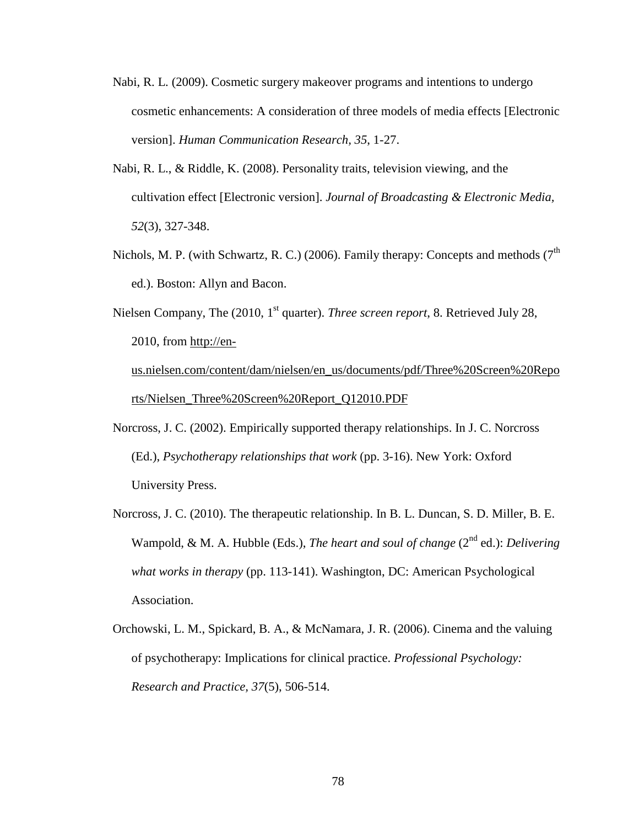- Nabi, R. L. (2009). Cosmetic surgery makeover programs and intentions to undergo cosmetic enhancements: A consideration of three models of media effects [Electronic version]. *Human Communication Research, 35*, 1-27.
- Nabi, R. L., & Riddle, K. (2008). Personality traits, television viewing, and the cultivation effect [Electronic version]. *Journal of Broadcasting & Electronic Media, 52*(3), 327-348.
- Nichols, M. P. (with Schwartz, R. C.) (2006). Family therapy: Concepts and methods ( $7<sup>th</sup>$ ed.). Boston: Allyn and Bacon.
- Nielsen Company, The (2010, 1<sup>st</sup> quarter). *Three screen report*, 8. Retrieved July 28, 2010, from http://enus.nielsen.com/content/dam/nielsen/en\_us/documents/pdf/Three%20Screen%20Repo rts/Nielsen\_Three%20Screen%20Report\_Q12010.PDF
- Norcross, J. C. (2002). Empirically supported therapy relationships. In J. C. Norcross (Ed.), *Psychotherapy relationships that work* (pp. 3-16). New York: Oxford University Press.
- Norcross, J. C. (2010). The therapeutic relationship. In B. L. Duncan, S. D. Miller, B. E. Wampold, & M. A. Hubble (Eds.), *The heart and soul of change* (2<sup>nd</sup> ed.): *Delivering what works in therapy* (pp. 113-141). Washington, DC: American Psychological Association.
- Orchowski, L. M., Spickard, B. A., & McNamara, J. R. (2006). Cinema and the valuing of psychotherapy: Implications for clinical practice. *Professional Psychology: Research and Practice, 37*(5), 506-514.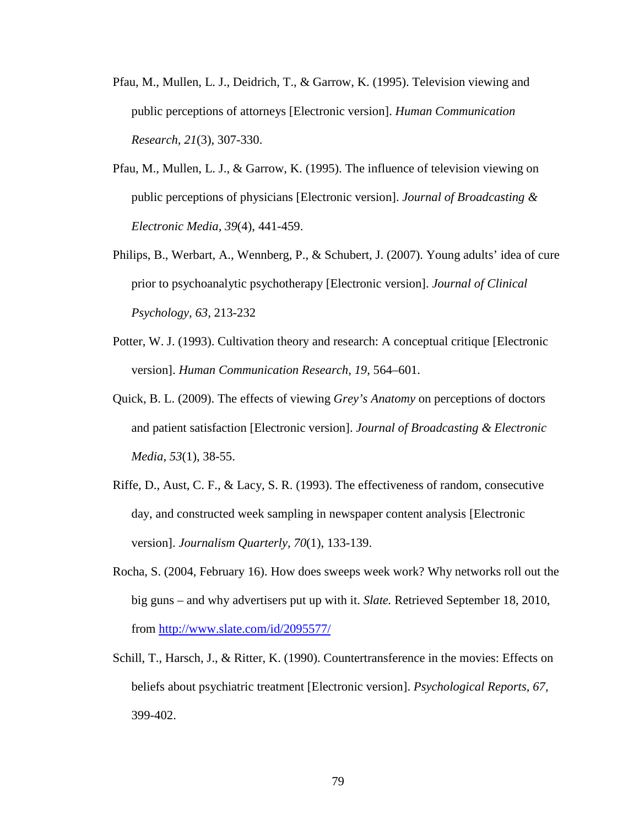- Pfau, M., Mullen, L. J., Deidrich, T., & Garrow, K. (1995). Television viewing and public perceptions of attorneys [Electronic version]. *Human Communication Research, 21*(3), 307-330.
- Pfau, M., Mullen, L. J., & Garrow, K. (1995). The influence of television viewing on public perceptions of physicians [Electronic version]. *Journal of Broadcasting & Electronic Media, 39*(4), 441-459.
- Philips, B., Werbart, A., Wennberg, P., & Schubert, J. (2007). Young adults' idea of cure prior to psychoanalytic psychotherapy [Electronic version]. *Journal of Clinical Psychology, 63,* 213-232
- Potter, W. J. (1993). Cultivation theory and research: A conceptual critique [Electronic version]. *Human Communication Research, 19*, 564–601.
- Quick, B. L. (2009). The effects of viewing *Grey's Anatomy* on perceptions of doctors and patient satisfaction [Electronic version]. *Journal of Broadcasting & Electronic Media, 53*(1), 38-55.
- Riffe, D., Aust, C. F., & Lacy, S. R. (1993). The effectiveness of random, consecutive day, and constructed week sampling in newspaper content analysis [Electronic version]. *Journalism Quarterly, 70*(1), 133-139.
- Rocha, S. (2004, February 16). How does sweeps week work? Why networks roll out the big guns – and why advertisers put up with it. *Slate.* Retrieved September 18, 2010, from http://www.slate.com/id/2095577/
- Schill, T., Harsch, J., & Ritter, K. (1990). Countertransference in the movies: Effects on beliefs about psychiatric treatment [Electronic version]. *Psychological Reports, 67,* 399-402.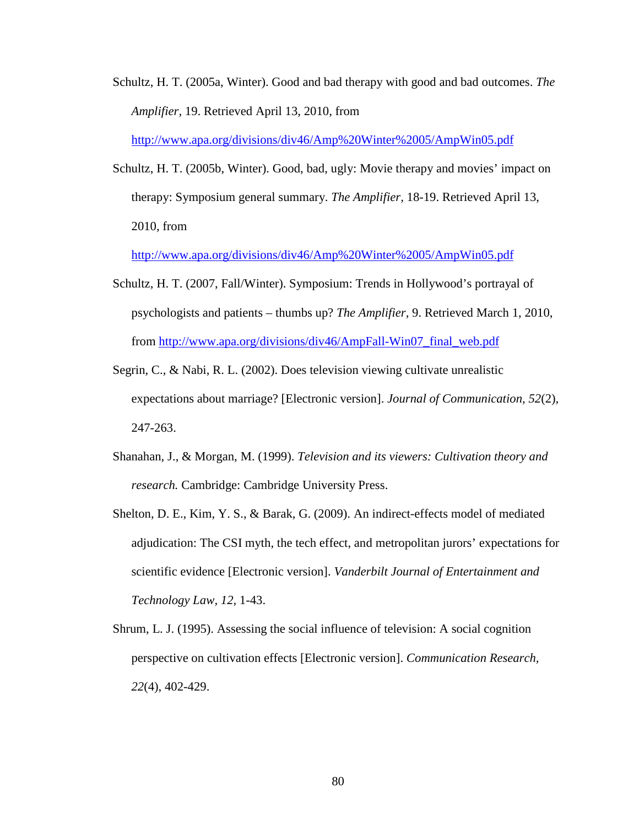Schultz, H. T. (2005a, Winter). Good and bad therapy with good and bad outcomes. *The Amplifier,* 19. Retrieved April 13, 2010, from

http://www.apa.org/divisions/div46/Amp%20Winter%2005/AmpWin05.pdf

Schultz, H. T. (2005b, Winter). Good, bad, ugly: Movie therapy and movies' impact on therapy: Symposium general summary. *The Amplifier,* 18-19. Retrieved April 13, 2010, from

http://www.apa.org/divisions/div46/Amp%20Winter%2005/AmpWin05.pdf

- Schultz, H. T. (2007, Fall/Winter). Symposium: Trends in Hollywood's portrayal of psychologists and patients – thumbs up? *The Amplifier,* 9. Retrieved March 1, 2010, from http://www.apa.org/divisions/div46/AmpFall-Win07\_final\_web.pdf
- Segrin, C., & Nabi, R. L. (2002). Does television viewing cultivate unrealistic expectations about marriage? [Electronic version]. *Journal of Communication, 52*(2), 247-263.
- Shanahan, J., & Morgan, M. (1999). *Television and its viewers: Cultivation theory and research.* Cambridge: Cambridge University Press.
- Shelton, D. E., Kim, Y. S., & Barak, G. (2009). An indirect-effects model of mediated adjudication: The CSI myth, the tech effect, and metropolitan jurors' expectations for scientific evidence [Electronic version]. *Vanderbilt Journal of Entertainment and Technology Law, 12,* 1-43.
- Shrum, L. J. (1995). Assessing the social influence of television: A social cognition perspective on cultivation effects [Electronic version]. *Communication Research, 22*(4), 402-429.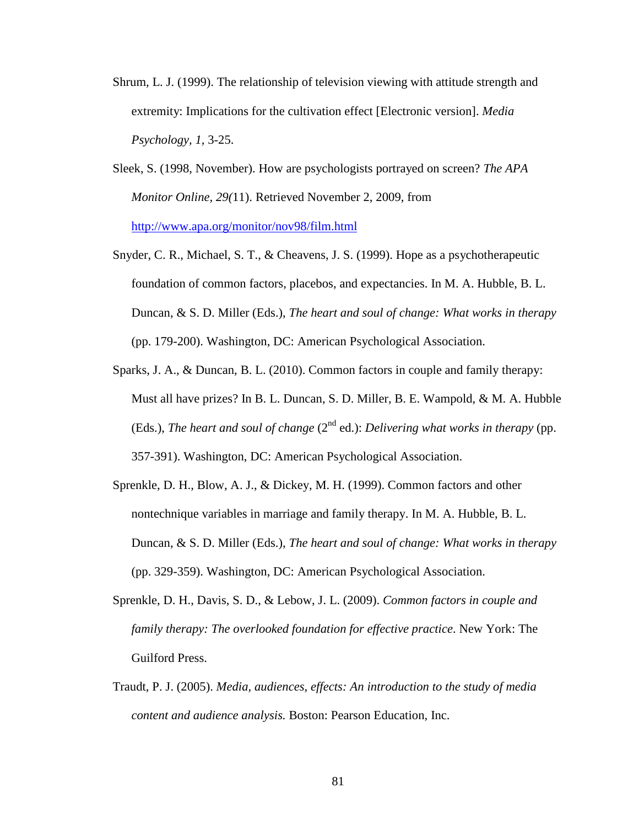- Shrum, L. J. (1999). The relationship of television viewing with attitude strength and extremity: Implications for the cultivation effect [Electronic version]. *Media Psychology, 1,* 3-25.
- Sleek, S. (1998, November). How are psychologists portrayed on screen? *The APA Monitor Online, 29(*11). Retrieved November 2, 2009, from http://www.apa.org/monitor/nov98/film.html
- Snyder, C. R., Michael, S. T., & Cheavens, J. S. (1999). Hope as a psychotherapeutic foundation of common factors, placebos, and expectancies. In M. A. Hubble, B. L. Duncan, & S. D. Miller (Eds.), *The heart and soul of change: What works in therapy* (pp. 179-200). Washington, DC: American Psychological Association.
- Sparks, J. A., & Duncan, B. L. (2010). Common factors in couple and family therapy: Must all have prizes? In B. L. Duncan, S. D. Miller, B. E. Wampold, & M. A. Hubble (Eds.), *The heart and soul of change*  $(2^{nd}$  ed.): *Delivering what works in therapy* (pp. 357-391). Washington, DC: American Psychological Association.
- Sprenkle, D. H., Blow, A. J., & Dickey, M. H. (1999). Common factors and other nontechnique variables in marriage and family therapy. In M. A. Hubble, B. L. Duncan, & S. D. Miller (Eds.), *The heart and soul of change: What works in therapy* (pp. 329-359). Washington, DC: American Psychological Association.
- Sprenkle, D. H., Davis, S. D., & Lebow, J. L. (2009). *Common factors in couple and family therapy: The overlooked foundation for effective practice*. New York: The Guilford Press.
- Traudt, P. J. (2005). *Media, audiences, effects: An introduction to the study of media content and audience analysis.* Boston: Pearson Education, Inc.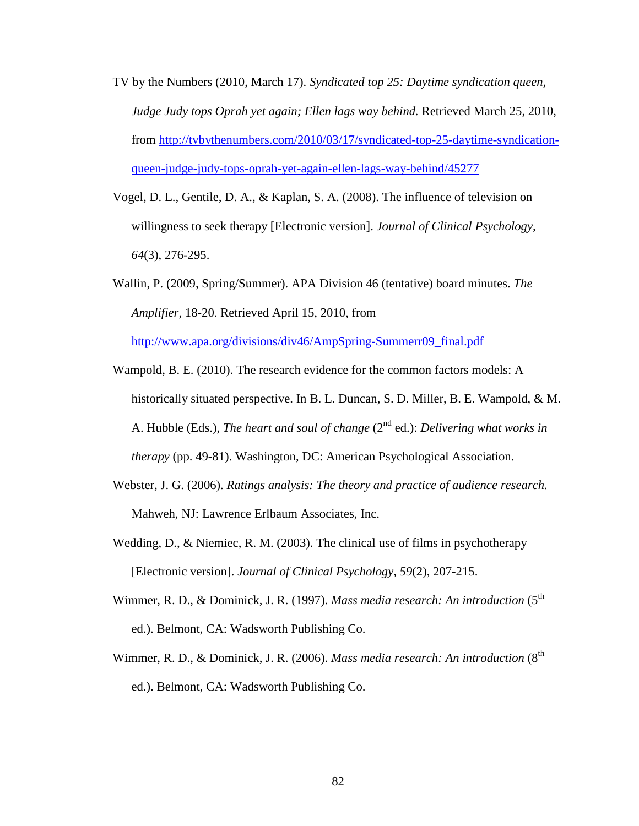- TV by the Numbers (2010, March 17). *Syndicated top 25: Daytime syndication queen, Judge Judy tops Oprah yet again; Ellen lags way behind.* Retrieved March 25, 2010, from http://tvbythenumbers.com/2010/03/17/syndicated-top-25-daytime-syndicationqueen-judge-judy-tops-oprah-yet-again-ellen-lags-way-behind/45277
- Vogel, D. L., Gentile, D. A., & Kaplan, S. A. (2008). The influence of television on willingness to seek therapy [Electronic version]. *Journal of Clinical Psychology, 64*(3), 276-295.
- Wallin, P. (2009, Spring/Summer). APA Division 46 (tentative) board minutes. *The Amplifier*, 18-20. Retrieved April 15, 2010, from

http://www.apa.org/divisions/div46/AmpSpring-Summerr09\_final.pdf

- Wampold, B. E. (2010). The research evidence for the common factors models: A historically situated perspective. In B. L. Duncan, S. D. Miller, B. E. Wampold, & M. A. Hubble (Eds.), *The heart and soul of change* (2<sup>nd</sup> ed.): *Delivering what works in therapy* (pp. 49-81). Washington, DC: American Psychological Association.
- Webster, J. G. (2006). *Ratings analysis: The theory and practice of audience research.* Mahweh, NJ: Lawrence Erlbaum Associates, Inc.
- Wedding, D., & Niemiec, R. M. (2003). The clinical use of films in psychotherapy [Electronic version]. *Journal of Clinical Psychology, 59*(2), 207-215.
- Wimmer, R. D., & Dominick, J. R. (1997). *Mass media research: An introduction* (5<sup>th</sup>) ed.). Belmont, CA: Wadsworth Publishing Co.
- Wimmer, R. D., & Dominick, J. R. (2006). *Mass media research: An introduction* (8<sup>th</sup>) ed.). Belmont, CA: Wadsworth Publishing Co.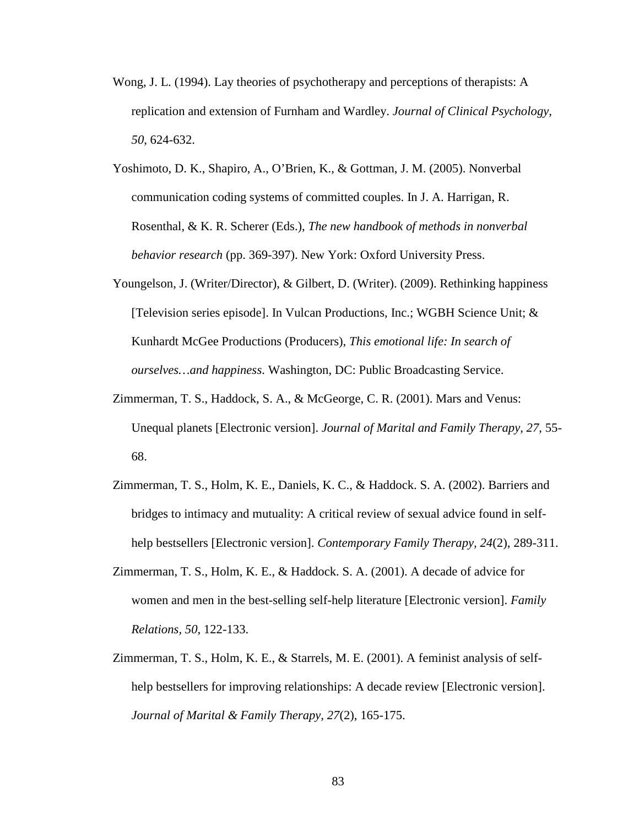- Wong, J. L. (1994). Lay theories of psychotherapy and perceptions of therapists: A replication and extension of Furnham and Wardley. *Journal of Clinical Psychology, 50*, 624-632.
- Yoshimoto, D. K., Shapiro, A., O'Brien, K., & Gottman, J. M. (2005). Nonverbal communication coding systems of committed couples. In J. A. Harrigan, R. Rosenthal, & K. R. Scherer (Eds.), *The new handbook of methods in nonverbal behavior research* (pp. 369-397). New York: Oxford University Press.
- Youngelson, J. (Writer/Director), & Gilbert, D. (Writer). (2009). Rethinking happiness [Television series episode]. In Vulcan Productions, Inc.; WGBH Science Unit; & Kunhardt McGee Productions (Producers), *This emotional life: In search of ourselves…and happiness*. Washington, DC: Public Broadcasting Service.
- Zimmerman, T. S., Haddock, S. A., & McGeorge, C. R. (2001). Mars and Venus: Unequal planets [Electronic version]. *Journal of Marital and Family Therapy, 27*, 55- 68.
- Zimmerman, T. S., Holm, K. E., Daniels, K. C., & Haddock. S. A. (2002). Barriers and bridges to intimacy and mutuality: A critical review of sexual advice found in selfhelp bestsellers [Electronic version]. *Contemporary Family Therapy, 24*(2), 289-311.
- Zimmerman, T. S., Holm, K. E., & Haddock. S. A. (2001). A decade of advice for women and men in the best-selling self-help literature [Electronic version]. *Family Relations, 50*, 122-133.
- Zimmerman, T. S., Holm, K. E., & Starrels, M. E. (2001). A feminist analysis of selfhelp bestsellers for improving relationships: A decade review [Electronic version]. *Journal of Marital & Family Therapy, 27*(2), 165-175.